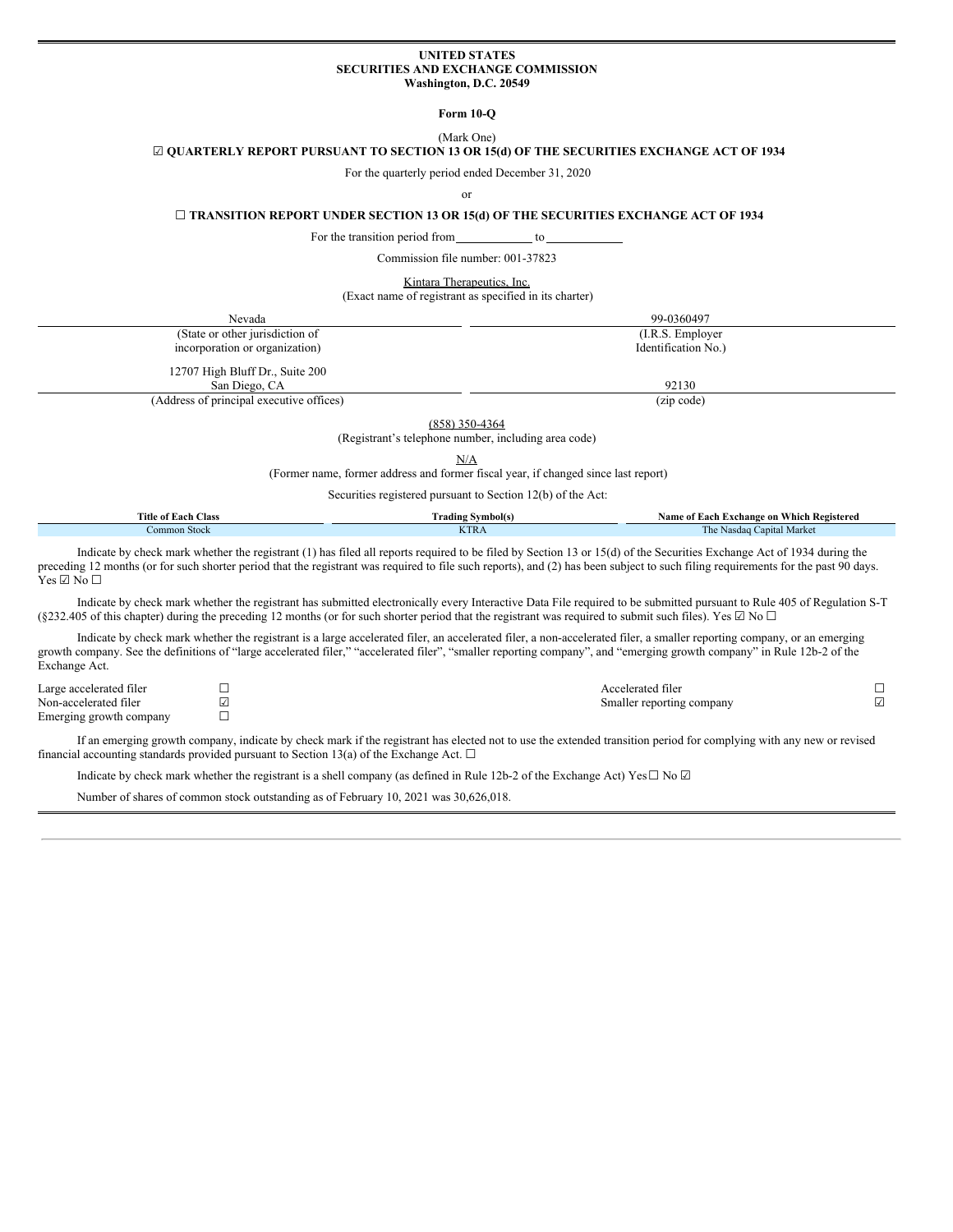### **UNITED STATES SECURITIES AND EXCHANGE COMMISSION Washington, D.C. 20549**

**Form 10-Q**

(Mark One)

**☑ QUARTERLY REPORT PURSUANT TO SECTION 13 OR 15(d) OF THE SECURITIES EXCHANGE ACT OF 1934**

For the quarterly period ended December 31, 2020

or

## **☐ TRANSITION REPORT UNDER SECTION 13 OR 15(d) OF THE SECURITIES EXCHANGE ACT OF 1934**

For the transition period from \_\_\_\_\_\_\_\_\_\_\_\_\_ to

Commission file number: 001-37823

Kintara Therapeutics, Inc.

(Exact name of registrant as specified in its charter)

| Nevada                                                                   | 99-0360497          |  |
|--------------------------------------------------------------------------|---------------------|--|
| (State or other jurisdiction of                                          | (I.R.S. Employer)   |  |
| incorporation or organization)                                           | Identification No.) |  |
| 12707 High Bluff Dr., Suite 200                                          |                     |  |
| San Diego, CA                                                            | 92130               |  |
| (Address of principal executive offices)                                 | (zip code)          |  |
| $(858)$ 350-4364<br>(Registrant's telephone number, including area code) |                     |  |

N/A

(Former name, former address and former fiscal year, if changed since last report)

Securities registered pursuant to Section 12(b) of the Act:

| Title of Each<br><b>Class</b> | Frading Symbol(s) | Which<br>ı Registered<br>Name of Each Exchange on |
|-------------------------------|-------------------|---------------------------------------------------|
| <b>Stock</b><br>ommon         | <b>KTRA</b>       | The<br>Capital Market<br><sup>-</sup> Naso.       |

Indicate by check mark whether the registrant (1) has filed all reports required to be filed by Section 13 or 15(d) of the Securities Exchange Act of 1934 during the preceding 12 months (or for such shorter period that the registrant was required to file such reports), and (2) has been subject to such filing requirements for the past 90 days. Yes ☑ No ☐

Indicate by check mark whether the registrant has submitted electronically every Interactive Data File required to be submitted pursuant to Rule 405 of Regulation S-T (§232.405 of this chapter) during the preceding 12 months (or for such shorter period that the registrant was required to submit such files). Yes  $\Box$  No  $\Box$ 

Indicate by check mark whether the registrant is a large accelerated filer, an accelerated filer, a non-accelerated filer, a smaller reporting company, or an emerging growth company. See the definitions of "large accelerated filer," "accelerated filer", "smaller reporting company", and "emerging growth company" in Rule 12b-2 of the Exchange Act.

| Large accelerated filer | Accelerated filer         |  |
|-------------------------|---------------------------|--|
| Non-accelerated filer   | Smaller reporting company |  |
| Emerging growth company |                           |  |

If an emerging growth company, indicate by check mark if the registrant has elected not to use the extended transition period for complying with any new or revised financial accounting standards provided pursuant to Section 13(a) of the Exchange Act.  $\Box$ 

Indicate by check mark whether the registrant is a shell company (as defined in Rule 12b-2 of the Exchange Act) Yes $\Box$  No  $\Box$ 

Number of shares of common stock outstanding as of February 10, 2021 was 30,626,018.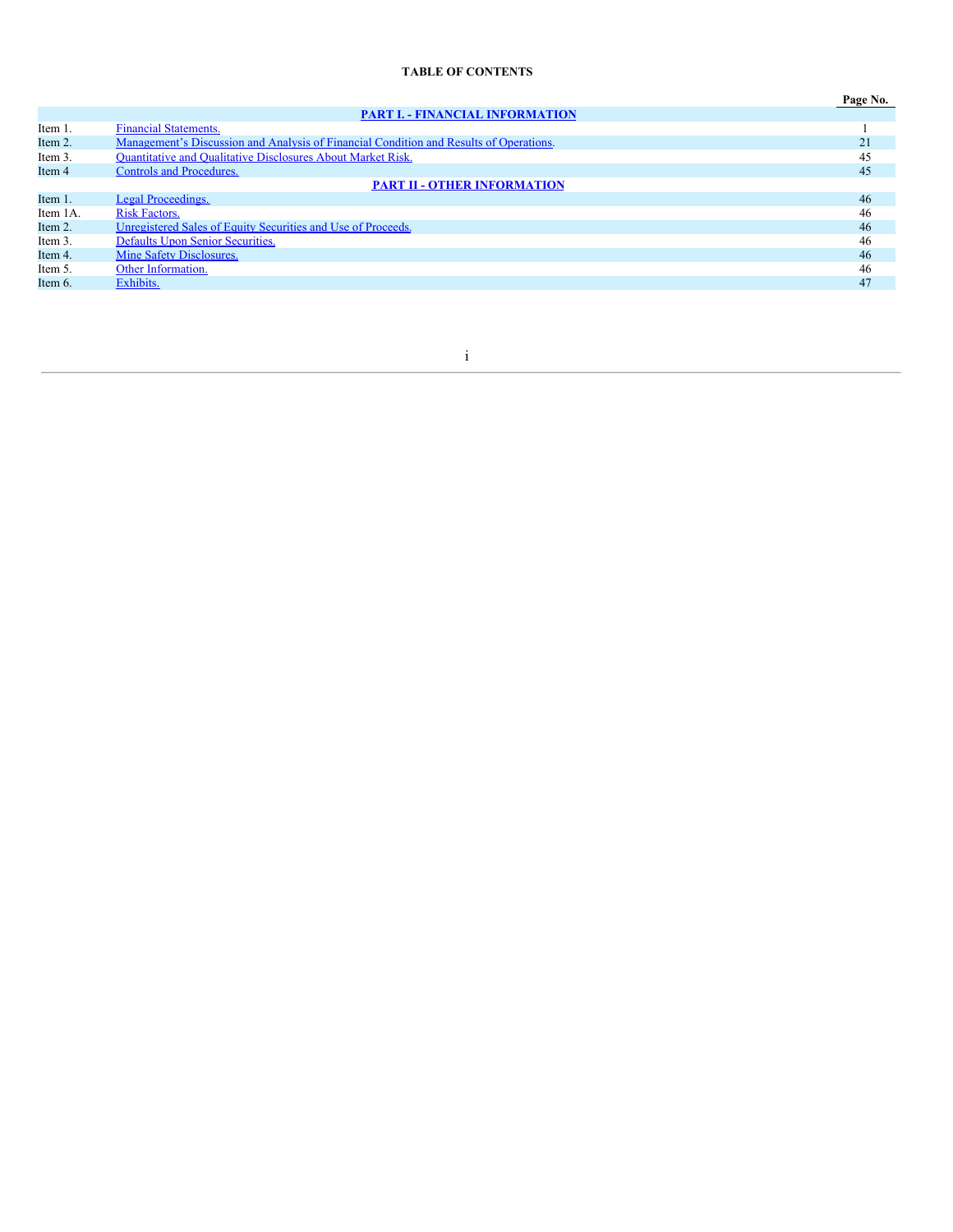# **TABLE OF CONTENTS**

| Page No. |
|----------|
|          |
|          |
| 21       |
| 45       |
| 45       |
|          |
| 46       |
| 46       |
| 46       |
| 46       |
| 46       |
| 46       |
|          |
| 47       |

# i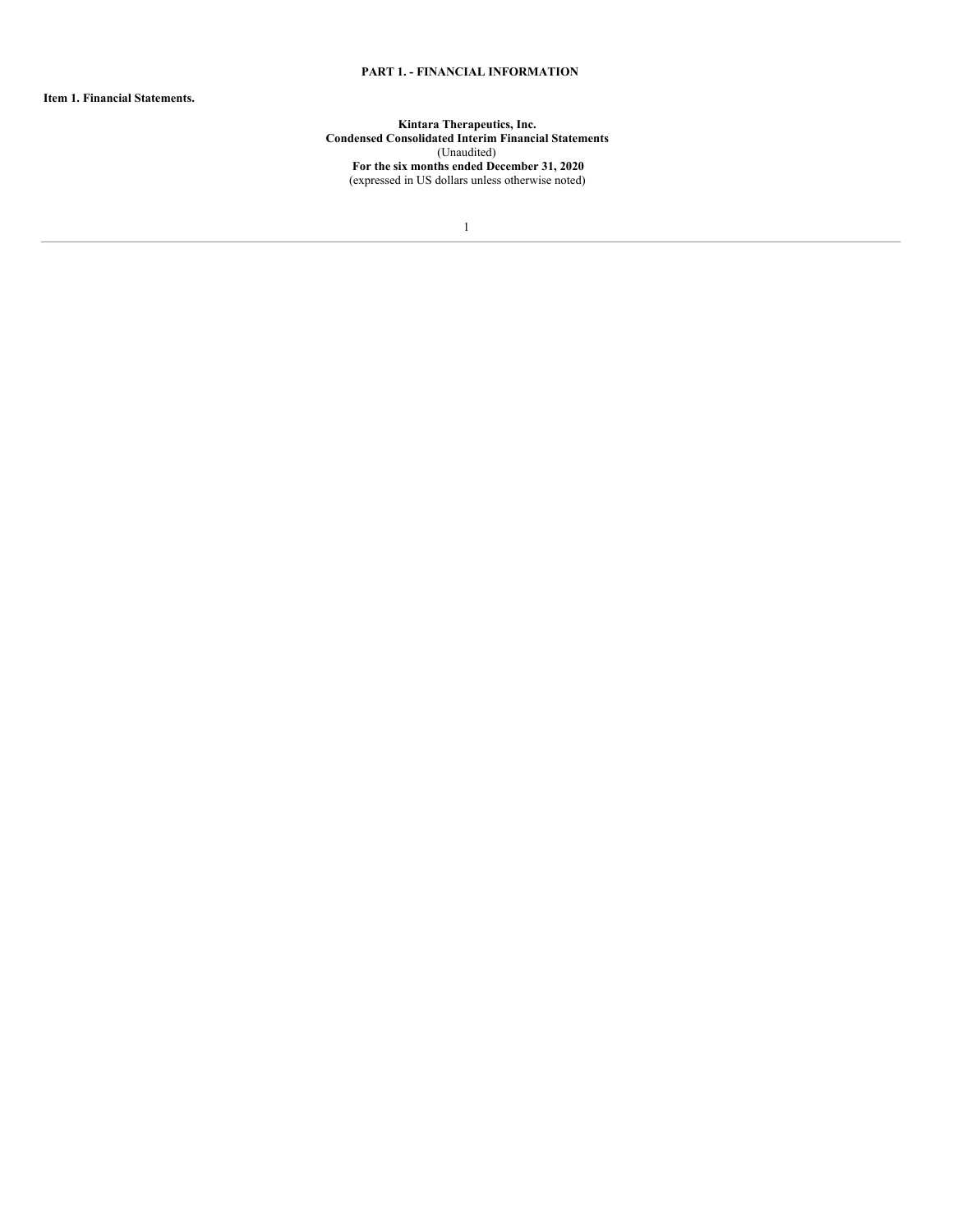# <span id="page-2-0"></span>**PART 1. - FINANCIAL INFORMATION**

<span id="page-2-1"></span>**Item 1. Financial Statements.**

## **Kintara Therapeutics, Inc. Condensed Consolidated Interim Financial Statements** (Unaudited) **For the six months ended December 31, 2020** (expressed in US dollars unless otherwise noted)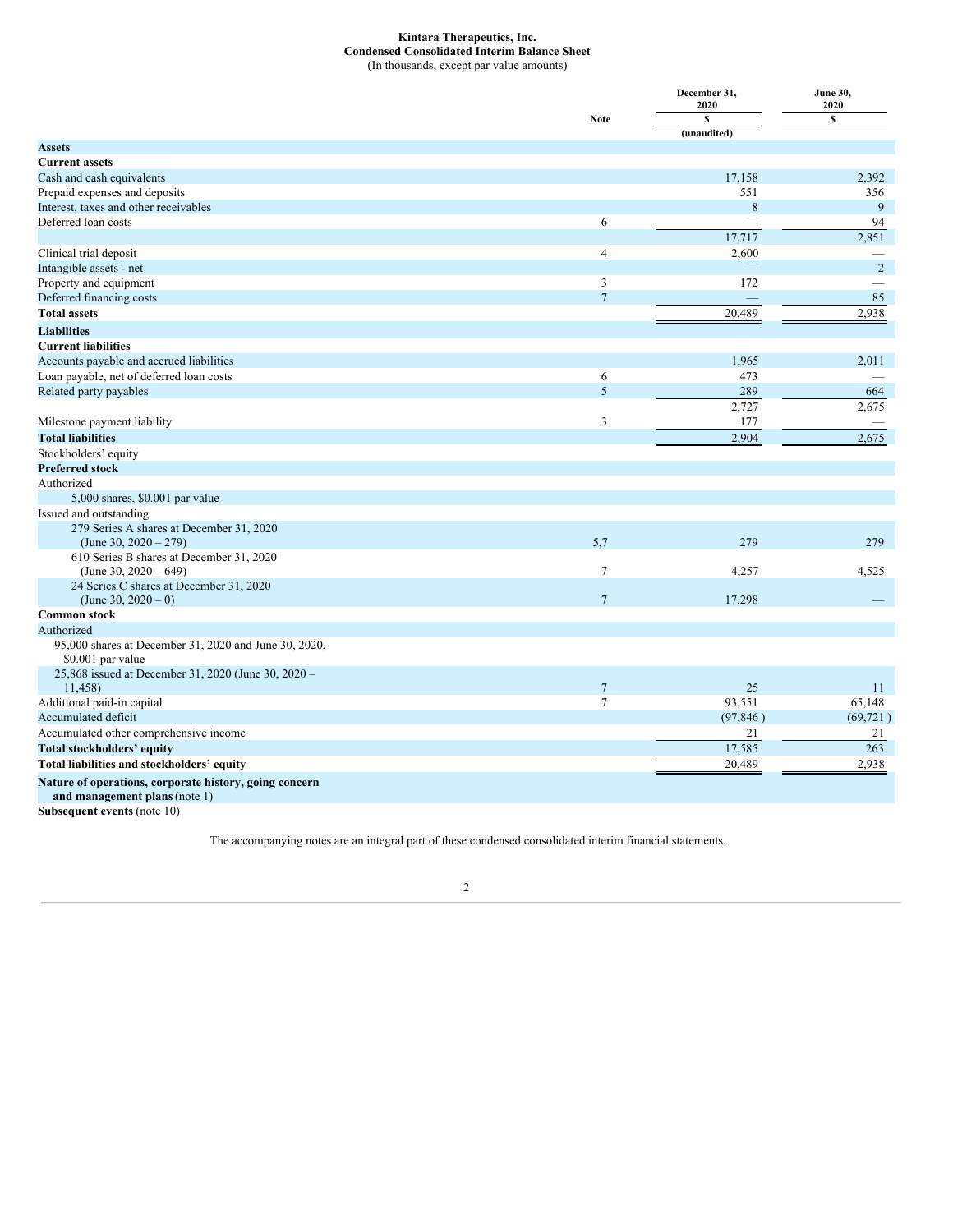# **Kintara Therapeutics, Inc. Condensed Consolidated Interim Balance Sheet**

(In thousands, except par value amounts)

|                                                                                         |                 | December 31,<br>2020 | <b>June 30,</b><br>2020<br>$\mathbf{s}$ |  |
|-----------------------------------------------------------------------------------------|-----------------|----------------------|-----------------------------------------|--|
|                                                                                         | <b>Note</b>     | S                    |                                         |  |
|                                                                                         |                 | (unaudited)          |                                         |  |
| <b>Assets</b>                                                                           |                 |                      |                                         |  |
| <b>Current assets</b>                                                                   |                 |                      |                                         |  |
| Cash and cash equivalents                                                               |                 | 17,158               | 2,392                                   |  |
| Prepaid expenses and deposits                                                           |                 | 551                  | 356                                     |  |
| Interest, taxes and other receivables                                                   |                 | $\,8\,$              | 9                                       |  |
| Deferred loan costs                                                                     | 6               |                      | 94                                      |  |
|                                                                                         |                 | 17.717               | 2,851                                   |  |
| Clinical trial deposit                                                                  | $\overline{4}$  | 2,600                |                                         |  |
| Intangible assets - net                                                                 |                 |                      | 2                                       |  |
| Property and equipment                                                                  | 3               | 172                  |                                         |  |
| Deferred financing costs                                                                | $\overline{7}$  |                      | 85                                      |  |
| <b>Total assets</b>                                                                     |                 | 20,489               | 2,938                                   |  |
| <b>Liabilities</b>                                                                      |                 |                      |                                         |  |
| <b>Current liabilities</b>                                                              |                 |                      |                                         |  |
| Accounts payable and accrued liabilities                                                |                 | 1,965                | 2,011                                   |  |
| Loan payable, net of deferred loan costs                                                | 6               | 473                  |                                         |  |
| Related party payables                                                                  | 5               | 289                  | 664                                     |  |
|                                                                                         |                 | 2,727                | 2,675                                   |  |
| Milestone payment liability                                                             | $\mathfrak{Z}$  | 177                  |                                         |  |
| <b>Total liabilities</b>                                                                |                 | 2,904                | 2,675                                   |  |
| Stockholders' equity                                                                    |                 |                      |                                         |  |
| <b>Preferred stock</b>                                                                  |                 |                      |                                         |  |
| Authorized                                                                              |                 |                      |                                         |  |
| 5,000 shares, \$0.001 par value                                                         |                 |                      |                                         |  |
| Issued and outstanding                                                                  |                 |                      |                                         |  |
| 279 Series A shares at December 31, 2020                                                |                 |                      |                                         |  |
| (June 30, $2020 - 279$ )                                                                | 5,7             | 279                  | 279                                     |  |
| 610 Series B shares at December 31, 2020<br>(June 30, $2020 - 649$ )                    | $\tau$          | 4,257                | 4,525                                   |  |
| 24 Series C shares at December 31, 2020<br>(June 30, $2020 - 0$ )                       | $7\phantom{.0}$ | 17,298               |                                         |  |
| <b>Common stock</b>                                                                     |                 |                      |                                         |  |
| Authorized                                                                              |                 |                      |                                         |  |
| 95,000 shares at December 31, 2020 and June 30, 2020,<br>\$0.001 par value              |                 |                      |                                         |  |
| 25,868 issued at December 31, 2020 (June 30, 2020 -                                     |                 |                      |                                         |  |
| 11,458)                                                                                 | $7\phantom{.0}$ | 25                   | 11                                      |  |
| Additional paid-in capital                                                              | $\overline{7}$  | 93,551               | 65,148                                  |  |
| Accumulated deficit                                                                     |                 | (97, 846)            | (69, 721)                               |  |
| Accumulated other comprehensive income                                                  |                 | 21                   | 21                                      |  |
| Total stockholders' equity                                                              |                 | 17,585               | 263                                     |  |
| Total liabilities and stockholders' equity                                              |                 | 20,489               | 2,938                                   |  |
| Nature of operations, corporate history, going concern<br>and management plans (note 1) |                 |                      |                                         |  |

**Subsequent events** (note 10)

The accompanying notes are an integral part of these condensed consolidated interim financial statements.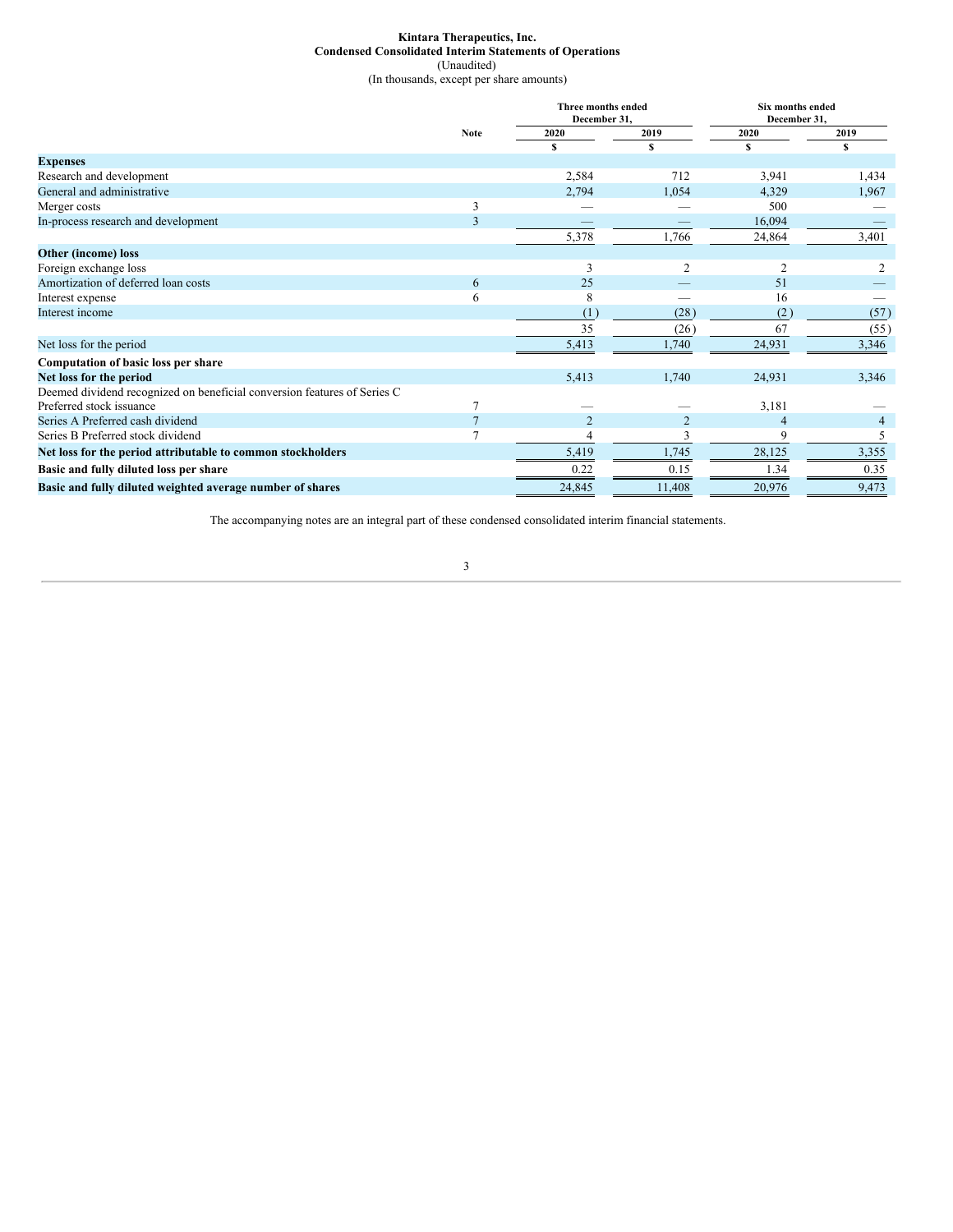## **Kintara Therapeutics, Inc. Condensed Consolidated Interim Statements of Operations** (Unaudited)

(In thousands, except per share amounts)

|                                                                          |             | Three months ended<br>December 31, |                | Six months ended<br>December 31, |       |
|--------------------------------------------------------------------------|-------------|------------------------------------|----------------|----------------------------------|-------|
|                                                                          | <b>Note</b> | 2020                               | 2019           | 2020                             | 2019  |
|                                                                          |             | S                                  | S              | S                                | s     |
| <b>Expenses</b>                                                          |             |                                    |                |                                  |       |
| Research and development                                                 |             | 2,584                              | 712            | 3,941                            | 1,434 |
| General and administrative                                               |             | 2,794                              | 1,054          | 4,329                            | 1,967 |
| Merger costs                                                             | 3           |                                    |                | 500                              |       |
| In-process research and development                                      | 3           |                                    |                | 16,094                           |       |
|                                                                          |             | 5,378                              | 1,766          | 24,864                           | 3,401 |
| Other (income) loss                                                      |             |                                    |                |                                  |       |
| Foreign exchange loss                                                    |             | 3                                  | $\overline{2}$ |                                  |       |
| Amortization of deferred loan costs                                      | 6           | 25                                 |                | 51                               |       |
| Interest expense                                                         | 6           | 8                                  |                | 16                               |       |
| Interest income                                                          |             | (1)                                | (28)           | (2)                              | (57)  |
|                                                                          |             | 35                                 | (26)           | 67                               | (55)  |
| Net loss for the period                                                  |             | 5,413                              | 1,740          | 24,931                           | 3,346 |
| Computation of basic loss per share                                      |             |                                    |                |                                  |       |
| Net loss for the period                                                  |             | 5,413                              | 1,740          | 24,931                           | 3,346 |
| Deemed dividend recognized on beneficial conversion features of Series C |             |                                    |                |                                  |       |
| Preferred stock issuance                                                 |             |                                    |                | 3,181                            |       |
| Series A Preferred cash dividend                                         |             | $\overline{2}$                     | $\overline{2}$ | $\overline{4}$                   |       |
| Series B Preferred stock dividend                                        |             | 4                                  | 3              | 9                                |       |
| Net loss for the period attributable to common stockholders              |             | 5,419                              | 1,745          | 28,125                           | 3,355 |
| Basic and fully diluted loss per share                                   |             | 0.22                               | 0.15           | 1.34                             | 0.35  |
| Basic and fully diluted weighted average number of shares                |             | 24,845                             | 11,408         | 20,976                           | 9,473 |

The accompanying notes are an integral part of these condensed consolidated interim financial statements.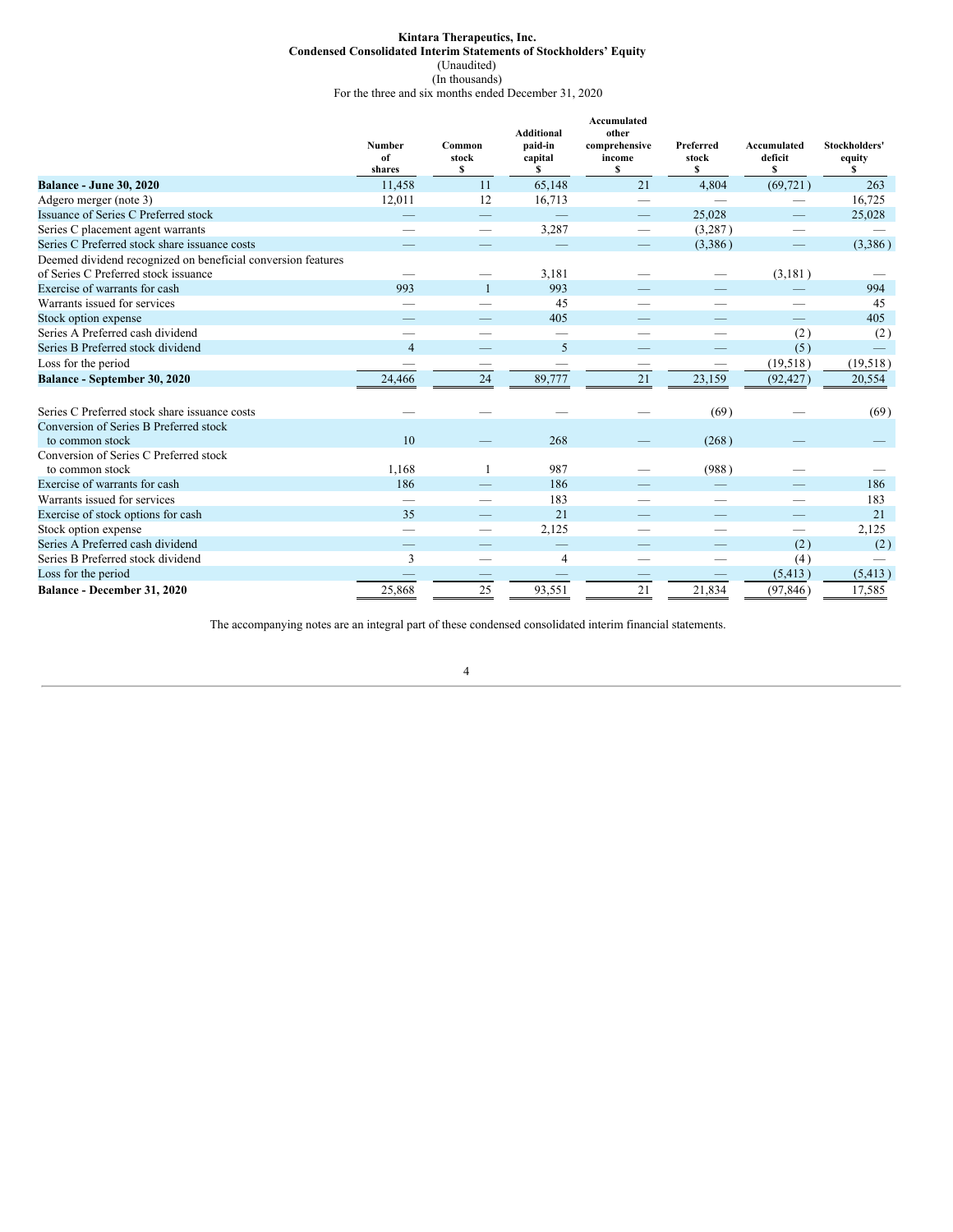### **Kintara Therapeutics, Inc. Condensed Consolidated Interim Statements of Stockholders' Equity** (Unaudited) (In thousands) For the three and six months ended December 31, 2020

|                                                                                                            | Number<br>of<br>shares   | Common<br>stock<br>S     | <b>Additional</b><br>paid-in<br>capital<br>S | <b>Accumulated</b><br>other<br>comprehensive<br>income<br>S | Preferred<br>stock<br>S | Accumulated<br>deficit<br>\$ | Stockholders'<br>equity<br>S |
|------------------------------------------------------------------------------------------------------------|--------------------------|--------------------------|----------------------------------------------|-------------------------------------------------------------|-------------------------|------------------------------|------------------------------|
| <b>Balance - June 30, 2020</b>                                                                             | 11,458                   | 11                       | 65,148                                       | 21                                                          | 4,804                   | (69, 721)                    | 263                          |
| Adgero merger (note 3)                                                                                     | 12,011                   | 12                       | 16,713                                       | -                                                           |                         | -                            | 16,725                       |
| Issuance of Series C Preferred stock                                                                       |                          |                          |                                              |                                                             | 25,028                  |                              | 25,028                       |
| Series C placement agent warrants                                                                          |                          | -                        | 3,287                                        |                                                             | (3,287)                 |                              |                              |
| Series C Preferred stock share issuance costs                                                              |                          |                          |                                              |                                                             | (3,386)                 |                              | (3,386)                      |
| Deemed dividend recognized on beneficial conversion features<br>of Series C Preferred stock issuance       |                          |                          | 3,181                                        |                                                             |                         | (3,181)                      |                              |
| Exercise of warrants for cash                                                                              | 993                      |                          | 993                                          |                                                             |                         |                              | 994                          |
| Warrants issued for services                                                                               |                          |                          | 45                                           |                                                             |                         |                              | 45                           |
| Stock option expense                                                                                       |                          |                          | 405                                          |                                                             |                         |                              | 405                          |
| Series A Preferred cash dividend                                                                           | -                        |                          |                                              |                                                             | --                      | (2)                          | (2)                          |
| Series B Preferred stock dividend                                                                          | $\overline{4}$           |                          | 5                                            |                                                             |                         | (5)                          |                              |
| Loss for the period                                                                                        |                          |                          |                                              |                                                             |                         | (19,518)                     | (19, 518)                    |
| Balance - September 30, 2020                                                                               | 24,466                   | 24                       | 89,777                                       | 21                                                          | 23,159                  | (92, 427)                    | 20,554                       |
| Series C Preferred stock share issuance costs<br>Conversion of Series B Preferred stock<br>to common stock | 10                       |                          | 268                                          |                                                             | (69)<br>(268)           |                              | (69)                         |
| Conversion of Series C Preferred stock                                                                     |                          |                          |                                              |                                                             |                         |                              |                              |
| to common stock                                                                                            | 1,168                    |                          | 987                                          |                                                             | (988)                   |                              |                              |
| Exercise of warrants for cash                                                                              | 186                      |                          | 186                                          |                                                             |                         |                              | 186                          |
| Warrants issued for services                                                                               | $\overline{\phantom{0}}$ |                          | 183                                          |                                                             |                         |                              | 183                          |
| Exercise of stock options for cash                                                                         | 35                       |                          | 21                                           |                                                             |                         |                              | 21                           |
| Stock option expense                                                                                       | -                        |                          | 2,125                                        |                                                             | -                       |                              | 2,125                        |
| Series A Preferred cash dividend                                                                           |                          |                          |                                              |                                                             |                         | (2)                          | (2)                          |
| Series B Preferred stock dividend                                                                          | 3                        | $\overline{\phantom{a}}$ | 4                                            |                                                             |                         | (4)                          |                              |
| Loss for the period                                                                                        |                          |                          |                                              |                                                             |                         | (5, 413)                     | (5, 413)                     |
| Balance - December 31, 2020                                                                                | 25,868                   | 25                       | 93,551                                       | 21                                                          | 21,834                  | (97, 846)                    | 17,585                       |

The accompanying notes are an integral part of these condensed consolidated interim financial statements.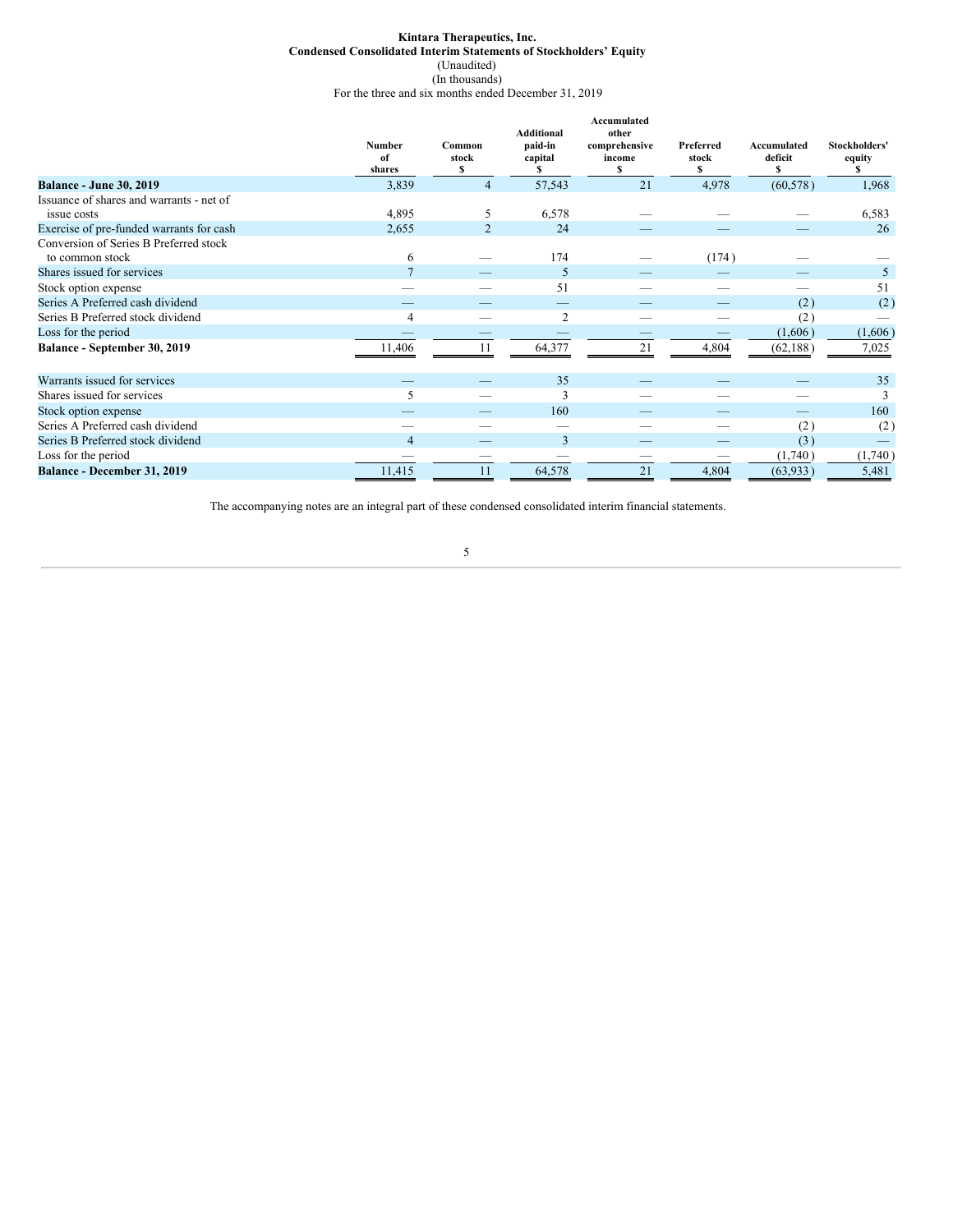### **Kintara Therapeutics, Inc. Condensed Consolidated Interim Statements of Stockholders' Equity** (Unaudited) (In thousands) For the three and six months ended December 31, 2019

|                                                           | <b>Number</b><br>of<br>shares | Common<br>stock | <b>Additional</b><br>paid-in<br>capital | Accumulated<br>other<br>comprehensive<br>income | Preferred<br>stock | Accumulated<br>deficit | Stockholders'<br>equity |
|-----------------------------------------------------------|-------------------------------|-----------------|-----------------------------------------|-------------------------------------------------|--------------------|------------------------|-------------------------|
| <b>Balance - June 30, 2019</b>                            | 3,839                         | $\overline{4}$  | 57,543                                  | 21                                              | 4,978              | (60, 578)              | 1,968                   |
| Issuance of shares and warrants - net of                  |                               |                 |                                         |                                                 |                    |                        |                         |
| issue costs                                               | 4,895                         | 5               | 6,578                                   |                                                 |                    |                        | 6,583                   |
| Exercise of pre-funded warrants for cash                  | 2,655                         | $\overline{2}$  | 24                                      |                                                 |                    |                        | 26                      |
| Conversion of Series B Preferred stock<br>to common stock | 6                             |                 | 174                                     |                                                 | (174)              |                        |                         |
| Shares issued for services                                | $7\phantom{.0}$               |                 | 5                                       |                                                 |                    |                        | 5                       |
| Stock option expense                                      |                               |                 | 51                                      |                                                 |                    |                        | 51                      |
| Series A Preferred cash dividend                          |                               |                 |                                         |                                                 |                    | (2)                    | (2)                     |
| Series B Preferred stock dividend                         | 4                             |                 | $\overline{c}$                          |                                                 |                    | (2)                    |                         |
| Loss for the period                                       |                               |                 |                                         |                                                 |                    | (1,606)                | (1,606)                 |
| Balance - September 30, 2019                              | 11,406                        |                 | 64,377                                  | 21                                              | 4,804              | (62, 188)              | 7,025                   |
| Warrants issued for services                              |                               |                 | 35                                      |                                                 |                    |                        | 35                      |
| Shares issued for services                                | 5                             |                 | 3                                       |                                                 |                    |                        |                         |
| Stock option expense                                      |                               |                 | 160                                     |                                                 |                    |                        | 160                     |
| Series A Preferred cash dividend                          |                               |                 |                                         |                                                 |                    | (2)                    | (2)                     |
| Series B Preferred stock dividend                         | $\overline{4}$                |                 | 3                                       |                                                 |                    | (3)                    |                         |
| Loss for the period                                       |                               |                 |                                         |                                                 |                    | (1,740)                | (1,740)                 |
| Balance - December 31, 2019                               | 11,415                        | 11              | 64,578                                  | 21                                              | 4,804              | (63, 933)              | 5,481                   |

The accompanying notes are an integral part of these condensed consolidated interim financial statements.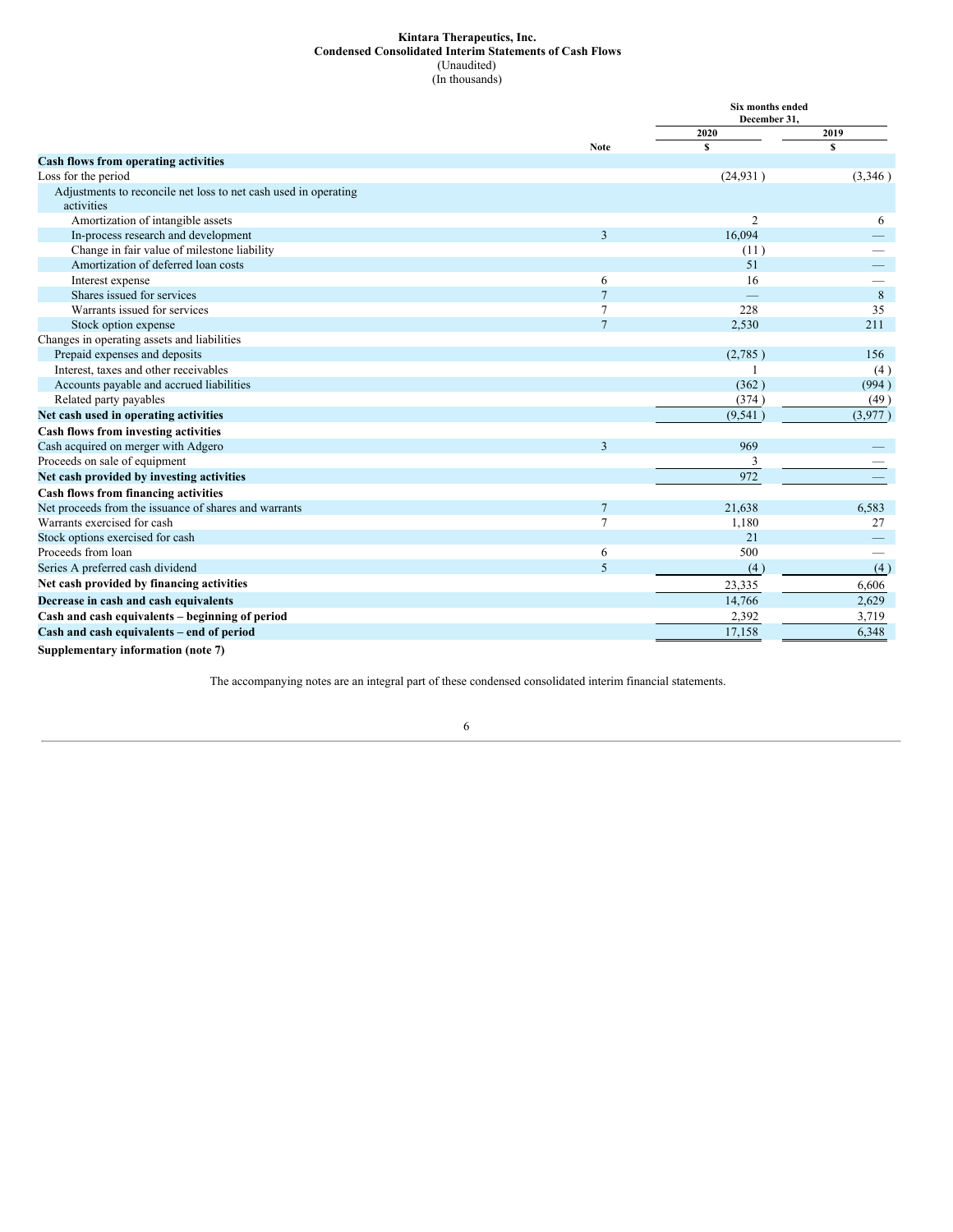### **Kintara Therapeutics, Inc. Condensed Consolidated Interim Statements of Cash Flows** (Unaudited) (In thousands)

|                                                                               |                | Six months ended<br>December 31, |         |  |
|-------------------------------------------------------------------------------|----------------|----------------------------------|---------|--|
|                                                                               |                | 2020                             | 2019    |  |
|                                                                               | <b>Note</b>    | $\mathbf{s}$                     | s.      |  |
| <b>Cash flows from operating activities</b>                                   |                |                                  |         |  |
| Loss for the period                                                           |                | (24, 931)                        | (3,346) |  |
| Adjustments to reconcile net loss to net cash used in operating<br>activities |                |                                  |         |  |
| Amortization of intangible assets                                             |                | $\overline{2}$                   | 6       |  |
| In-process research and development                                           | $\overline{3}$ | 16.094                           |         |  |
| Change in fair value of milestone liability                                   |                | (11)                             |         |  |
| Amortization of deferred loan costs                                           |                | 51                               |         |  |
| Interest expense                                                              | 6              | 16                               |         |  |
| Shares issued for services                                                    | $\overline{7}$ |                                  | 8       |  |
| Warrants issued for services                                                  | $\overline{7}$ | 228                              | 35      |  |
| Stock option expense                                                          | $\overline{7}$ | 2,530                            | 211     |  |
| Changes in operating assets and liabilities                                   |                |                                  |         |  |
| Prepaid expenses and deposits                                                 |                | (2,785)                          | 156     |  |
| Interest, taxes and other receivables                                         |                |                                  | (4)     |  |
| Accounts payable and accrued liabilities                                      |                | (362)                            | (994)   |  |
| Related party payables                                                        |                | (374)                            | (49)    |  |
| Net cash used in operating activities                                         |                | (9, 541)                         | (3.977) |  |
| Cash flows from investing activities                                          |                |                                  |         |  |
| Cash acquired on merger with Adgero                                           | 3              | 969                              |         |  |
| Proceeds on sale of equipment                                                 |                | 3                                |         |  |
| Net cash provided by investing activities                                     |                | 972                              |         |  |
| Cash flows from financing activities                                          |                |                                  |         |  |
| Net proceeds from the issuance of shares and warrants                         | $\overline{7}$ | 21.638                           | 6.583   |  |
| Warrants exercised for cash                                                   | $\overline{7}$ | 1,180                            | 27      |  |
| Stock options exercised for cash                                              |                | 21                               |         |  |
| Proceeds from loan                                                            | 6              | 500                              |         |  |
| Series A preferred cash dividend                                              | 5              | (4)                              | (4)     |  |
| Net cash provided by financing activities                                     |                | 23,335                           | 6,606   |  |
| Decrease in cash and cash equivalents                                         |                | 14,766                           | 2,629   |  |
| Cash and cash equivalents - beginning of period                               |                | 2,392                            | 3,719   |  |
| Cash and cash equivalents – end of period                                     |                | 17,158                           | 6,348   |  |
| Supplementary information (note 7)                                            |                |                                  |         |  |

The accompanying notes are an integral part of these condensed consolidated interim financial statements.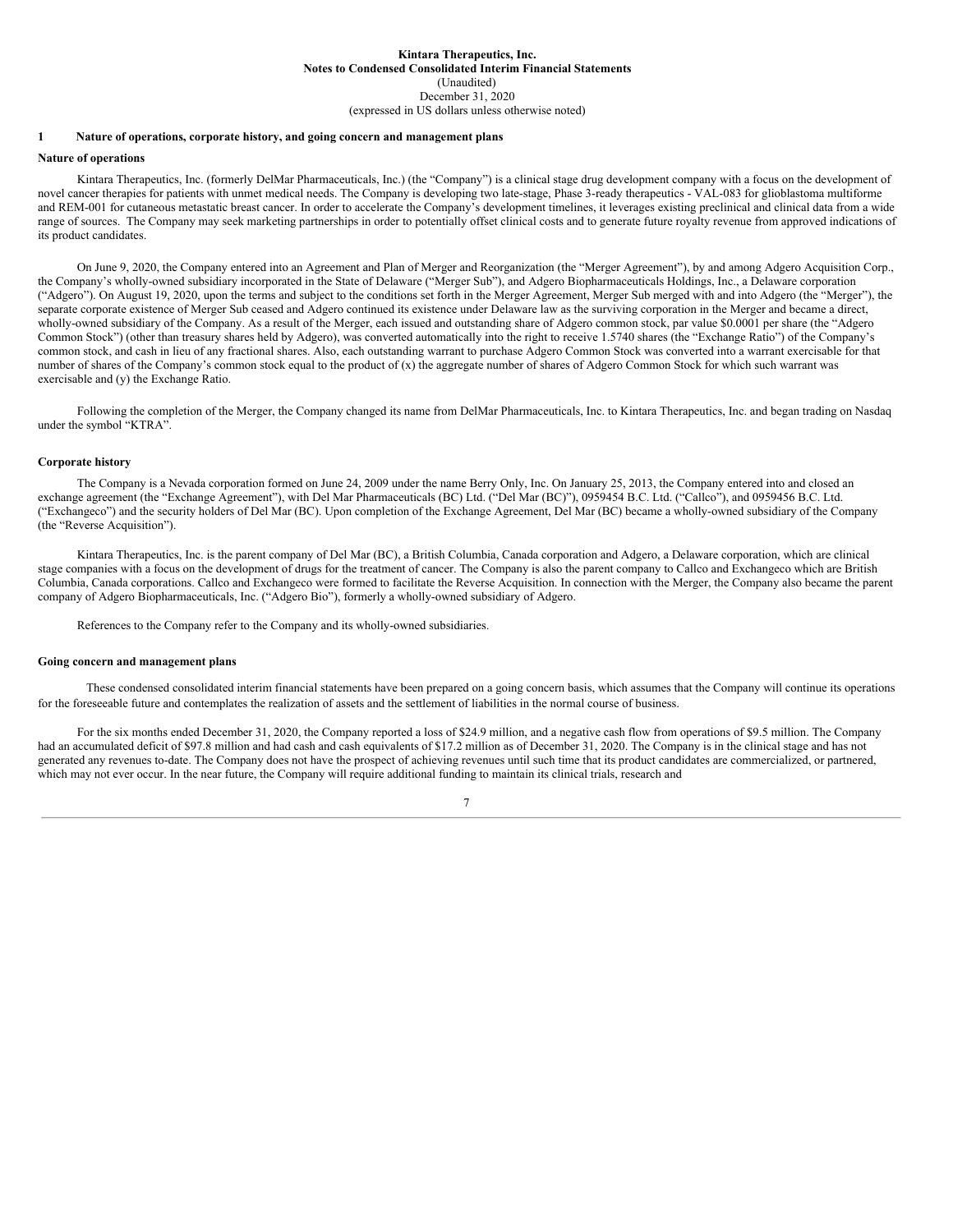### **Kintara Therapeutics, Inc. Notes to Condensed Consolidated Interim Financial Statements** (Unaudited) December 31, 2020 (expressed in US dollars unless otherwise noted)

## **1 Nature of operations, corporate history, and going concern and management plans**

#### **Nature of operations**

Kintara Therapeutics, Inc. (formerly DelMar Pharmaceuticals, Inc.) (the "Company") is a clinical stage drug development company with a focus on the development of novel cancer therapies for patients with unmet medical needs. The Company is developing two late-stage, Phase 3-ready therapeutics - VAL-083 for glioblastoma multiforme and REM-001 for cutaneous metastatic breast cancer. In order to accelerate the Company's development timelines, it leverages existing preclinical and clinical data from a wide range of sources. The Company may seek marketing partnerships in order to potentially offset clinical costs and to generate future royalty revenue from approved indications of its product candidates.

On June 9, 2020, the Company entered into an Agreement and Plan of Merger and Reorganization (the "Merger Agreement"), by and among Adgero Acquisition Corp., the Company's wholly-owned subsidiary incorporated in the State of Delaware ("Merger Sub"), and Adgero Biopharmaceuticals Holdings, Inc., a Delaware corporation ("Adgero"). On August 19, 2020, upon the terms and subject to the conditions set forth in the Merger Agreement, Merger Sub merged with and into Adgero (the "Merger"), the separate corporate existence of Merger Sub ceased and Adgero continued its existence under Delaware law as the surviving corporation in the Merger and became a direct, wholly-owned subsidiary of the Company. As a result of the Merger, each issued and outstanding share of Adgero common stock, par value \$0.0001 per share (the "Adgero Common Stock") (other than treasury shares held by Adgero), was converted automatically into the right to receive 1.5740 shares (the "Exchange Ratio") of the Company's common stock, and cash in lieu of any fractional shares. Also, each outstanding warrant to purchase Adgero Common Stock was converted into a warrant exercisable for that number of shares of the Company's common stock equal to the product of  $(x)$  the aggregate number of shares of Adgero Common Stock for which such warrant was exercisable and (y) the Exchange Ratio.

Following the completion of the Merger, the Company changed its name from DelMar Pharmaceuticals, Inc. to Kintara Therapeutics, Inc. and began trading on Nasdaq under the symbol "KTRA".

#### **Corporate history**

The Company is a Nevada corporation formed on June 24, 2009 under the name Berry Only, Inc. On January 25, 2013, the Company entered into and closed an exchange agreement (the "Exchange Agreement"), with Del Mar Pharmaceuticals (BC) Ltd. ("Del Mar (BC)"), 0959454 B.C. Ltd. ("Callco"), and 0959456 B.C. Ltd. ("Exchangeco") and the security holders of Del Mar (BC). Upon completion of the Exchange Agreement, Del Mar (BC) became a wholly-owned subsidiary of the Company (the "Reverse Acquisition").

Kintara Therapeutics, Inc. is the parent company of Del Mar (BC), a British Columbia, Canada corporation and Adgero, a Delaware corporation, which are clinical stage companies with a focus on the development of drugs for the treatment of cancer. The Company is also the parent company to Callco and Exchangeco which are British Columbia, Canada corporations. Callco and Exchangeco were formed to facilitate the Reverse Acquisition. In connection with the Merger, the Company also became the parent company of Adgero Biopharmaceuticals, Inc. ("Adgero Bio"), formerly a wholly-owned subsidiary of Adgero.

References to the Company refer to the Company and its wholly-owned subsidiaries.

### **Going concern and management plans**

These condensed consolidated interim financial statements have been prepared on a going concern basis, which assumes that the Company will continue its operations for the foreseeable future and contemplates the realization of assets and the settlement of liabilities in the normal course of business.

For the six months ended December 31, 2020, the Company reported a loss of \$24.9 million, and a negative cash flow from operations of \$9.5 million. The Company had an accumulated deficit of \$97.8 million and had cash and cash equivalents of \$17.2 million as of December 31, 2020. The Company is in the clinical stage and has not generated any revenues to-date. The Company does not have the prospect of achieving revenues until such time that its product candidates are commercialized, or partnered, which may not ever occur. In the near future, the Company will require additional funding to maintain its clinical trials, research and

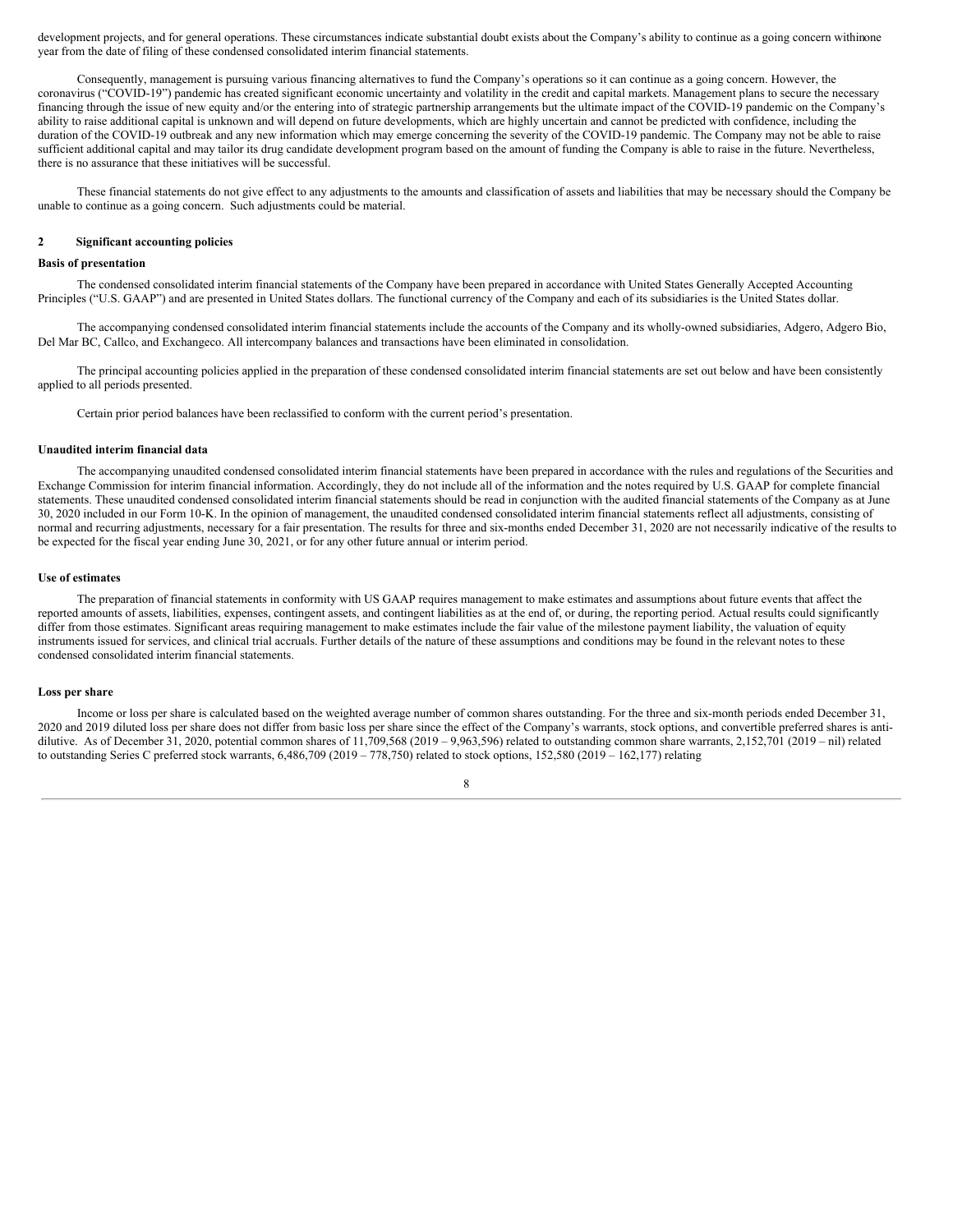development projects, and for general operations. These circumstances indicate substantial doubt exists about the Company's ability to continue as a going concern withinone year from the date of filing of these condensed consolidated interim financial statements.

Consequently, management is pursuing various financing alternatives to fund the Company's operations so it can continue as a going concern. However, the coronavirus ("COVID-19") pandemic has created significant economic uncertainty and volatility in the credit and capital markets. Management plans to secure the necessary financing through the issue of new equity and/or the entering into of strategic partnership arrangements but the ultimate impact of the COVID-19 pandemic on the Company's ability to raise additional capital is unknown and will depend on future developments, which are highly uncertain and cannot be predicted with confidence, including the duration of the COVID-19 outbreak and any new information which may emerge concerning the severity of the COVID-19 pandemic. The Company may not be able to raise sufficient additional capital and may tailor its drug candidate development program based on the amount of funding the Company is able to raise in the future. Nevertheless, there is no assurance that these initiatives will be successful.

These financial statements do not give effect to any adjustments to the amounts and classification of assets and liabilities that may be necessary should the Company be unable to continue as a going concern. Such adjustments could be material.

#### **2 Significant accounting policies**

## **Basis of presentation**

The condensed consolidated interim financial statements of the Company have been prepared in accordance with United States Generally Accepted Accounting Principles ("U.S. GAAP") and are presented in United States dollars. The functional currency of the Company and each of its subsidiaries is the United States dollar.

The accompanying condensed consolidated interim financial statements include the accounts of the Company and its wholly-owned subsidiaries, Adgero, Adgero Bio, Del Mar BC, Callco, and Exchangeco. All intercompany balances and transactions have been eliminated in consolidation.

The principal accounting policies applied in the preparation of these condensed consolidated interim financial statements are set out below and have been consistently applied to all periods presented.

Certain prior period balances have been reclassified to conform with the current period's presentation.

#### **Unaudited interim financial data**

The accompanying unaudited condensed consolidated interim financial statements have been prepared in accordance with the rules and regulations of the Securities and Exchange Commission for interim financial information. Accordingly, they do not include all of the information and the notes required by U.S. GAAP for complete financial statements. These unaudited condensed consolidated interim financial statements should be read in conjunction with the audited financial statements of the Company as at June 30, 2020 included in our Form 10-K. In the opinion of management, the unaudited condensed consolidated interim financial statements reflect all adjustments, consisting of normal and recurring adjustments, necessary for a fair presentation. The results for three and six-months ended December 31, 2020 are not necessarily indicative of the results to be expected for the fiscal year ending June 30, 2021, or for any other future annual or interim period.

#### **Use of estimates**

The preparation of financial statements in conformity with US GAAP requires management to make estimates and assumptions about future events that affect the reported amounts of assets, liabilities, expenses, contingent assets, and contingent liabilities as at the end of, or during, the reporting period. Actual results could significantly differ from those estimates. Significant areas requiring management to make estimates include the fair value of the milestone payment liability, the valuation of equity instruments issued for services, and clinical trial accruals. Further details of the nature of these assumptions and conditions may be found in the relevant notes to these condensed consolidated interim financial statements.

#### **Loss per share**

Income or loss per share is calculated based on the weighted average number of common shares outstanding. For the three and six-month periods ended December 31, 2020 and 2019 diluted loss per share does not differ from basic loss per share since the effect of the Company's warrants, stock options, and convertible preferred shares is antidilutive. As of December 31, 2020, potential common shares of 11,709,568 (2019 – 9,963,596) related to outstanding common share warrants, 2,152,701 (2019 – nil) related to outstanding Series C preferred stock warrants, 6,486,709 (2019 – 778,750) related to stock options, 152,580 (2019 – 162,177) relating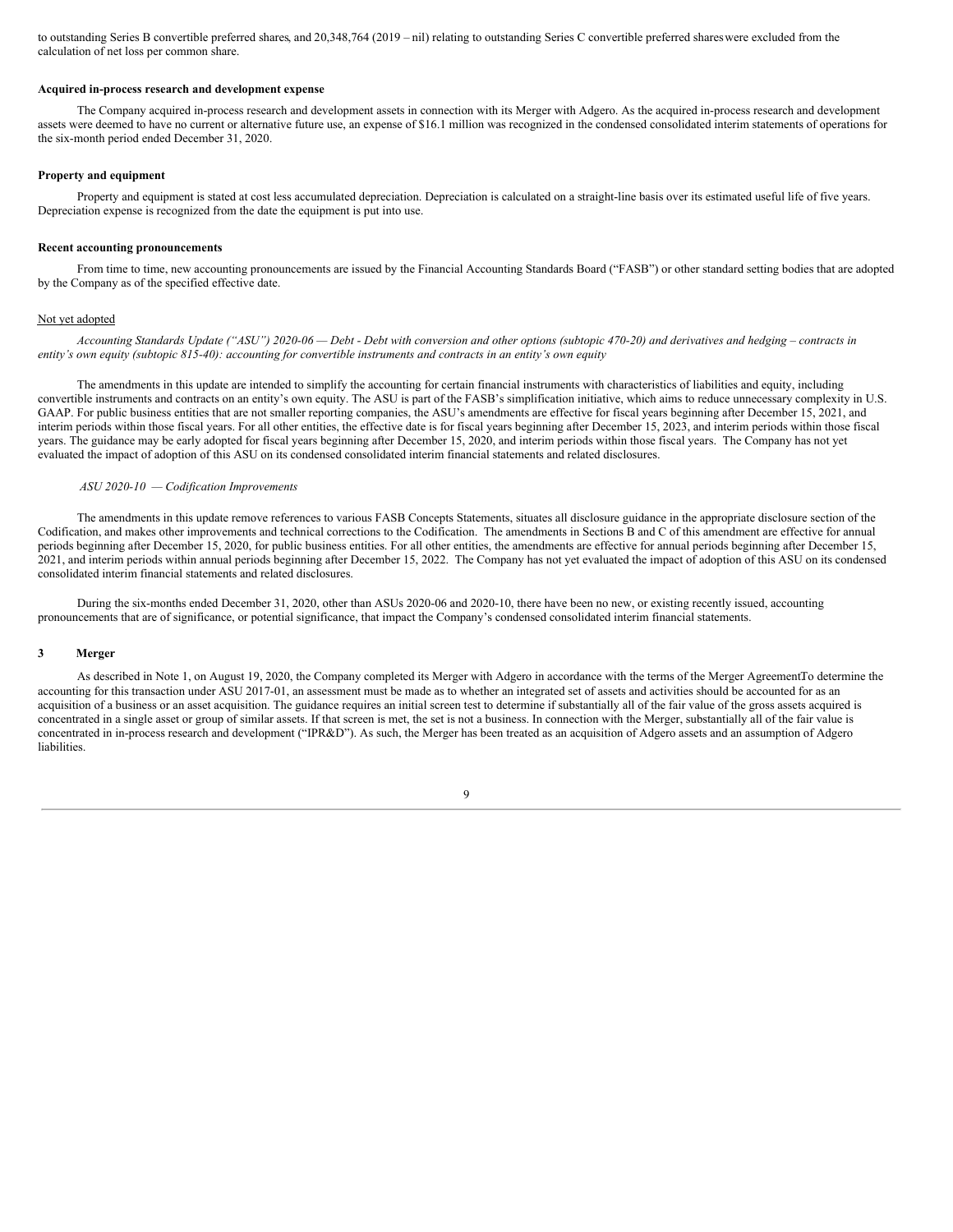to outstanding Series B convertible preferred shares, and 20,348,764 (2019 – nil) relating to outstanding Series C convertible preferred shareswere excluded from the calculation of net loss per common share.

### **Acquired in-process research and development expense**

The Company acquired in-process research and development assets in connection with its Merger with Adgero. As the acquired in-process research and development assets were deemed to have no current or alternative future use, an expense of \$16.1 million was recognized in the condensed consolidated interim statements of operations for the six-month period ended December 31, 2020.

#### **Property and equipment**

Property and equipment is stated at cost less accumulated depreciation. Depreciation is calculated on a straight-line basis over its estimated useful life of five years. Depreciation expense is recognized from the date the equipment is put into use.

#### **Recent accounting pronouncements**

From time to time, new accounting pronouncements are issued by the Financial Accounting Standards Board ("FASB") or other standard setting bodies that are adopted by the Company as of the specified effective date.

### Not yet adopted

Accounting Standards Update ("ASU") 2020-06 - Debt - Debt with conversion and other options (subtopic 470-20) and derivatives and hedging - contracts in entity's own equity (subtopic 815-40): accounting for convertible instruments and contracts in an entity's own equity

The amendments in this update are intended to simplify the accounting for certain financial instruments with characteristics of liabilities and equity, including convertible instruments and contracts on an entity's own equity. The ASU is part of the FASB's simplification initiative, which aims to reduce unnecessary complexity in U.S. GAAP. For public business entities that are not smaller reporting companies, the ASU's amendments are effective for fiscal years beginning after December 15, 2021, and interim periods within those fiscal years. For all other entities, the effective date is for fiscal years beginning after December 15, 2023, and interim periods within those fiscal years. The guidance may be early adopted for fiscal years beginning after December 15, 2020, and interim periods within those fiscal years. The Company has not yet evaluated the impact of adoption of this ASU on its condensed consolidated interim financial statements and related disclosures.

## *ASU 2020-10 — Codification Improvements*

The amendments in this update remove references to various FASB Concepts Statements, situates all disclosure guidance in the appropriate disclosure section of the Codification, and makes other improvements and technical corrections to the Codification. The amendments in Sections B and C of this amendment are effective for annual periods beginning after December 15, 2020, for public business entities. For all other entities, the amendments are effective for annual periods beginning after December 15, 2021, and interim periods within annual periods beginning after December 15, 2022. The Company has not yet evaluated the impact of adoption of this ASU on its condensed consolidated interim financial statements and related disclosures.

During the six-months ended December 31, 2020, other than ASUs 2020-06 and 2020-10, there have been no new, or existing recently issued, accounting pronouncements that are of significance, or potential significance, that impact the Company's condensed consolidated interim financial statements.

### **3 Merger**

As described in Note 1, on August 19, 2020, the Company completed its Merger with Adgero in accordance with the terms of the Merger AgreementTo determine the accounting for this transaction under ASU 2017-01, an assessment must be made as to whether an integrated set of assets and activities should be accounted for as an acquisition of a business or an asset acquisition. The guidance requires an initial screen test to determine if substantially all of the fair value of the gross assets acquired is concentrated in a single asset or group of similar assets. If that screen is met, the set is not a business. In connection with the Merger, substantially all of the fair value is concentrated in in-process research and development ("IPR&D"). As such, the Merger has been treated as an acquisition of Adgero assets and an assumption of Adgero liabilities.

 $\overline{Q}$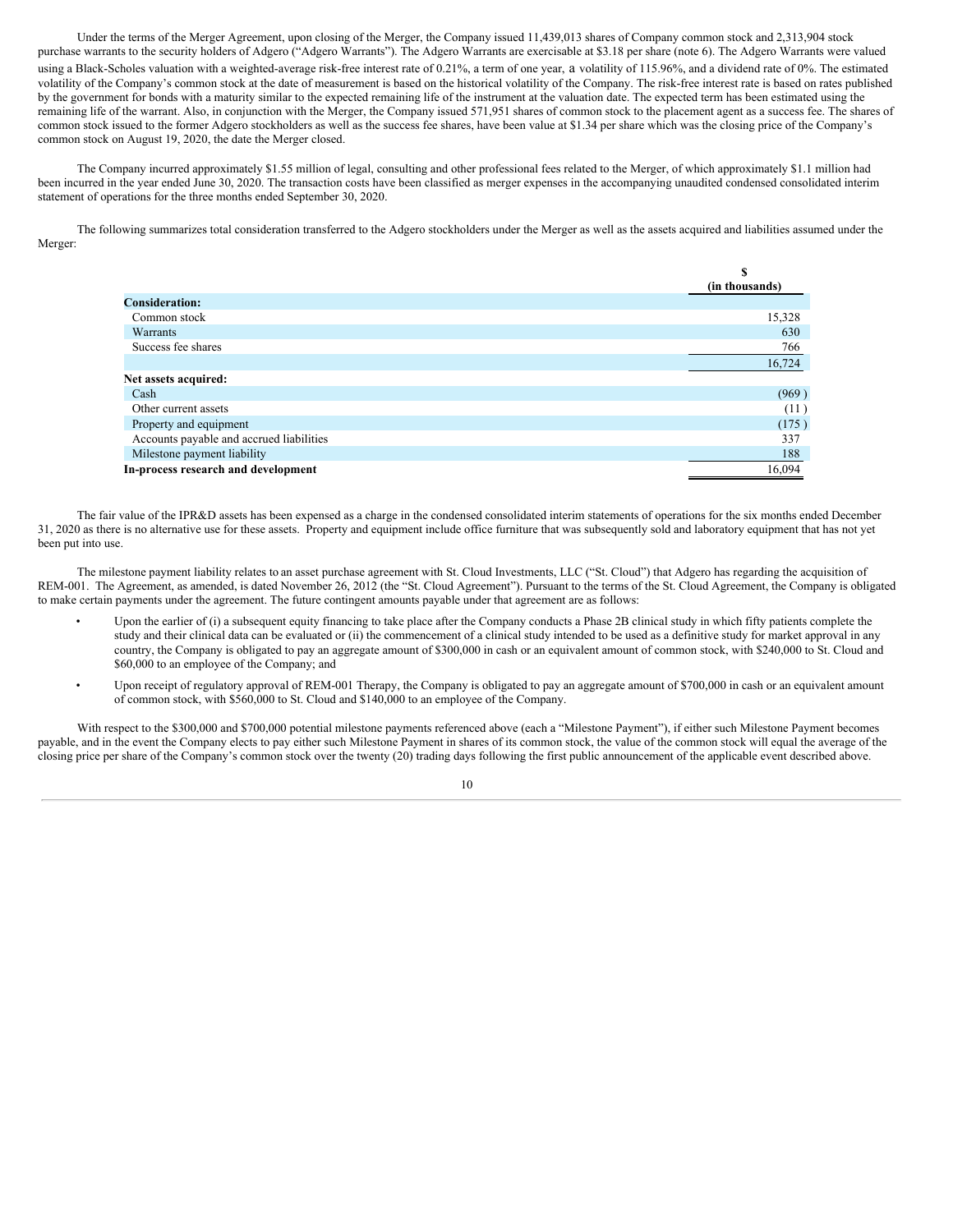Under the terms of the Merger Agreement, upon closing of the Merger, the Company issued 11,439,013 shares of Company common stock and 2,313,904 stock purchase warrants to the security holders of Adgero ("Adgero Warrants"). The Adgero Warrants are exercisable at \$3.18 per share (note 6). The Adgero Warrants were valued using a Black-Scholes valuation with a weighted-average risk-free interest rate of 0.21%, a term of one year, a volatility of 115.96%, and a dividend rate of 0%. The estimated volatility of the Company's common stock at the date of measurement is based on the historical volatility of the Company. The risk-free interest rate is based on rates published by the government for bonds with a maturity similar to the expected remaining life of the instrument at the valuation date. The expected term has been estimated using the remaining life of the warrant. Also, in conjunction with the Merger, the Company issued 571,951 shares of common stock to the placement agent as a success fee. The shares of common stock issued to the former Adgero stockholders as well as the success fee shares, have been value at \$1.34 per share which was the closing price of the Company's common stock on August 19, 2020, the date the Merger closed.

The Company incurred approximately \$1.55 million of legal, consulting and other professional fees related to the Merger, of which approximately \$1.1 million had been incurred in the year ended June 30, 2020. The transaction costs have been classified as merger expenses in the accompanying unaudited condensed consolidated interim statement of operations for the three months ended September 30, 2020.

The following summarizes total consideration transferred to the Adgero stockholders under the Merger as well as the assets acquired and liabilities assumed under the Merger:

|                                          | S              |
|------------------------------------------|----------------|
|                                          | (in thousands) |
| <b>Consideration:</b>                    |                |
| Common stock                             | 15,328         |
| Warrants                                 | 630            |
| Success fee shares                       | 766            |
|                                          | 16,724         |
| Net assets acquired:                     |                |
| Cash                                     | (969)          |
| Other current assets                     | (11)           |
| Property and equipment                   | (175)          |
| Accounts payable and accrued liabilities | 337            |
| Milestone payment liability              | 188            |
| In-process research and development      | 16,094         |

The fair value of the IPR&D assets has been expensed as a charge in the condensed consolidated interim statements of operations for the six months ended December 31, 2020 as there is no alternative use for these assets. Property and equipment include office furniture that was subsequently sold and laboratory equipment that has not yet been put into use.

The milestone payment liability relates to an asset purchase agreement with St. Cloud Investments, LLC ("St. Cloud") that Adgero has regarding the acquisition of REM-001. The Agreement, as amended, is dated November 26, 2012 (the "St. Cloud Agreement"). Pursuant to the terms of the St. Cloud Agreement, the Company is obligated to make certain payments under the agreement. The future contingent amounts payable under that agreement are as follows:

- Upon the earlier of (i) a subsequent equity financing to take place after the Company conducts a Phase 2B clinical study in which fifty patients complete the study and their clinical data can be evaluated or (ii) the commencement of a clinical study intended to be used as a definitive study for market approval in any country, the Company is obligated to pay an aggregate amount of \$300,000 in cash or an equivalent amount of common stock, with \$240,000 to St. Cloud and \$60,000 to an employee of the Company; and
- Upon receipt of regulatory approval of REM-001 Therapy, the Company is obligated to pay an aggregate amount of \$700,000 in cash or an equivalent amount of common stock, with \$560,000 to St. Cloud and \$140,000 to an employee of the Company.

With respect to the \$300,000 and \$700,000 potential milestone payments referenced above (each a "Milestone Payment"), if either such Milestone Payment becomes payable, and in the event the Company elects to pay either such Milestone Payment in shares of its common stock, the value of the common stock will equal the average of the closing price per share of the Company's common stock over the twenty (20) trading days following the first public announcement of the applicable event described above.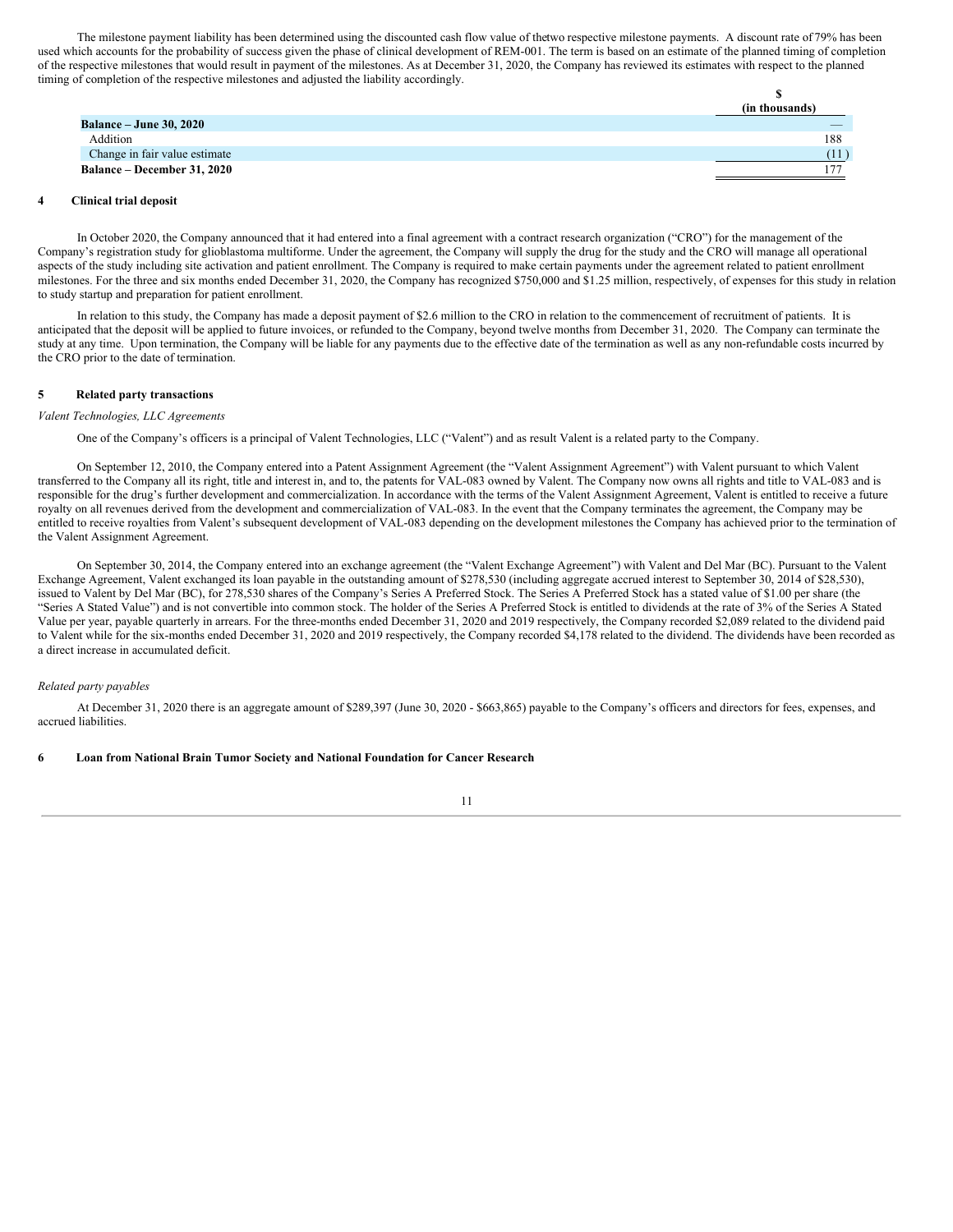The milestone payment liability has been determined using the discounted cash flow value of thetwo respective milestone payments. A discount rate of 79% has been used which accounts for the probability of success given the phase of clinical development of REM-001. The term is based on an estimate of the planned timing of completion of the respective milestones that would result in payment of the milestones. As at December 31, 2020, the Company has reviewed its estimates with respect to the planned timing of completion of the respective milestones and adjusted the liability accordingly.

**\$**

|                                    | w<br>(in thousands) |
|------------------------------------|---------------------|
| <b>Balance – June 30, 2020</b>     |                     |
| Addition                           | 188                 |
| Change in fair value estimate      |                     |
| <b>Balance – December 31, 2020</b> | 177                 |

#### **4 Clinical trial deposit**

In October 2020, the Company announced that it had entered into a final agreement with a contract research organization ("CRO") for the management of the Company's registration study for glioblastoma multiforme. Under the agreement, the Company will supply the drug for the study and the CRO will manage all operational aspects of the study including site activation and patient enrollment. The Company is required to make certain payments under the agreement related to patient enrollment milestones. For the three and six months ended December 31, 2020, the Company has recognized \$750,000 and \$1.25 million, respectively, of expenses for this study in relation to study startup and preparation for patient enrollment.

In relation to this study, the Company has made a deposit payment of \$2.6 million to the CRO in relation to the commencement of recruitment of patients. It is anticipated that the deposit will be applied to future invoices, or refunded to the Company, beyond twelve months from December 31, 2020. The Company can terminate the study at any time. Upon termination, the Company will be liable for any payments due to the effective date of the termination as well as any non-refundable costs incurred by the CRO prior to the date of termination.

## **5 Related party transactions**

#### *Valent Technologies, LLC Agreements*

One of the Company's officers is a principal of Valent Technologies, LLC ("Valent") and as result Valent is a related party to the Company.

On September 12, 2010, the Company entered into a Patent Assignment Agreement (the "Valent Assignment Agreement") with Valent pursuant to which Valent transferred to the Company all its right, title and interest in, and to, the patents for VAL-083 owned by Valent. The Company now owns all rights and title to VAL-083 and is responsible for the drug's further development and commercialization. In accordance with the terms of the Valent Assignment Agreement, Valent is entitled to receive a future royalty on all revenues derived from the development and commercialization of VAL-083. In the event that the Company terminates the agreement, the Company may be entitled to receive royalties from Valent's subsequent development of VAL-083 depending on the development milestones the Company has achieved prior to the termination of the Valent Assignment Agreement.

On September 30, 2014, the Company entered into an exchange agreement (the "Valent Exchange Agreement") with Valent and Del Mar (BC). Pursuant to the Valent Exchange Agreement, Valent exchanged its loan payable in the outstanding amount of \$278,530 (including aggregate accrued interest to September 30, 2014 of \$28,530), issued to Valent by Del Mar (BC), for 278,530 shares of the Company's Series A Preferred Stock. The Series A Preferred Stock has a stated value of \$1.00 per share (the "Series A Stated Value") and is not convertible into common stock. The holder of the Series A Preferred Stock is entitled to dividends at the rate of 3% of the Series A Stated Value per year, payable quarterly in arrears. For the three-months ended December 31, 2020 and 2019 respectively, the Company recorded \$2,089 related to the dividend paid to Valent while for the six-months ended December 31, 2020 and 2019 respectively, the Company recorded \$4,178 related to the dividend. The dividends have been recorded as a direct increase in accumulated deficit.

## *Related party payables*

At December 31, 2020 there is an aggregate amount of \$289,397 (June 30, 2020 - \$663,865) payable to the Company's officers and directors for fees, expenses, and accrued liabilities.

#### **6 Loan from National Brain Tumor Society and National Foundation for Cancer Research**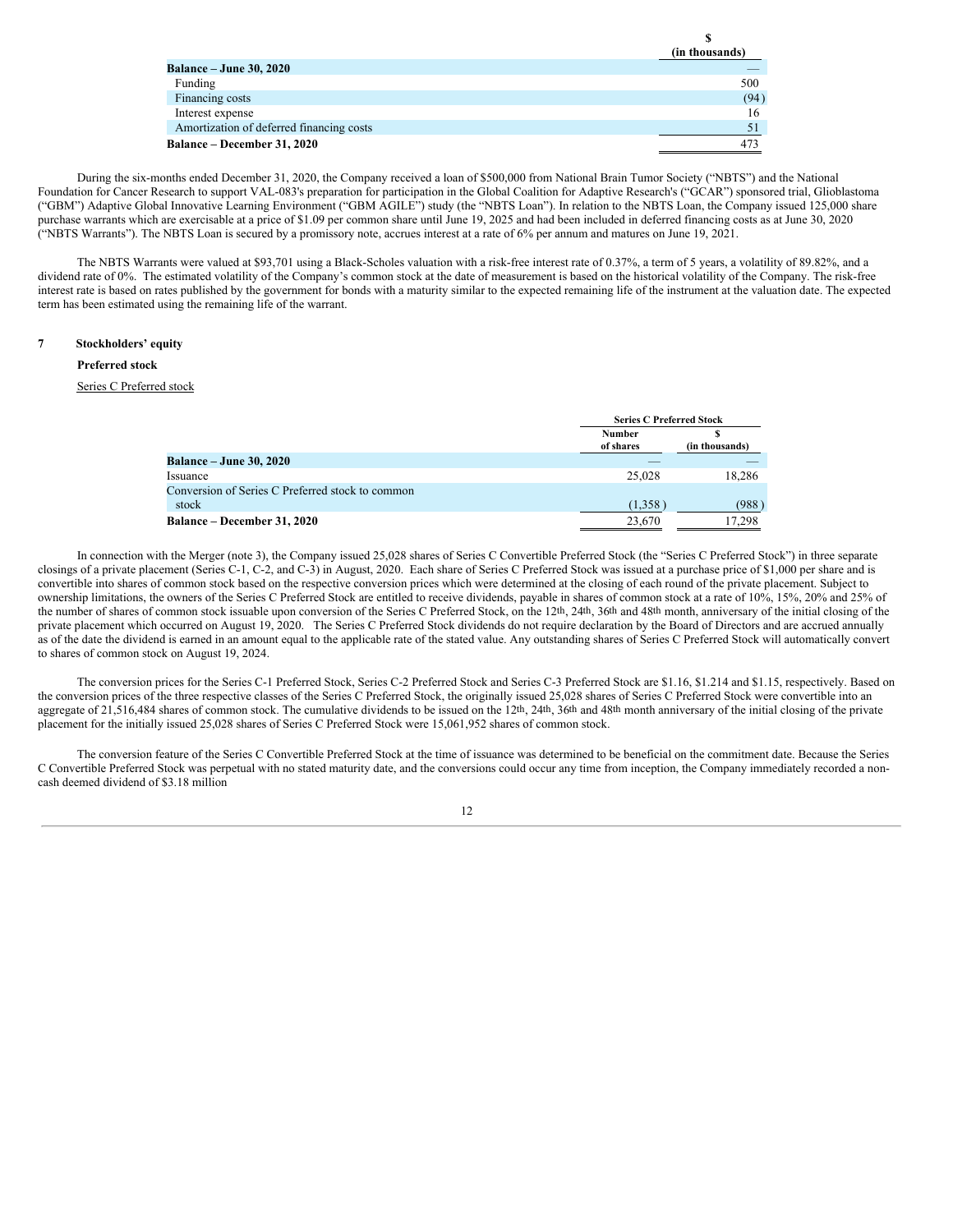|                                          | (in thousands) |
|------------------------------------------|----------------|
| <b>Balance – June 30, 2020</b>           |                |
| Funding                                  | 500            |
| Financing costs                          | (94)           |
| Interest expense                         | 16             |
| Amortization of deferred financing costs |                |
| Balance – December 31, 2020              | 473            |

During the six-months ended December 31, 2020, the Company received a loan of \$500,000 from National Brain Tumor Society ("NBTS") and the National Foundation for Cancer Research to support VAL-083's preparation for participation in the Global Coalition for Adaptive Research's ("GCAR") sponsored trial, Glioblastoma ("GBM") Adaptive Global Innovative Learning Environment ("GBM AGILE") study (the "NBTS Loan"). In relation to the NBTS Loan, the Company issued 125,000 share purchase warrants which are exercisable at a price of \$1.09 per common share until June 19, 2025 and had been included in deferred financing costs as at June 30, 2020 ("NBTS Warrants"). The NBTS Loan is secured by a promissory note, accrues interest at a rate of 6% per annum and matures on June 19, 2021.

The NBTS Warrants were valued at \$93,701 using a Black-Scholes valuation with a risk-free interest rate of 0.37%, a term of 5 years, a volatility of 89.82%, and a dividend rate of 0%. The estimated volatility of the Company's common stock at the date of measurement is based on the historical volatility of the Company. The risk-free interest rate is based on rates published by the government for bonds with a maturity similar to the expected remaining life of the instrument at the valuation date. The expected term has been estimated using the remaining life of the warrant.

## **7 Stockholders' equity**

### **Preferred stock**

## Series C Preferred stock

|                                                  | <b>Series C Preferred Stock</b> |                |
|--------------------------------------------------|---------------------------------|----------------|
|                                                  | <b>Number</b><br>of shares      | (in thousands) |
| <b>Balance – June 30, 2020</b>                   |                                 |                |
| Issuance                                         | 25,028                          | 18,286         |
| Conversion of Series C Preferred stock to common |                                 |                |
| stock                                            | (1.358)                         | (988)          |
| <b>Balance – December 31, 2020</b>               | 23,670                          | 17.298         |

In connection with the Merger (note 3), the Company issued 25,028 shares of Series C Convertible Preferred Stock (the "Series C Preferred Stock") in three separate closings of a private placement (Series C-1, C-2, and C-3) in August, 2020. Each share of Series C Preferred Stock was issued at a purchase price of \$1,000 per share and is convertible into shares of common stock based on the respective conversion prices which were determined at the closing of each round of the private placement. Subject to ownership limitations, the owners of the Series C Preferred Stock are entitled to receive dividends, payable in shares of common stock at a rate of 10%, 15%, 20% and 25% of the number of shares of common stock issuable upon conversion of the Series C Preferred Stock, on the 12th, 24th, 36th and 48th month, anniversary of the initial closing of the private placement which occurred on August 19, 2020. The Series C Preferred Stock dividends do not require declaration by the Board of Directors and are accrued annually as of the date the dividend is earned in an amount equal to the applicable rate of the stated value. Any outstanding shares of Series C Preferred Stock will automatically convert to shares of common stock on August 19, 2024.

The conversion prices for the Series C-1 Preferred Stock, Series C-2 Preferred Stock and Series C-3 Preferred Stock are \$1.16, \$1.214 and \$1.15, respectively. Based on the conversion prices of the three respective classes of the Series C Preferred Stock, the originally issued 25,028 shares of Series C Preferred Stock were convertible into an aggregate of 21,516,484 shares of common stock. The cumulative dividends to be issued on the 12th, 24th, 36th and 48th month anniversary of the initial closing of the private placement for the initially issued 25,028 shares of Series C Preferred Stock were 15,061,952 shares of common stock.

The conversion feature of the Series C Convertible Preferred Stock at the time of issuance was determined to be beneficial on the commitment date. Because the Series C Convertible Preferred Stock was perpetual with no stated maturity date, and the conversions could occur any time from inception, the Company immediately recorded a noncash deemed dividend of \$3.18 million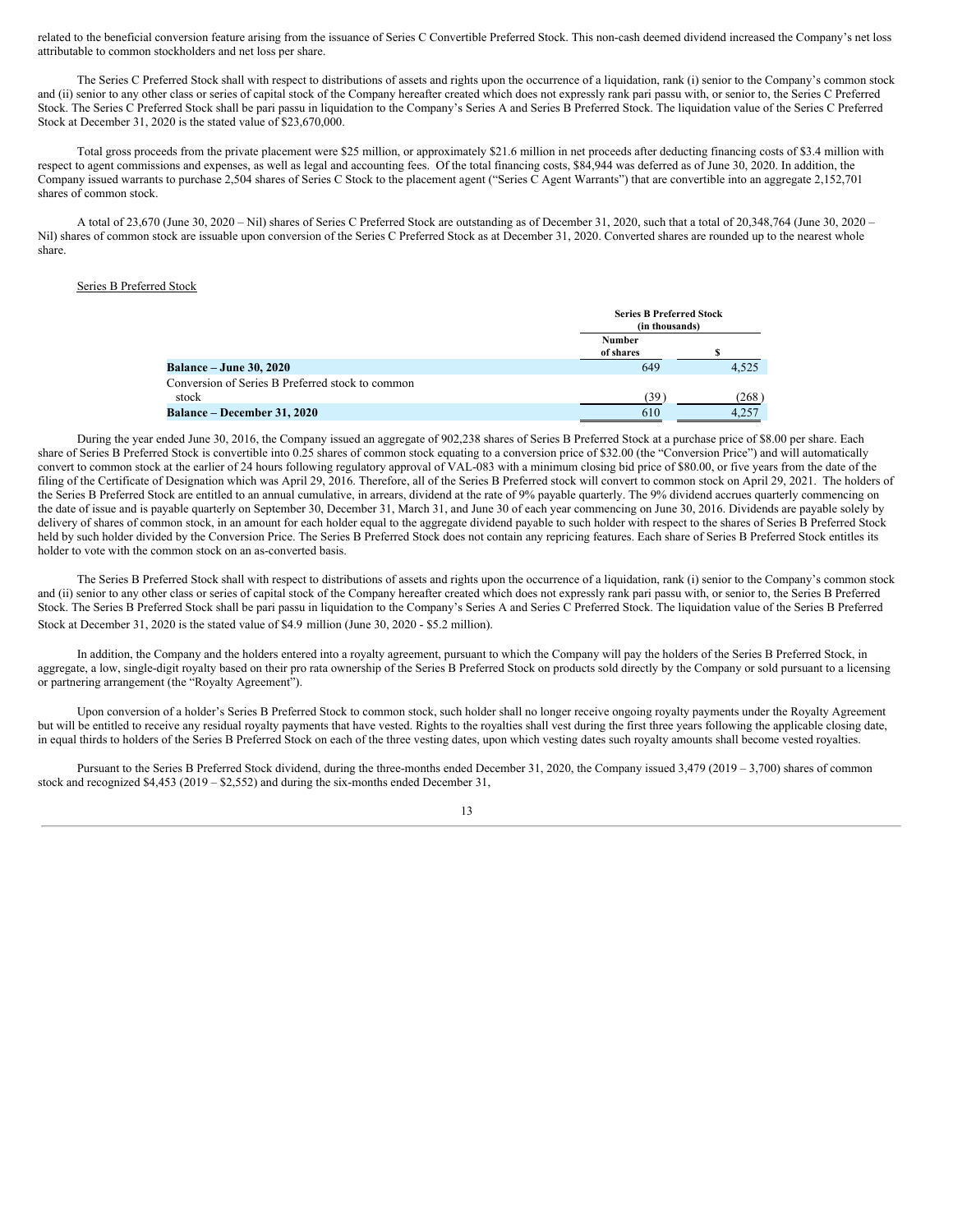related to the beneficial conversion feature arising from the issuance of Series C Convertible Preferred Stock. This non-cash deemed dividend increased the Company's net loss attributable to common stockholders and net loss per share.

The Series C Preferred Stock shall with respect to distributions of assets and rights upon the occurrence of a liquidation, rank (i) senior to the Company's common stock and (ii) senior to any other class or series of capital stock of the Company hereafter created which does not expressly rank pari passu with, or senior to, the Series C Preferred Stock. The Series C Preferred Stock shall be pari passu in liquidation to the Company's Series A and Series B Preferred Stock. The liquidation value of the Series C Preferred Stock at December 31, 2020 is the stated value of \$23,670,000.

Total gross proceeds from the private placement were \$25 million, or approximately \$21.6 million in net proceeds after deducting financing costs of \$3.4 million with respect to agent commissions and expenses, as well as legal and accounting fees. Of the total financing costs, \$84,944 was deferred as of June 30, 2020. In addition, the Company issued warrants to purchase 2,504 shares of Series C Stock to the placement agent ("Series C Agent Warrants") that are convertible into an aggregate 2,152,701 shares of common stock.

A total of 23,670 (June 30, 2020 – Nil) shares of Series C Preferred Stock are outstanding as of December 31, 2020, such that a total of 20,348,764 (June 30, 2020 – Nil) shares of common stock are issuable upon conversion of the Series C Preferred Stock as at December 31, 2020. Converted shares are rounded up to the nearest whole share.

### Series B Preferred Stock

|                                                           |                            | <b>Series B Preferred Stock</b><br>(in thousands) |  |  |
|-----------------------------------------------------------|----------------------------|---------------------------------------------------|--|--|
|                                                           | <b>Number</b><br>of shares |                                                   |  |  |
| <b>Balance – June 30, 2020</b>                            | 649                        | 4,525                                             |  |  |
| Conversion of Series B Preferred stock to common<br>stock | (39)                       | (268)                                             |  |  |
| <b>Balance – December 31, 2020</b>                        | 610                        | 4.257                                             |  |  |

During the year ended June 30, 2016, the Company issued an aggregate of 902,238 shares of Series B Preferred Stock at a purchase price of \$8.00 per share. Each share of Series B Preferred Stock is convertible into 0.25 shares of common stock equating to a conversion price of \$32.00 (the "Conversion Price") and will automatically convert to common stock at the earlier of 24 hours following regulatory approval of VAL-083 with a minimum closing bid price of \$80.00, or five years from the date of the filing of the Certificate of Designation which was April 29, 2016. Therefore, all of the Series B Preferred stock will convert to common stock on April 29, 2021. The holders of the Series B Preferred Stock are entitled to an annual cumulative, in arrears, dividend at the rate of 9% payable quarterly. The 9% dividend accrues quarterly commencing on the date of issue and is payable quarterly on September 30, December 31, March 31, and June 30 of each year commencing on June 30, 2016. Dividends are payable solely by delivery of shares of common stock, in an amount for each holder equal to the aggregate dividend payable to such holder with respect to the shares of Series B Preferred Stock held by such holder divided by the Conversion Price. The Series B Preferred Stock does not contain any repricing features. Each share of Series B Preferred Stock entitles its holder to vote with the common stock on an as-converted basis.

The Series B Preferred Stock shall with respect to distributions of assets and rights upon the occurrence of a liquidation, rank (i) senior to the Company's common stock and (ii) senior to any other class or series of capital stock of the Company hereafter created which does not expressly rank pari passu with, or senior to, the Series B Preferred Stock. The Series B Preferred Stock shall be pari passu in liquidation to the Company's Series A and Series C Preferred Stock. The liquidation value of the Series B Preferred Stock at December 31, 2020 is the stated value of \$4.9 million (June 30, 2020 - \$5.2 million).

In addition, the Company and the holders entered into a royalty agreement, pursuant to which the Company will pay the holders of the Series B Preferred Stock, in aggregate, a low, single-digit royalty based on their pro rata ownership of the Series B Preferred Stock on products sold directly by the Company or sold pursuant to a licensing or partnering arrangement (the "Royalty Agreement").

Upon conversion of a holder's Series B Preferred Stock to common stock, such holder shall no longer receive ongoing royalty payments under the Royalty Agreement but will be entitled to receive any residual royalty payments that have vested. Rights to the royalties shall vest during the first three years following the applicable closing date, in equal thirds to holders of the Series B Preferred Stock on each of the three vesting dates, upon which vesting dates such royalty amounts shall become vested royalties.

Pursuant to the Series B Preferred Stock dividend, during the three-months ended December 31, 2020, the Company issued 3,479 (2019 – 3,700) shares of common stock and recognized  $$4,453$  (2019 –  $$2,552$ ) and during the six-months ended December 31,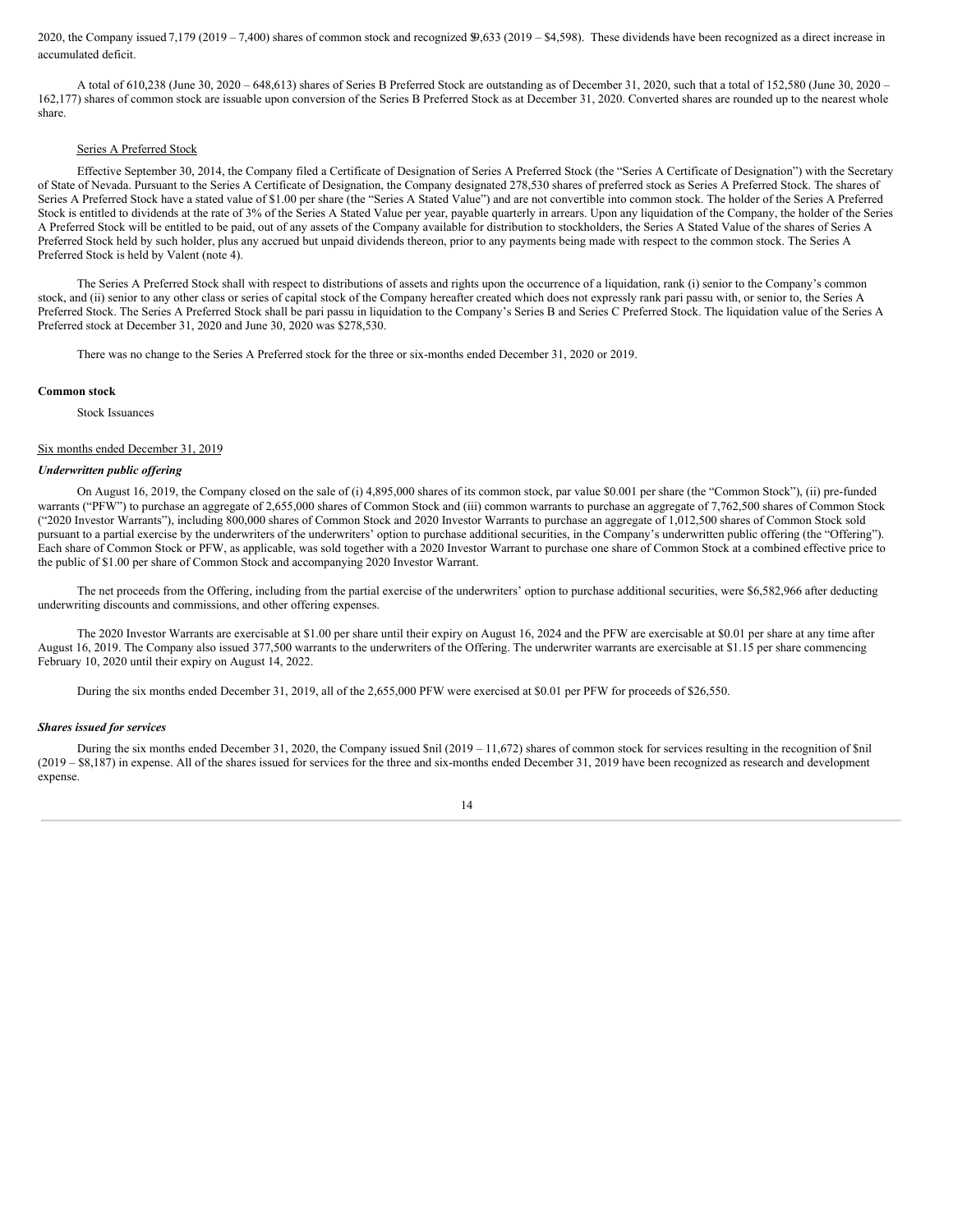2020, the Company issued 7,179 (2019 – 7,400) shares of common stock and recognized \$9,633 (2019 – \$4,598). These dividends have been recognized as a direct increase in accumulated deficit.

A total of 610,238 (June 30, 2020 – 648,613) shares of Series B Preferred Stock are outstanding as of December 31, 2020, such that a total of 152,580 (June 30, 2020 – 162,177) shares of common stock are issuable upon conversion of the Series B Preferred Stock as at December 31, 2020. Converted shares are rounded up to the nearest whole share.

### Series A Preferred Stock

Effective September 30, 2014, the Company filed a Certificate of Designation of Series A Preferred Stock (the "Series A Certificate of Designation") with the Secretary of State of Nevada. Pursuant to the Series A Certificate of Designation, the Company designated 278,530 shares of preferred stock as Series A Preferred Stock. The shares of Series A Preferred Stock have a stated value of \$1.00 per share (the "Series A Stated Value") and are not convertible into common stock. The holder of the Series A Preferred Stock is entitled to dividends at the rate of 3% of the Series A Stated Value per year, payable quarterly in arrears. Upon any liquidation of the Company, the holder of the Series A Preferred Stock will be entitled to be paid, out of any assets of the Company available for distribution to stockholders, the Series A Stated Value of the shares of Series A Preferred Stock held by such holder, plus any accrued but unpaid dividends thereon, prior to any payments being made with respect to the common stock. The Series A Preferred Stock is held by Valent (note 4).

The Series A Preferred Stock shall with respect to distributions of assets and rights upon the occurrence of a liquidation, rank (i) senior to the Company's common stock, and (ii) senior to any other class or series of capital stock of the Company hereafter created which does not expressly rank pari passu with, or senior to, the Series A Preferred Stock. The Series A Preferred Stock shall be pari passu in liquidation to the Company's Series B and Series C Preferred Stock. The liquidation value of the Series A Preferred stock at December 31, 2020 and June 30, 2020 was \$278,530.

There was no change to the Series A Preferred stock for the three or six-months ended December 31, 2020 or 2019.

### **Common stock**

Stock Issuances

## Six months ended December 31, 2019

#### *Underwritten public of ering*

On August 16, 2019, the Company closed on the sale of (i) 4,895,000 shares of its common stock, par value \$0.001 per share (the "Common Stock"), (ii) pre-funded warrants ("PFW") to purchase an aggregate of 2,655,000 shares of Common Stock and (iii) common warrants to purchase an aggregate of 7,762,500 shares of Common Stock ("2020 Investor Warrants"), including 800,000 shares of Common Stock and 2020 Investor Warrants to purchase an aggregate of 1,012,500 shares of Common Stock sold pursuant to a partial exercise by the underwriters of the underwriters' option to purchase additional securities, in the Company's underwritten public offering (the "Offering"). Each share of Common Stock or PFW, as applicable, was sold together with a 2020 Investor Warrant to purchase one share of Common Stock at a combined effective price to the public of \$1.00 per share of Common Stock and accompanying 2020 Investor Warrant.

The net proceeds from the Offering, including from the partial exercise of the underwriters' option to purchase additional securities, were \$6,582,966 after deducting underwriting discounts and commissions, and other offering expenses.

The 2020 Investor Warrants are exercisable at \$1.00 per share until their expiry on August 16, 2024 and the PFW are exercisable at \$0.01 per share at any time after August 16, 2019. The Company also issued 377,500 warrants to the underwriters of the Offering. The underwriter warrants are exercisable at \$1.15 per share commencing February 10, 2020 until their expiry on August 14, 2022.

During the six months ended December 31, 2019, all of the 2,655,000 PFW were exercised at \$0.01 per PFW for proceeds of \$26,550.

## *Shares issued for services*

During the six months ended December 31, 2020, the Company issued \$nil (2019 – 11,672) shares of common stock for services resulting in the recognition of \$nil (2019 – \$8,187) in expense. All of the shares issued for services for the three and six-months ended December 31, 2019 have been recognized as research and development expense.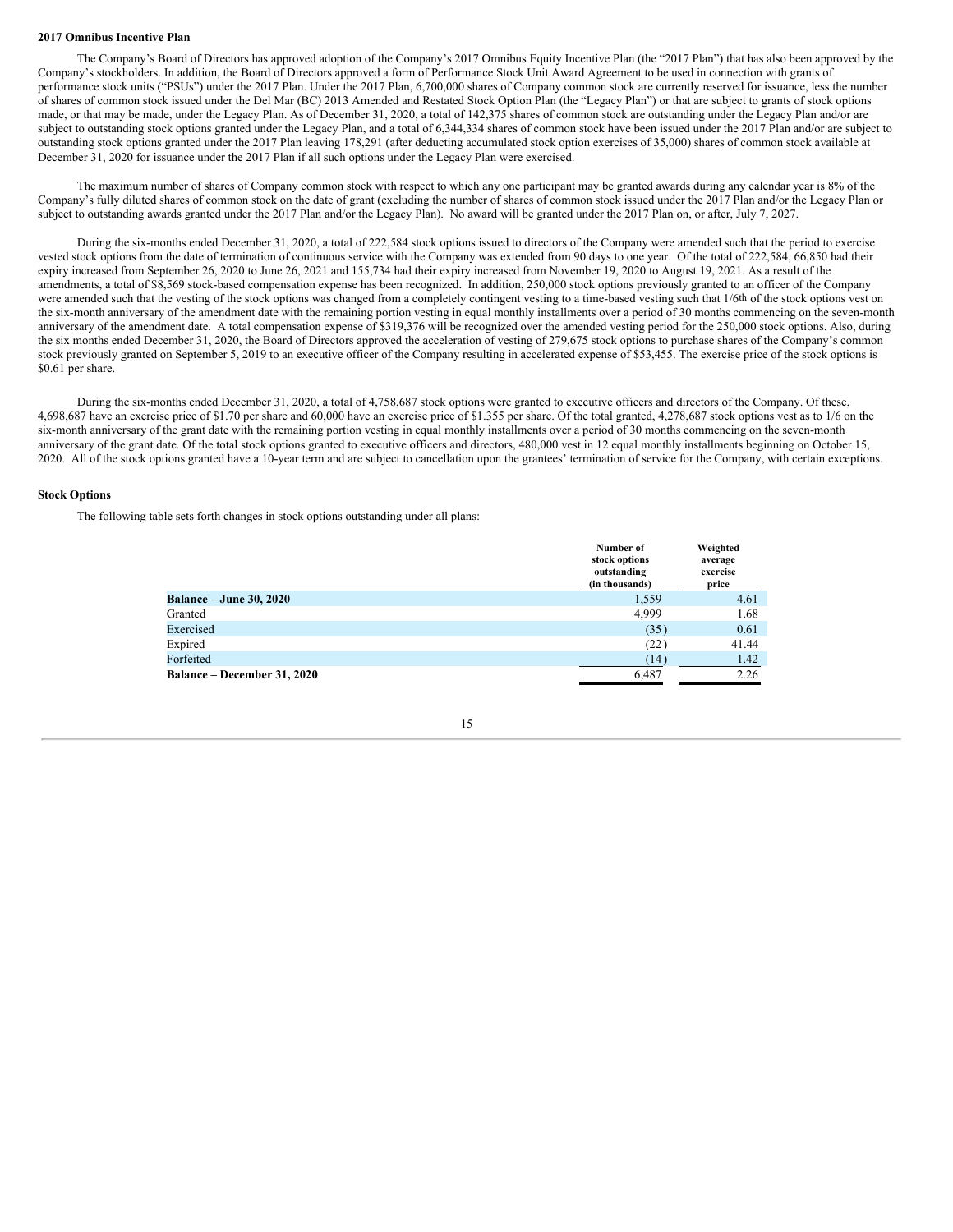#### **2017 Omnibus Incentive Plan**

The Company's Board of Directors has approved adoption of the Company's 2017 Omnibus Equity Incentive Plan (the "2017 Plan") that has also been approved by the Company's stockholders. In addition, the Board of Directors approved a form of Performance Stock Unit Award Agreement to be used in connection with grants of performance stock units ("PSUs") under the 2017 Plan. Under the 2017 Plan, 6,700,000 shares of Company common stock are currently reserved for issuance, less the number of shares of common stock issued under the Del Mar (BC) 2013 Amended and Restated Stock Option Plan (the "Legacy Plan") or that are subject to grants of stock options made, or that may be made, under the Legacy Plan. As of December 31, 2020, a total of 142,375 shares of common stock are outstanding under the Legacy Plan and/or are subject to outstanding stock options granted under the Legacy Plan, and a total of 6,344,334 shares of common stock have been issued under the 2017 Plan and/or are subject to outstanding stock options granted under the 2017 Plan leaving 178,291 (after deducting accumulated stock option exercises of 35,000) shares of common stock available at December 31, 2020 for issuance under the 2017 Plan if all such options under the Legacy Plan were exercised.

The maximum number of shares of Company common stock with respect to which any one participant may be granted awards during any calendar year is 8% of the Company's fully diluted shares of common stock on the date of grant (excluding the number of shares of common stock issued under the 2017 Plan and/or the Legacy Plan or subject to outstanding awards granted under the 2017 Plan and/or the Legacy Plan). No award will be granted under the 2017 Plan on, or after, July 7, 2027.

During the six-months ended December 31, 2020, a total of 222,584 stock options issued to directors of the Company were amended such that the period to exercise vested stock options from the date of termination of continuous service with the Company was extended from 90 days to one year. Of the total of 222,584, 66,850 had their expiry increased from September 26, 2020 to June 26, 2021 and 155,734 had their expiry increased from November 19, 2020 to August 19, 2021. As a result of the amendments, a total of \$8,569 stock-based compensation expense has been recognized. In addition, 250,000 stock options previously granted to an officer of the Company were amended such that the vesting of the stock options was changed from a completely contingent vesting to a time-based vesting such that 1/6th of the stock options vest on the six-month anniversary of the amendment date with the remaining portion vesting in equal monthly installments over a period of 30 months commencing on the seven-month anniversary of the amendment date. A total compensation expense of \$319,376 will be recognized over the amended vesting period for the 250,000 stock options. Also, during the six months ended December 31, 2020, the Board of Directors approved the acceleration of vesting of 279,675 stock options to purchase shares of the Company's common stock previously granted on September 5, 2019 to an executive officer of the Company resulting in accelerated expense of \$53,455. The exercise price of the stock options is \$0.61 per share.

During the six-months ended December 31, 2020, a total of 4,758,687 stock options were granted to executive officers and directors of the Company. Of these, 4,698,687 have an exercise price of \$1.70 per share and 60,000 have an exercise price of \$1.355 per share. Of the total granted, 4,278,687 stock options vest as to 1/6 on the six-month anniversary of the grant date with the remaining portion vesting in equal monthly installments over a period of 30 months commencing on the seven-month anniversary of the grant date. Of the total stock options granted to executive officers and directors, 480,000 vest in 12 equal monthly installments beginning on October 15, 2020. All of the stock options granted have a 10-year term and are subject to cancellation upon the grantees' termination of service for the Company, with certain exceptions.

#### **Stock Options**

The following table sets forth changes in stock options outstanding under all plans:

|                                    | Number of<br>stock options<br>outstanding<br>(in thousands) | Weighted<br>average<br>exercise<br>price |
|------------------------------------|-------------------------------------------------------------|------------------------------------------|
| <b>Balance – June 30, 2020</b>     | 1,559                                                       | 4.61                                     |
| Granted                            | 4,999                                                       | 1.68                                     |
| Exercised                          | (35)                                                        | 0.61                                     |
| Expired                            | (22)                                                        | 41.44                                    |
| Forfeited                          | (14)                                                        | 1.42                                     |
| <b>Balance – December 31, 2020</b> | 6.487                                                       | 2.26                                     |

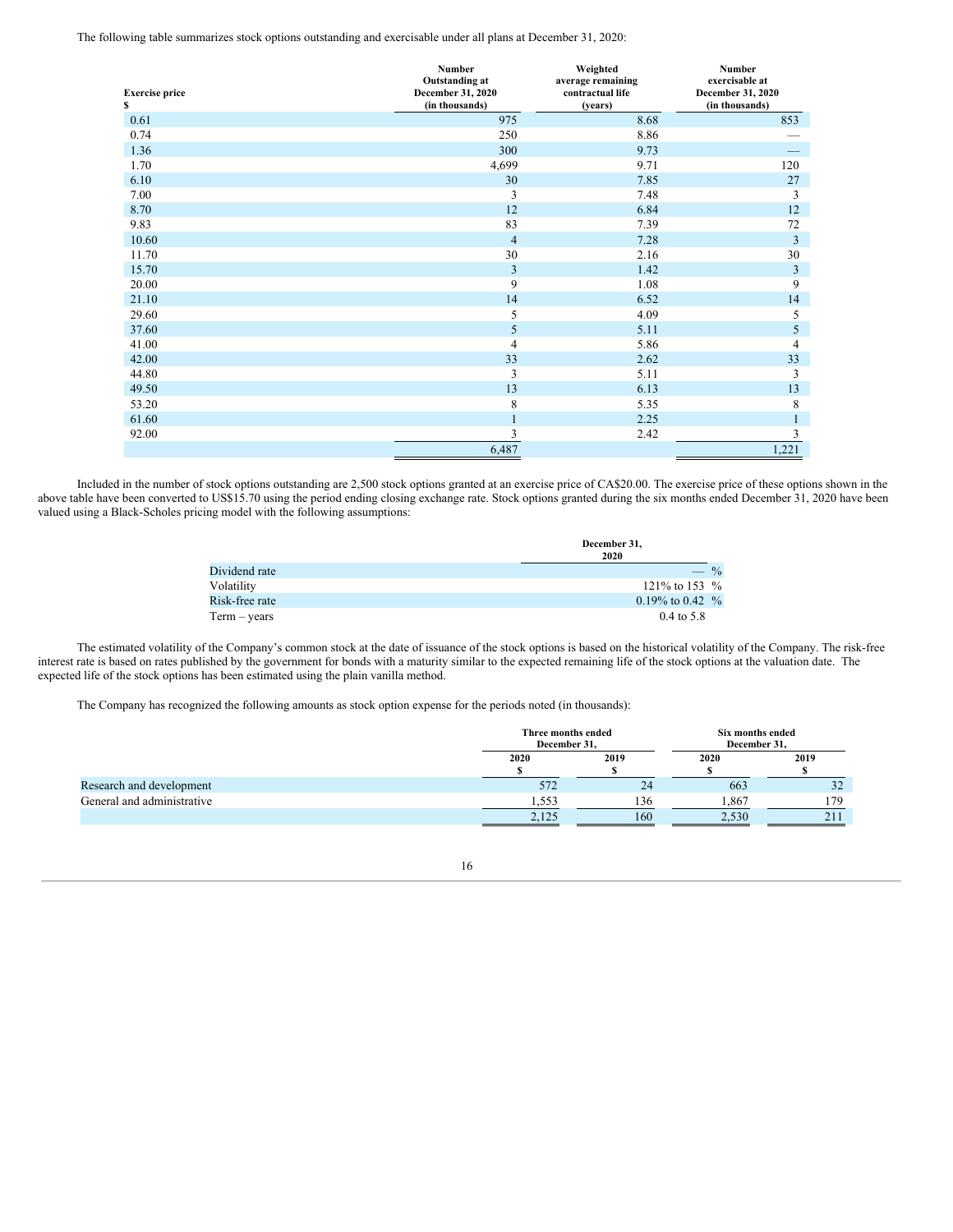The following table summarizes stock options outstanding and exercisable under all plans at December 31, 2020:

| <b>Exercise price</b><br>\$ | Number<br><b>Outstanding at</b><br>December 31, 2020<br>(in thousands) | Weighted<br>average remaining<br>contractual life<br>(vears) | <b>Number</b><br>exercisable at<br>December 31, 2020<br>(in thousands) |
|-----------------------------|------------------------------------------------------------------------|--------------------------------------------------------------|------------------------------------------------------------------------|
| 0.61                        | 975                                                                    | 8.68                                                         | 853                                                                    |
| 0.74                        | 250                                                                    | 8.86                                                         |                                                                        |
| 1.36                        | 300                                                                    | 9.73                                                         |                                                                        |
| 1.70                        | 4,699                                                                  | 9.71                                                         | 120                                                                    |
| 6.10                        | 30                                                                     | 7.85                                                         | 27                                                                     |
| 7.00                        | 3                                                                      | 7.48                                                         | 3                                                                      |
| 8.70                        | 12                                                                     | 6.84                                                         | 12                                                                     |
| 9.83                        | 83                                                                     | 7.39                                                         | 72                                                                     |
| 10.60                       | $\overline{4}$                                                         | 7.28                                                         | $\overline{3}$                                                         |
| 11.70                       | 30                                                                     | 2.16                                                         | 30                                                                     |
| 15.70                       | 3                                                                      | 1.42                                                         | 3                                                                      |
| 20.00                       | 9                                                                      | 1.08                                                         | 9                                                                      |
| 21.10                       | 14                                                                     | 6.52                                                         | 14                                                                     |
| 29.60                       | 5                                                                      | 4.09                                                         | 5                                                                      |
| 37.60                       | 5                                                                      | 5.11                                                         | 5                                                                      |
| 41.00                       | $\overline{4}$                                                         | 5.86                                                         | $\overline{4}$                                                         |
| 42.00                       | 33                                                                     | 2.62                                                         | 33                                                                     |
| 44.80                       | 3                                                                      | 5.11                                                         | 3                                                                      |
| 49.50                       | 13                                                                     | 6.13                                                         | 13                                                                     |
| 53.20                       | 8                                                                      | 5.35                                                         | 8                                                                      |
| 61.60                       | $\mathbf{1}$                                                           | 2.25                                                         | $\mathbf{1}$                                                           |
| 92.00                       | 3                                                                      | 2.42                                                         | 3                                                                      |
|                             | 6,487                                                                  |                                                              | 1,221                                                                  |

Included in the number of stock options outstanding are 2,500 stock options granted at an exercise price of CA\$20.00. The exercise price of these options shown in the above table have been converted to US\$15.70 using the period ending closing exchange rate. Stock options granted during the six months ended December 31, 2020 have been valued using a Black-Scholes pricing model with the following assumptions:

|                | December 31,<br>2020  |
|----------------|-----------------------|
| Dividend rate  | $\%$                  |
| Volatility     | 121\% to 153 \%       |
| Risk-free rate | 0.19% to 0.42 %       |
| $Term - years$ | $0.4 \text{ to } 5.8$ |

The estimated volatility of the Company's common stock at the date of issuance of the stock options is based on the historical volatility of the Company. The risk-free interest rate is based on rates published by the government for bonds with a maturity similar to the expected remaining life of the stock options at the valuation date. The expected life of the stock options has been estimated using the plain vanilla method.

The Company has recognized the following amounts as stock option expense for the periods noted (in thousands):

|                            | Three months ended<br>December 31, |      | Six months ended<br>December 31, |      |  |
|----------------------------|------------------------------------|------|----------------------------------|------|--|
|                            | 2020                               | 2019 | 2020                             | 2019 |  |
| Research and development   | 572                                | 24   | 663                              | 32   |  |
| General and administrative | .553                               | 136  | 1,867                            | 179  |  |
|                            | 2,125                              | 160  | 2,530                            | 211  |  |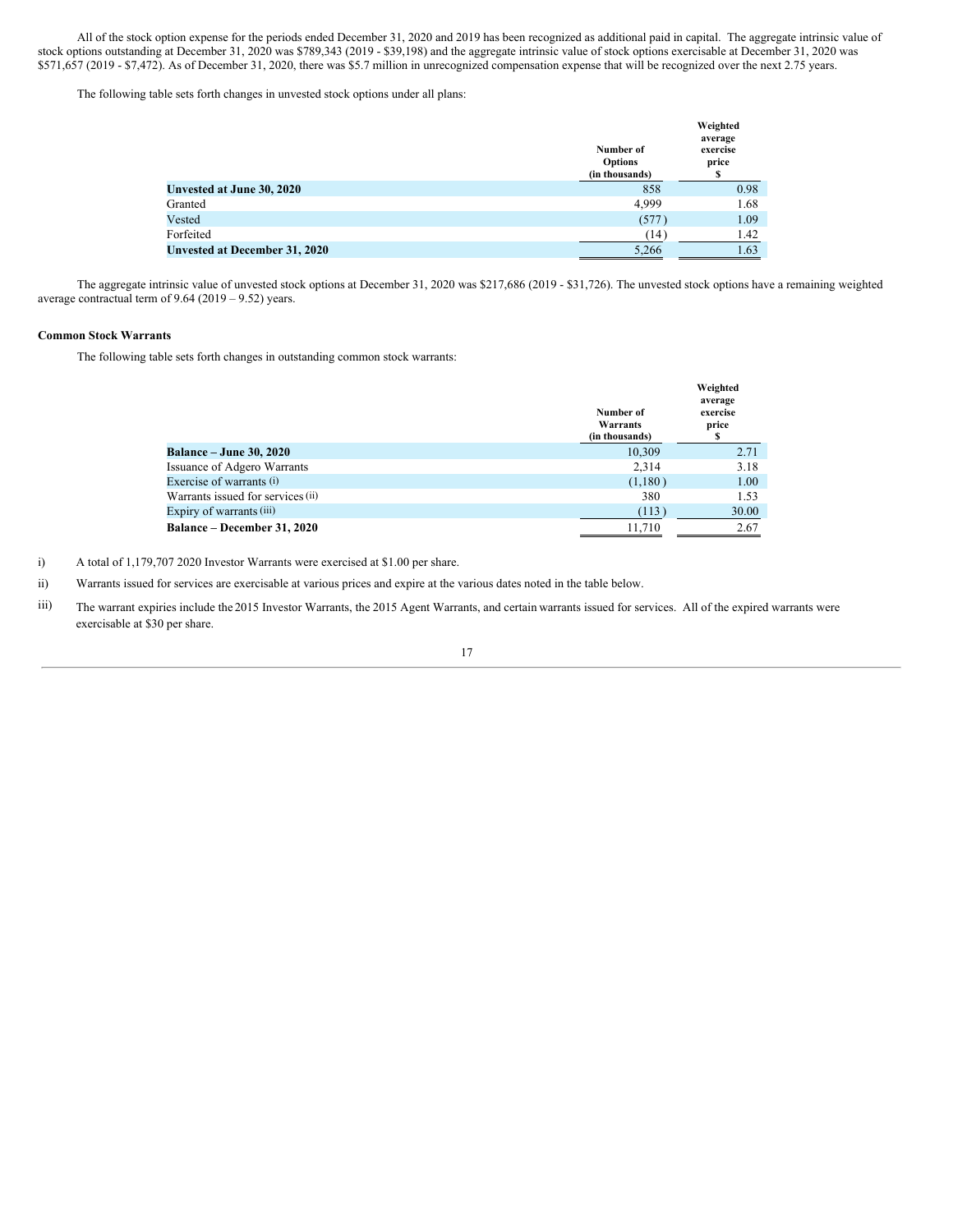All of the stock option expense for the periods ended December 31, 2020 and 2019 has been recognized as additional paid in capital. The aggregate intrinsic value of stock options outstanding at December 31, 2020 was \$789,343 (2019 - \$39,198) and the aggregate intrinsic value of stock options exercisable at December 31, 2020 was \$571,657 (2019 - \$7,472). As of December 31, 2020, there was \$5.7 million in unrecognized compensation expense that will be recognized over the next 2.75 years.

The following table sets forth changes in unvested stock options under all plans:

|                               | Number of<br><b>Options</b><br>(in thousands) | Weighted<br>average<br>exercise<br>price |
|-------------------------------|-----------------------------------------------|------------------------------------------|
| Unvested at June 30, 2020     | 858                                           | 0.98                                     |
| Granted                       | 4,999                                         | 1.68                                     |
| Vested                        | (577)                                         | 1.09                                     |
| Forfeited                     | (14)                                          | 1.42                                     |
| Unvested at December 31, 2020 | 5,266                                         | 1.63                                     |

The aggregate intrinsic value of unvested stock options at December 31, 2020 was \$217,686 (2019 - \$31,726). The unvested stock options have a remaining weighted average contractual term of 9.64 (2019 – 9.52) years.

## **Common Stock Warrants**

The following table sets forth changes in outstanding common stock warrants:

|                                    | Number of<br>Warrants<br>(in thousands) | Weighted<br>average<br>exercise<br>price |
|------------------------------------|-----------------------------------------|------------------------------------------|
| <b>Balance – June 30, 2020</b>     | 10,309                                  | 2.71                                     |
| Issuance of Adgero Warrants        | 2,314                                   | 3.18                                     |
| Exercise of warrants (i)           | (1,180)                                 | 1.00                                     |
| Warrants issued for services (ii)  | 380                                     | 1.53                                     |
| Expiry of warrants (iii)           | (113)                                   | 30.00                                    |
| <b>Balance – December 31, 2020</b> | 11,710                                  | 2.67                                     |

i) A total of 1,179,707 2020 Investor Warrants were exercised at \$1.00 per share.

ii) Warrants issued for services are exercisable at various prices and expire at the various dates noted in the table below.

iii) The warrant expiries include the 2015 Investor Warrants, the 2015 Agent Warrants, and certain warrants issued for services. All of the expired warrants were exercisable at \$30 per share.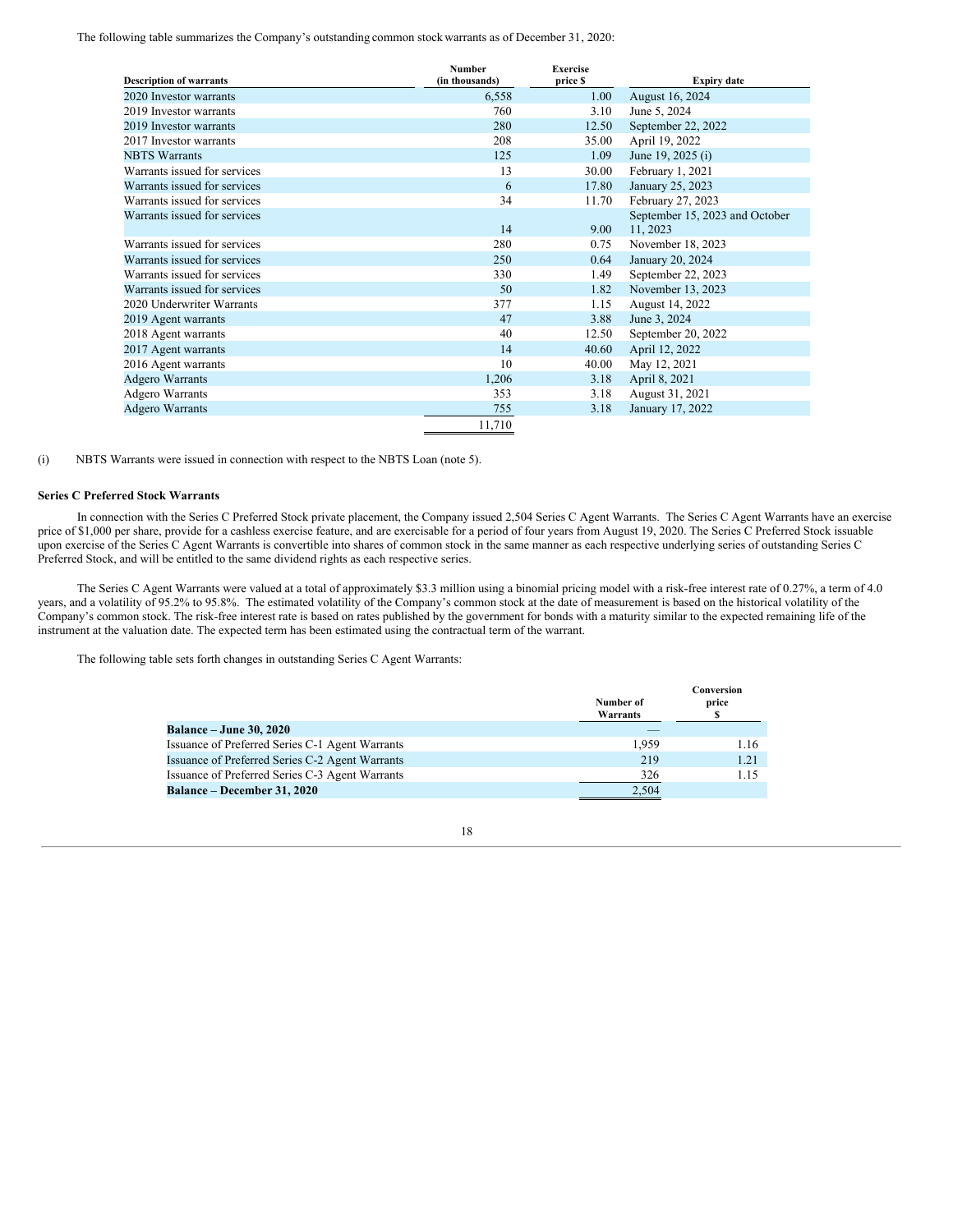The following table summarizes the Company's outstanding common stock warrants as of December 31, 2020:

|                                | <b>Number</b>  | <b>Exercise</b> |                                |
|--------------------------------|----------------|-----------------|--------------------------------|
| <b>Description of warrants</b> | (in thousands) | price \$        | <b>Expiry date</b>             |
| 2020 Investor warrants         | 6,558          | 1.00            | August 16, 2024                |
| 2019 Investor warrants         | 760            | 3.10            | June 5, 2024                   |
| 2019 Investor warrants         | 280            | 12.50           | September 22, 2022             |
| 2017 Investor warrants         | 208            | 35.00           | April 19, 2022                 |
| <b>NBTS</b> Warrants           | 125            | 1.09            | June 19, 2025 (i)              |
| Warrants issued for services   | 13             | 30.00           | February 1, 2021               |
| Warrants issued for services   | 6              | 17.80           | January 25, 2023               |
| Warrants issued for services   | 34             | 11.70           | February 27, 2023              |
| Warrants issued for services   |                |                 | September 15, 2023 and October |
|                                | 14             | 9.00            | 11, 2023                       |
| Warrants issued for services   | 280            | 0.75            | November 18, 2023              |
| Warrants issued for services   | 250            | 0.64            | January 20, 2024               |
| Warrants issued for services   | 330            | 1.49            | September 22, 2023             |
| Warrants issued for services   | 50             | 1.82            | November 13, 2023              |
| 2020 Underwriter Warrants      | 377            | 1.15            | August 14, 2022                |
| 2019 Agent warrants            | 47             | 3.88            | June 3, 2024                   |
| 2018 Agent warrants            | 40             | 12.50           | September 20, 2022             |
| 2017 Agent warrants            | 14             | 40.60           | April 12, 2022                 |
| 2016 Agent warrants            | 10             | 40.00           | May 12, 2021                   |
| <b>Adgero Warrants</b>         | 1,206          | 3.18            | April 8, 2021                  |
| Adgero Warrants                | 353            | 3.18            | August 31, 2021                |
| <b>Adgero Warrants</b>         | 755            | 3.18            | January 17, 2022               |
|                                | 11,710         |                 |                                |

(i) NBTS Warrants were issued in connection with respect to the NBTS Loan (note 5).

## **Series C Preferred Stock Warrants**

In connection with the Series C Preferred Stock private placement, the Company issued 2,504 Series C Agent Warrants. The Series C Agent Warrants have an exercise price of \$1,000 per share, provide for a cashless exercise feature, and are exercisable for a period of four years from August 19, 2020. The Series C Preferred Stock issuable upon exercise of the Series C Agent Warrants is convertible into shares of common stock in the same manner as each respective underlying series of outstanding Series C Preferred Stock, and will be entitled to the same dividend rights as each respective series.

The Series C Agent Warrants were valued at a total of approximately \$3.3 million using a binomial pricing model with a risk-free interest rate of 0.27%, a term of 4.0 years, and a volatility of 95.2% to 95.8%. The estimated volatility of the Company's common stock at the date of measurement is based on the historical volatility of the Company's common stock. The risk-free interest rate is based on rates published by the government for bonds with a maturity similar to the expected remaining life of the instrument at the valuation date. The expected term has been estimated using the contractual term of the warrant.

The following table sets forth changes in outstanding Series C Agent Warrants:

|                                                 | Number of<br>Warrants | Conversion<br>price |
|-------------------------------------------------|-----------------------|---------------------|
| <b>Balance – June 30, 2020</b>                  |                       |                     |
| Issuance of Preferred Series C-1 Agent Warrants | 1.959                 | 1.16                |
| Issuance of Preferred Series C-2 Agent Warrants | 219                   | 1.21                |
| Issuance of Preferred Series C-3 Agent Warrants | 326                   | 1.15                |
| <b>Balance – December 31, 2020</b>              | 2.504                 |                     |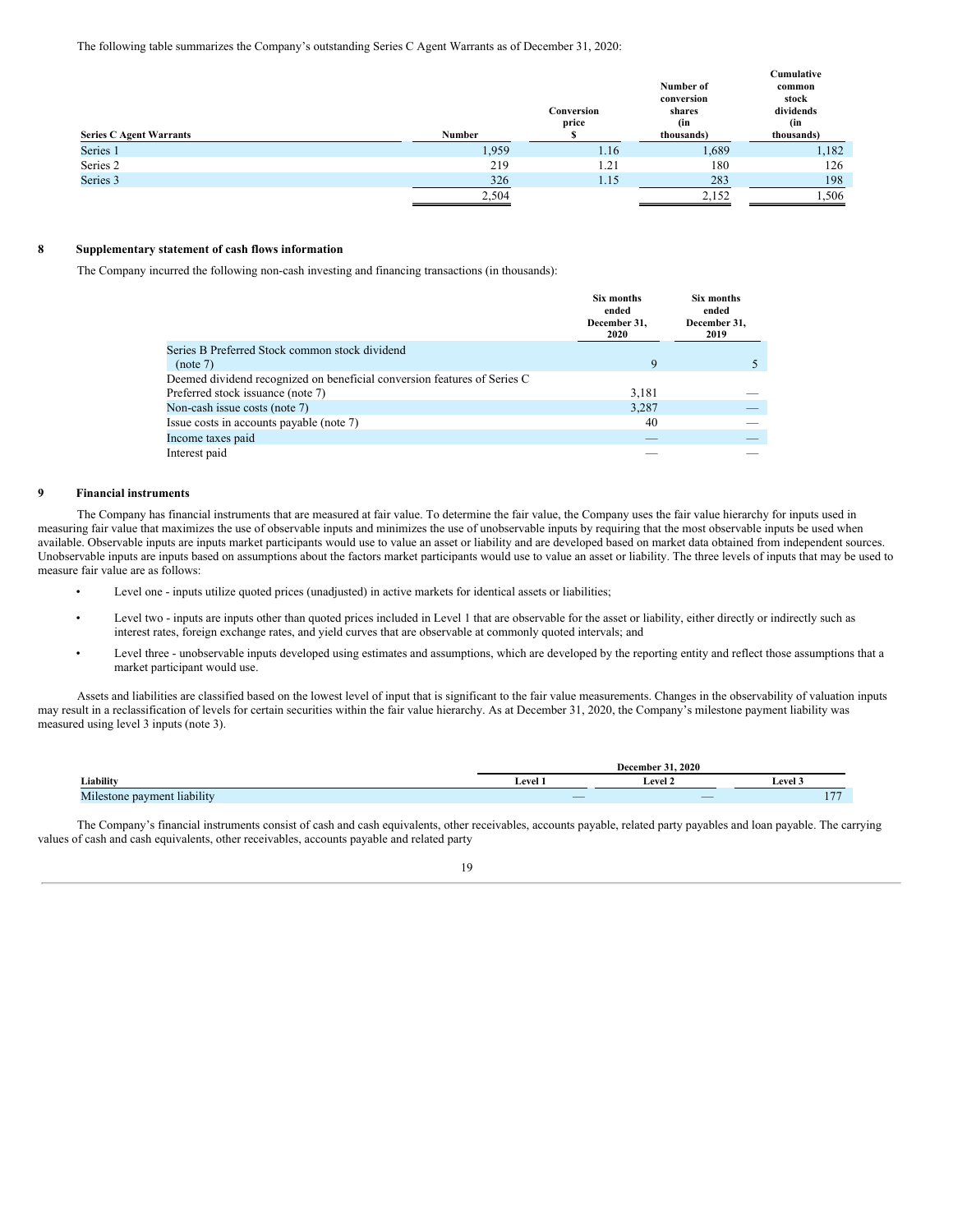The following table summarizes the Company's outstanding Series C Agent Warrants as of December 31, 2020:

| <b>Series C Agent Warrants</b> | <b>Number</b> | Conversion<br>price | Number of<br>conversion<br>shares<br>(in<br>thousands) | Сишинанте<br>common<br>stock<br>dividends<br>(in<br>thousands) |
|--------------------------------|---------------|---------------------|--------------------------------------------------------|----------------------------------------------------------------|
| Series 1                       | 1,959         | 1.16                | 1,689                                                  | 1,182                                                          |
| Series 2                       | 219           | 1.21                | 180                                                    | 126                                                            |
| Series 3                       | 326           | 1.15                | 283                                                    | 198                                                            |
|                                | 2,504         |                     | 2,152                                                  | 1,506                                                          |

**Cumulative**

## **8 Supplementary statement of cash flows information**

The Company incurred the following non-cash investing and financing transactions (in thousands):

|                                                                          | Six months<br>ended<br>December 31.<br>2020 | <b>Six months</b><br>ended<br>December 31.<br>2019 |
|--------------------------------------------------------------------------|---------------------------------------------|----------------------------------------------------|
| Series B Preferred Stock common stock dividend                           |                                             |                                                    |
| (note 7)                                                                 | 9                                           |                                                    |
| Deemed dividend recognized on beneficial conversion features of Series C |                                             |                                                    |
| Preferred stock issuance (note 7)                                        | 3,181                                       |                                                    |
| Non-cash issue costs (note 7)                                            | 3,287                                       |                                                    |
| Issue costs in accounts payable (note 7)                                 | 40                                          |                                                    |
| Income taxes paid                                                        |                                             |                                                    |
| Interest paid                                                            |                                             |                                                    |

#### **9 Financial instruments**

The Company has financial instruments that are measured at fair value. To determine the fair value, the Company uses the fair value hierarchy for inputs used in measuring fair value that maximizes the use of observable inputs and minimizes the use of unobservable inputs by requiring that the most observable inputs be used when available. Observable inputs are inputs market participants would use to value an asset or liability and are developed based on market data obtained from independent sources. Unobservable inputs are inputs based on assumptions about the factors market participants would use to value an asset or liability. The three levels of inputs that may be used to measure fair value are as follows:

- Level one inputs utilize quoted prices (unadjusted) in active markets for identical assets or liabilities;
- Level two inputs are inputs other than quoted prices included in Level 1 that are observable for the asset or liability, either directly or indirectly such as interest rates, foreign exchange rates, and yield curves that are observable at commonly quoted intervals; and
- Level three unobservable inputs developed using estimates and assumptions, which are developed by the reporting entity and reflect those assumptions that a market participant would use.

Assets and liabilities are classified based on the lowest level of input that is significant to the fair value measurements. Changes in the observability of valuation inputs may result in a reclassification of levels for certain securities within the fair value hierarchy. As at December 31, 2020, the Company's milestone payment liability was measured using level 3 inputs (note 3).

|                                                  | <b>December 31, 2020</b>       |                               |        |  |
|--------------------------------------------------|--------------------------------|-------------------------------|--------|--|
| Liability                                        | Level 3<br>Level 1<br>$\alpha$ |                               |        |  |
| $\cdots$<br>$-11$<br>Milestone payment liability | $\overline{\phantom{a}}$       | $-$<br><b>Service Service</b> | $-177$ |  |

The Company's financial instruments consist of cash and cash equivalents, other receivables, accounts payable, related party payables and loan payable. The carrying values of cash and cash equivalents, other receivables, accounts payable and related party

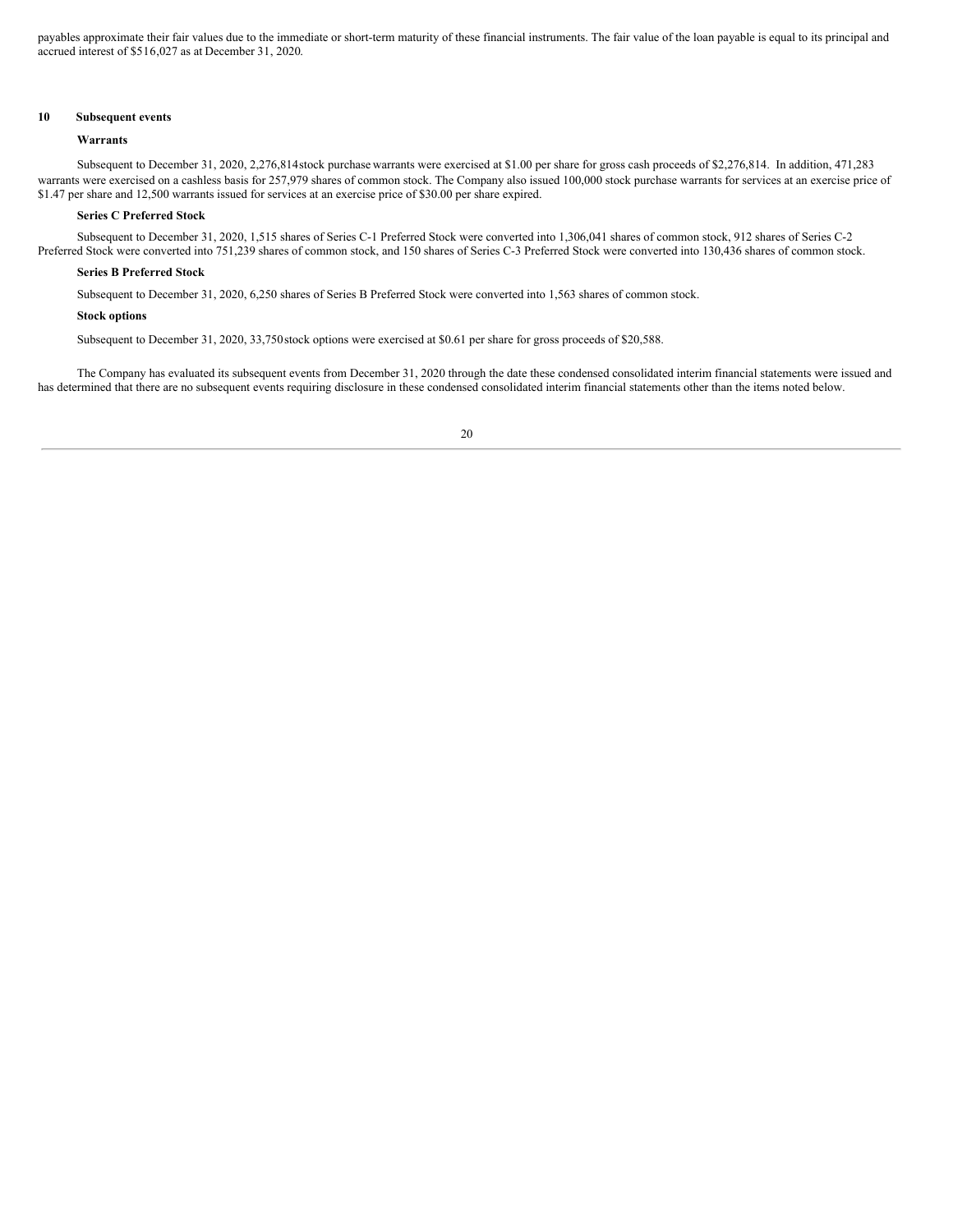payables approximate their fair values due to the immediate or short-term maturity of these financial instruments. The fair value of the loan payable is equal to its principal and accrued interest of \$516,027 as at December 31, 2020.

## **10 Subsequent events**

## **Warrants**

Subsequent to December 31, 2020, 2,276,814stock purchase warrants were exercised at \$1.00 per share for gross cash proceeds of \$2,276,814. In addition, 471,283 warrants were exercised on a cashless basis for 257,979 shares of common stock. The Company also issued 100,000 stock purchase warrants for services at an exercise price of \$1.47 per share and 12,500 warrants issued for services at an exercise price of \$30.00 per share expired.

## **Series C Preferred Stock**

Subsequent to December 31, 2020, 1,515 shares of Series C-1 Preferred Stock were converted into 1,306,041 shares of common stock, 912 shares of Series C-2 Preferred Stock were converted into 751,239 shares of common stock, and 150 shares of Series C-3 Preferred Stock were converted into 130,436 shares of common stock.

## **Series B Preferred Stock**

Subsequent to December 31, 2020, 6,250 shares of Series B Preferred Stock were converted into 1,563 shares of common stock.

## **Stock options**

Subsequent to December 31, 2020, 33,750stock options were exercised at \$0.61 per share for gross proceeds of \$20,588.

The Company has evaluated its subsequent events from December 31, 2020 through the date these condensed consolidated interim financial statements were issued and has determined that there are no subsequent events requiring disclosure in these condensed consolidated interim financial statements other than the items noted below.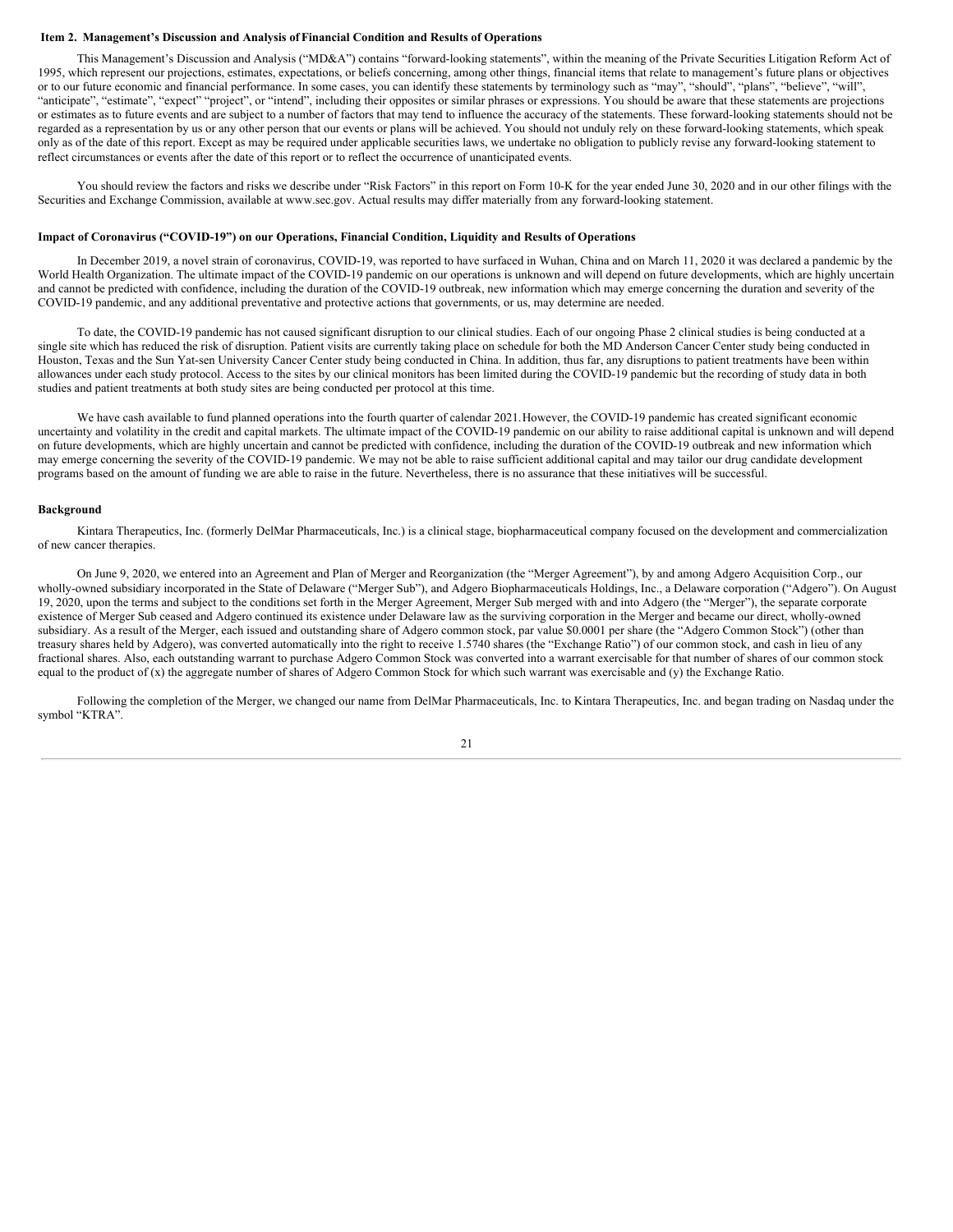#### <span id="page-22-0"></span>**Item 2. Management's Discussion and Analysis ofFinancial Condition and Results of Operations**

This Management's Discussion and Analysis ("MD&A") contains "forward-looking statements", within the meaning of the Private Securities Litigation Reform Act of 1995, which represent our projections, estimates, expectations, or beliefs concerning, among other things, financial items that relate to management's future plans or objectives or to our future economic and financial performance. In some cases, you can identify these statements by terminology such as "may", "should", "plans", "believe", "will", "anticipate", "estimate", "expect" "project", or "intend", including their opposites or similar phrases or expressions. You should be aware that these statements are projections or estimates as to future events and are subject to a number of factors that may tend to influence the accuracy of the statements. These forward-looking statements should not be regarded as a representation by us or any other person that our events or plans will be achieved. You should not unduly rely on these forward-looking statements, which speak only as of the date of this report. Except as may be required under applicable securities laws, we undertake no obligation to publicly revise any forward-looking statement to reflect circumstances or events after the date of this report or to reflect the occurrence of unanticipated events.

You should review the factors and risks we describe under "Risk Factors" in this report on Form 10-K for the year ended June 30, 2020 and in our other filings with the Securities and Exchange Commission, available at www.sec.gov. Actual results may differ materially from any forward-looking statement.

## **Impact of Coronavirus ("COVID-19") on our Operations, Financial Condition, Liquidity and Results of Operations**

In December 2019, a novel strain of coronavirus, COVID-19, was reported to have surfaced in Wuhan, China and on March 11, 2020 it was declared a pandemic by the World Health Organization. The ultimate impact of the COVID-19 pandemic on our operations is unknown and will depend on future developments, which are highly uncertain and cannot be predicted with confidence, including the duration of the COVID-19 outbreak, new information which may emerge concerning the duration and severity of the COVID-19 pandemic, and any additional preventative and protective actions that governments, or us, may determine are needed.

To date, the COVID-19 pandemic has not caused significant disruption to our clinical studies. Each of our ongoing Phase 2 clinical studies is being conducted at a single site which has reduced the risk of disruption. Patient visits are currently taking place on schedule for both the MD Anderson Cancer Center study being conducted in Houston, Texas and the Sun Yat-sen University Cancer Center study being conducted in China. In addition, thus far, any disruptions to patient treatments have been within allowances under each study protocol. Access to the sites by our clinical monitors has been limited during the COVID-19 pandemic but the recording of study data in both studies and patient treatments at both study sites are being conducted per protocol at this time.

We have cash available to fund planned operations into the fourth quarter of calendar 2021. However, the COVID-19 pandemic has created significant economic uncertainty and volatility in the credit and capital markets. The ultimate impact of the COVID-19 pandemic on our ability to raise additional capital is unknown and will depend on future developments, which are highly uncertain and cannot be predicted with confidence, including the duration of the COVID-19 outbreak and new information which may emerge concerning the severity of the COVID-19 pandemic. We may not be able to raise sufficient additional capital and may tailor our drug candidate development programs based on the amount of funding we are able to raise in the future. Nevertheless, there is no assurance that these initiatives will be successful.

#### **Background**

Kintara Therapeutics, Inc. (formerly DelMar Pharmaceuticals, Inc.) is a clinical stage, biopharmaceutical company focused on the development and commercialization of new cancer therapies.

On June 9, 2020, we entered into an Agreement and Plan of Merger and Reorganization (the "Merger Agreement"), by and among Adgero Acquisition Corp., our wholly-owned subsidiary incorporated in the State of Delaware ("Merger Sub"), and Adgero Biopharmaceuticals Holdings, Inc., a Delaware corporation ("Adgero"). On August 19, 2020, upon the terms and subject to the conditions set forth in the Merger Agreement, Merger Sub merged with and into Adgero (the "Merger"), the separate corporate existence of Merger Sub ceased and Adgero continued its existence under Delaware law as the surviving corporation in the Merger and became our direct, wholly-owned subsidiary. As a result of the Merger, each issued and outstanding share of Adgero common stock, par value \$0.0001 per share (the "Adgero Common Stock") (other than treasury shares held by Adgero), was converted automatically into the right to receive 1.5740 shares (the "Exchange Ratio") of our common stock, and cash in lieu of any fractional shares. Also, each outstanding warrant to purchase Adgero Common Stock was converted into a warrant exercisable for that number of shares of our common stock equal to the product of (x) the aggregate number of shares of Adgero Common Stock for which such warrant was exercisable and (y) the Exchange Ratio.

Following the completion of the Merger, we changed our name from DelMar Pharmaceuticals, Inc. to Kintara Therapeutics, Inc. and began trading on Nasdaq under the symbol "KTRA".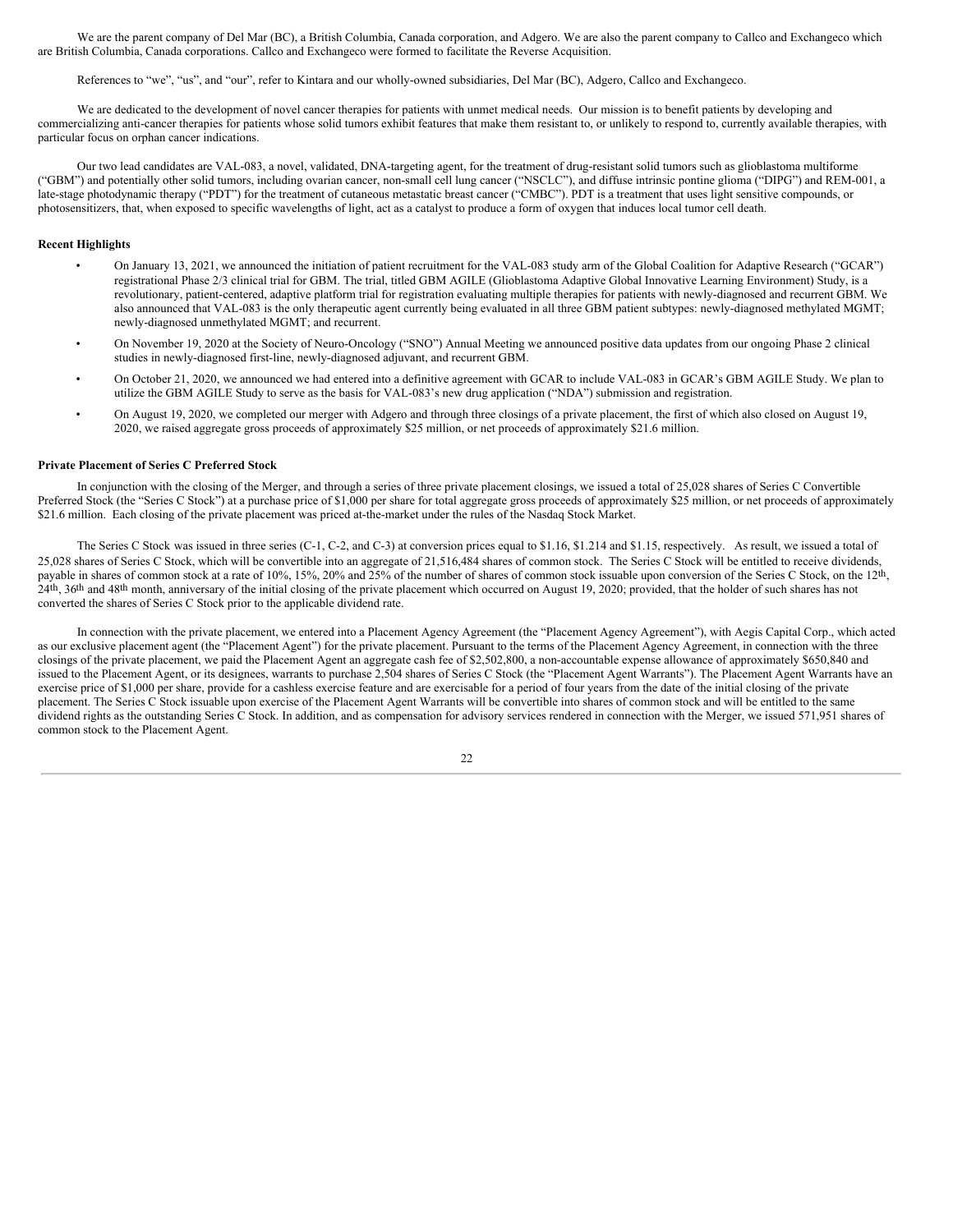We are the parent company of Del Mar (BC), a British Columbia, Canada corporation, and Adgero. We are also the parent company to Callco and Exchangeco which are British Columbia, Canada corporations. Callco and Exchangeco were formed to facilitate the Reverse Acquisition.

References to "we", "us", and "our", refer to Kintara and our wholly-owned subsidiaries, Del Mar (BC), Adgero, Callco and Exchangeco.

We are dedicated to the development of novel cancer therapies for patients with unmet medical needs. Our mission is to benefit patients by developing and commercializing anti-cancer therapies for patients whose solid tumors exhibit features that make them resistant to, or unlikely to respond to, currently available therapies, with particular focus on orphan cancer indications.

Our two lead candidates are VAL-083, a novel, validated, DNA-targeting agent, for the treatment of drug-resistant solid tumors such as glioblastoma multiforme ("GBM") and potentially other solid tumors, including ovarian cancer, non-small cell lung cancer ("NSCLC"), and diffuse intrinsic pontine glioma ("DIPG") and REM-001, a late-stage photodynamic therapy ("PDT") for the treatment of cutaneous metastatic breast cancer ("CMBC"). PDT is a treatment that uses light sensitive compounds, or photosensitizers, that, when exposed to specific wavelengths of light, act as a catalyst to produce a form of oxygen that induces local tumor cell death.

## **Recent Highlights**

- On January 13, 2021, we announced the initiation of patient recruitment for the VAL-083 study arm of the Global Coalition for Adaptive Research ("GCAR") registrational Phase 2/3 clinical trial for GBM. The trial, titled GBM AGILE (Glioblastoma Adaptive Global Innovative Learning Environment) Study, is a revolutionary, patient-centered, adaptive platform trial for registration evaluating multiple therapies for patients with newly-diagnosed and recurrent GBM. We also announced that VAL-083 is the only therapeutic agent currently being evaluated in all three GBM patient subtypes: newly-diagnosed methylated MGMT; newly-diagnosed unmethylated MGMT; and recurrent.
- On November 19, 2020 at the Society of Neuro-Oncology ("SNO") Annual Meeting we announced positive data updates from our ongoing Phase 2 clinical studies in newly-diagnosed first-line, newly-diagnosed adjuvant, and recurrent GBM.
- On October 21, 2020, we announced we had entered into a definitive agreement with GCAR to include VAL-083 in GCAR's GBM AGILE Study. We plan to utilize the GBM AGILE Study to serve as the basis for VAL-083's new drug application ("NDA") submission and registration.
- On August 19, 2020, we completed our merger with Adgero and through three closings of a private placement, the first of which also closed on August 19, 2020, we raised aggregate gross proceeds of approximately \$25 million, or net proceeds of approximately \$21.6 million.

### **Private Placement of Series C Preferred Stock**

In conjunction with the closing of the Merger, and through a series of three private placement closings, we issued a total of 25,028 shares of Series C Convertible Preferred Stock (the "Series C Stock") at a purchase price of \$1,000 per share for total aggregate gross proceeds of approximately \$25 million, or net proceeds of approximately \$21.6 million. Each closing of the private placement was priced at-the-market under the rules of the Nasdaq Stock Market.

The Series C Stock was issued in three series (C-1, C-2, and C-3) at conversion prices equal to \$1.16, \$1.214 and \$1.15, respectively. As result, we issued a total of 25,028 shares of Series C Stock, which will be convertible into an aggregate of 21,516,484 shares of common stock. The Series C Stock will be entitled to receive dividends, payable in shares of common stock at a rate of 10%, 15%, 20% and 25% of the number of shares of common stock issuable upon conversion of the Series C Stock, on the 12th, 24th, 36th and 48th month, anniversary of the initial closing of the private placement which occurred on August 19, 2020; provided, that the holder of such shares has not converted the shares of Series C Stock prior to the applicable dividend rate.

In connection with the private placement, we entered into a Placement Agency Agreement (the "Placement Agency Agreement"), with Aegis Capital Corp., which acted as our exclusive placement agent (the "Placement Agent") for the private placement. Pursuant to the terms of the Placement Agency Agreement, in connection with the three closings of the private placement, we paid the Placement Agent an aggregate cash fee of \$2,502,800, a non-accountable expense allowance of approximately \$650,840 and issued to the Placement Agent, or its designees, warrants to purchase 2,504 shares of Series C Stock (the "Placement Agent Warrants"). The Placement Agent Warrants have an exercise price of \$1,000 per share, provide for a cashless exercise feature and are exercisable for a period of four years from the date of the initial closing of the private placement. The Series C Stock issuable upon exercise of the Placement Agent Warrants will be convertible into shares of common stock and will be entitled to the same dividend rights as the outstanding Series C Stock. In addition, and as compensation for advisory services rendered in connection with the Merger, we issued 571,951 shares of common stock to the Placement Agent.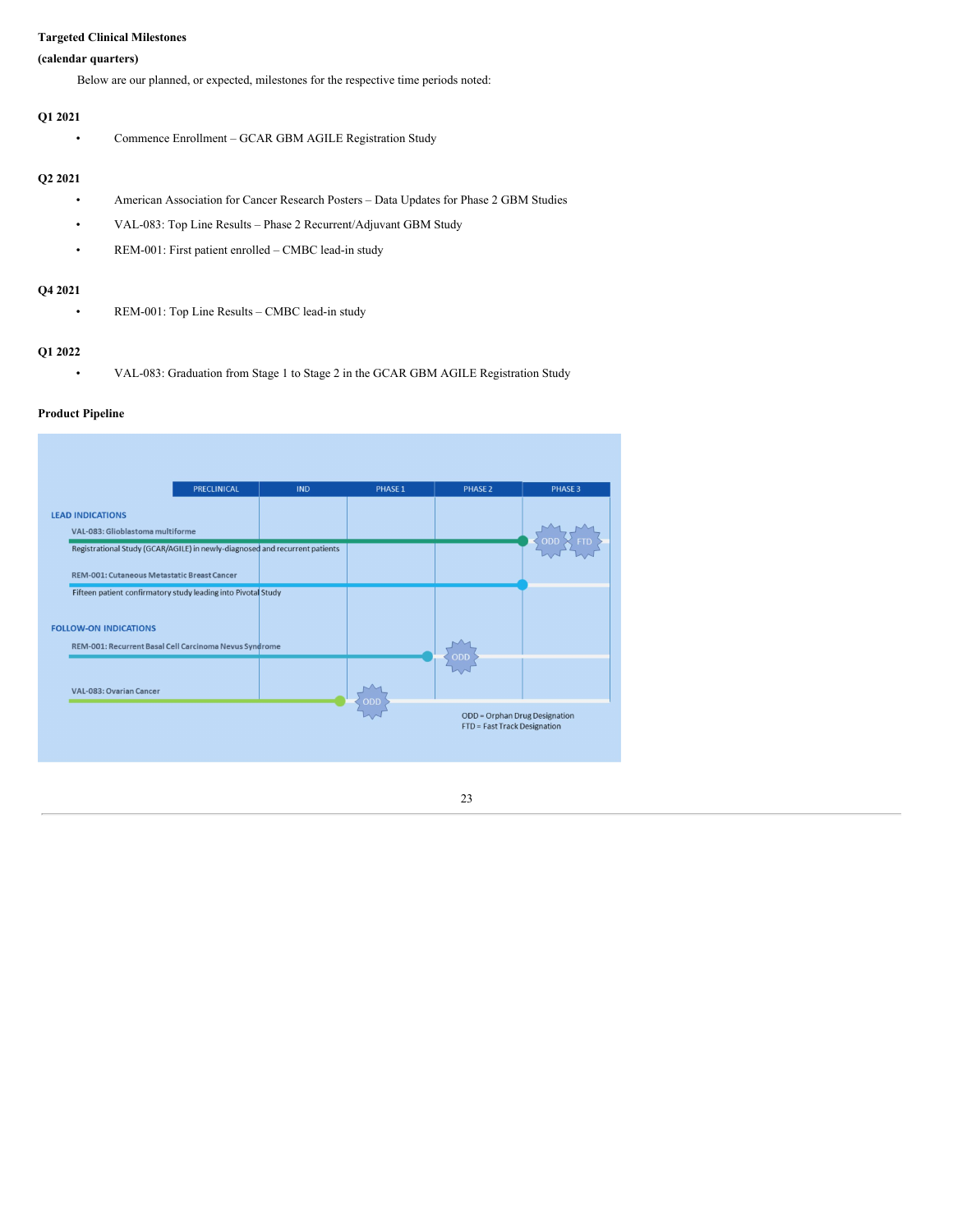## **Targeted Clinical Milestones**

# **(calendar quarters)**

Below are our planned, or expected, milestones for the respective time periods noted:

## **Q1 2021**

• Commence Enrollment – GCAR GBM AGILE Registration Study

## **Q2 2021**

- American Association for Cancer Research Posters Data Updates for Phase 2 GBM Studies
- VAL-083: Top Line Results Phase 2 Recurrent/Adjuvant GBM Study
- REM-001: First patient enrolled CMBC lead-in study

## **Q4 2021**

• REM-001: Top Line Results – CMBC lead-in study

# **Q1 2022**

• VAL-083: Graduation from Stage 1 to Stage 2 in the GCAR GBM AGILE Registration Study

## **Product Pipeline**

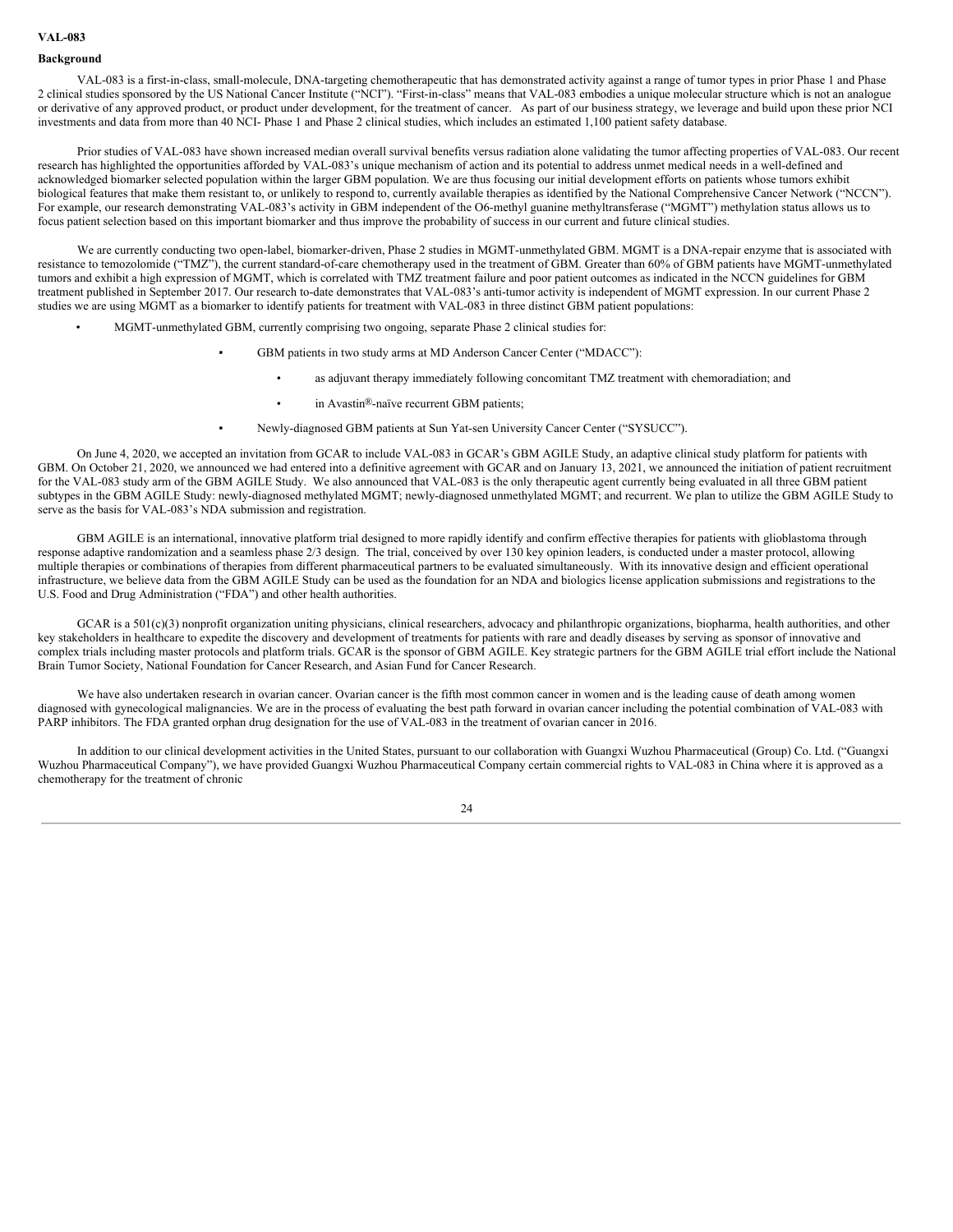## **VAL-083**

## **Background**

VAL-083 is a first-in-class, small-molecule, DNA-targeting chemotherapeutic that has demonstrated activity against a range of tumor types in prior Phase 1 and Phase 2 clinical studies sponsored by the US National Cancer Institute ("NCI"). "First-in-class" means that VAL-083 embodies a unique molecular structure which is not an analogue or derivative of any approved product, or product under development, for the treatment of cancer. As part of our business strategy, we leverage and build upon these prior NCI investments and data from more than 40 NCI- Phase 1 and Phase 2 clinical studies, which includes an estimated 1,100 patient safety database.

Prior studies of VAL-083 have shown increased median overall survival benefits versus radiation alone validating the tumor affecting properties of VAL-083. Our recent research has highlighted the opportunities afforded by VAL-083's unique mechanism of action and its potential to address unmet medical needs in a well-defined and acknowledged biomarker selected population within the larger GBM population. We are thus focusing our initial development efforts on patients whose tumors exhibit biological features that make them resistant to, or unlikely to respond to, currently available therapies as identified by the National Comprehensive Cancer Network ("NCCN"). For example, our research demonstrating VAL-083's activity in GBM independent of the O6-methyl guanine methyltransferase ("MGMT") methylation status allows us to focus patient selection based on this important biomarker and thus improve the probability of success in our current and future clinical studies.

We are currently conducting two open-label, biomarker-driven, Phase 2 studies in MGMT-unmethylated GBM. MGMT is a DNA-repair enzyme that is associated with resistance to temozolomide ("TMZ"), the current standard-of-care chemotherapy used in the treatment of GBM. Greater than 60% of GBM patients have MGMT-unmethylated tumors and exhibit a high expression of MGMT, which is correlated with TMZ treatment failure and poor patient outcomes as indicated in the NCCN guidelines for GBM treatment published in September 2017. Our research to-date demonstrates that VAL-083's anti-tumor activity is independent of MGMT expression. In our current Phase 2 studies we are using MGMT as a biomarker to identify patients for treatment with VAL-083 in three distinct GBM patient populations:

- MGMT-unmethylated GBM, currently comprising two ongoing, separate Phase 2 clinical studies for:
	- GBM patients in two study arms at MD Anderson Cancer Center ("MDACC"):
		- as adjuvant therapy immediately following concomitant TMZ treatment with chemoradiation; and
		- in Avastin®-naïve recurrent GBM patients;
	- Newly-diagnosed GBM patients at Sun Yat-sen University Cancer Center ("SYSUCC").

On June 4, 2020, we accepted an invitation from GCAR to include VAL-083 in GCAR's GBM AGILE Study, an adaptive clinical study platform for patients with GBM. On October 21, 2020, we announced we had entered into a definitive agreement with GCAR and on January 13, 2021, we announced the initiation of patient recruitment for the VAL-083 study arm of the GBM AGILE Study. We also announced that VAL-083 is the only therapeutic agent currently being evaluated in all three GBM patient subtypes in the GBM AGILE Study: newly-diagnosed methylated MGMT; newly-diagnosed unmethylated MGMT; and recurrent. We plan to utilize the GBM AGILE Study to serve as the basis for VAL-083's NDA submission and registration.

GBM AGILE is an international, innovative platform trial designed to more rapidly identify and confirm effective therapies for patients with glioblastoma through response adaptive randomization and a seamless phase 2/3 design. The trial, conceived by over 130 key opinion leaders, is conducted under a master protocol, allowing multiple therapies or combinations of therapies from different pharmaceutical partners to be evaluated simultaneously. With its innovative design and efficient operational infrastructure, we believe data from the GBM AGILE Study can be used as the foundation for an NDA and biologics license application submissions and registrations to the U.S. Food and Drug Administration ("FDA") and other health authorities.

GCAR is a 501(c)(3) nonprofit organization uniting physicians, clinical researchers, advocacy and philanthropic organizations, biopharma, health authorities, and other key stakeholders in healthcare to expedite the discovery and development of treatments for patients with rare and deadly diseases by serving as sponsor of innovative and complex trials including master protocols and platform trials. GCAR is the sponsor of GBM AGILE. Key strategic partners for the GBM AGILE trial effort include the National Brain Tumor Society, National Foundation for Cancer Research, and Asian Fund for Cancer Research.

We have also undertaken research in ovarian cancer. Ovarian cancer is the fifth most common cancer in women and is the leading cause of death among women diagnosed with gynecological malignancies. We are in the process of evaluating the best path forward in ovarian cancer including the potential combination of VAL-083 with PARP inhibitors. The FDA granted orphan drug designation for the use of VAL-083 in the treatment of ovarian cancer in 2016.

In addition to our clinical development activities in the United States, pursuant to our collaboration with Guangxi Wuzhou Pharmaceutical (Group) Co. Ltd. ("Guangxi Wuzhou Pharmaceutical Company"), we have provided Guangxi Wuzhou Pharmaceutical Company certain commercial rights to VAL-083 in China where it is approved as a chemotherapy for the treatment of chronic

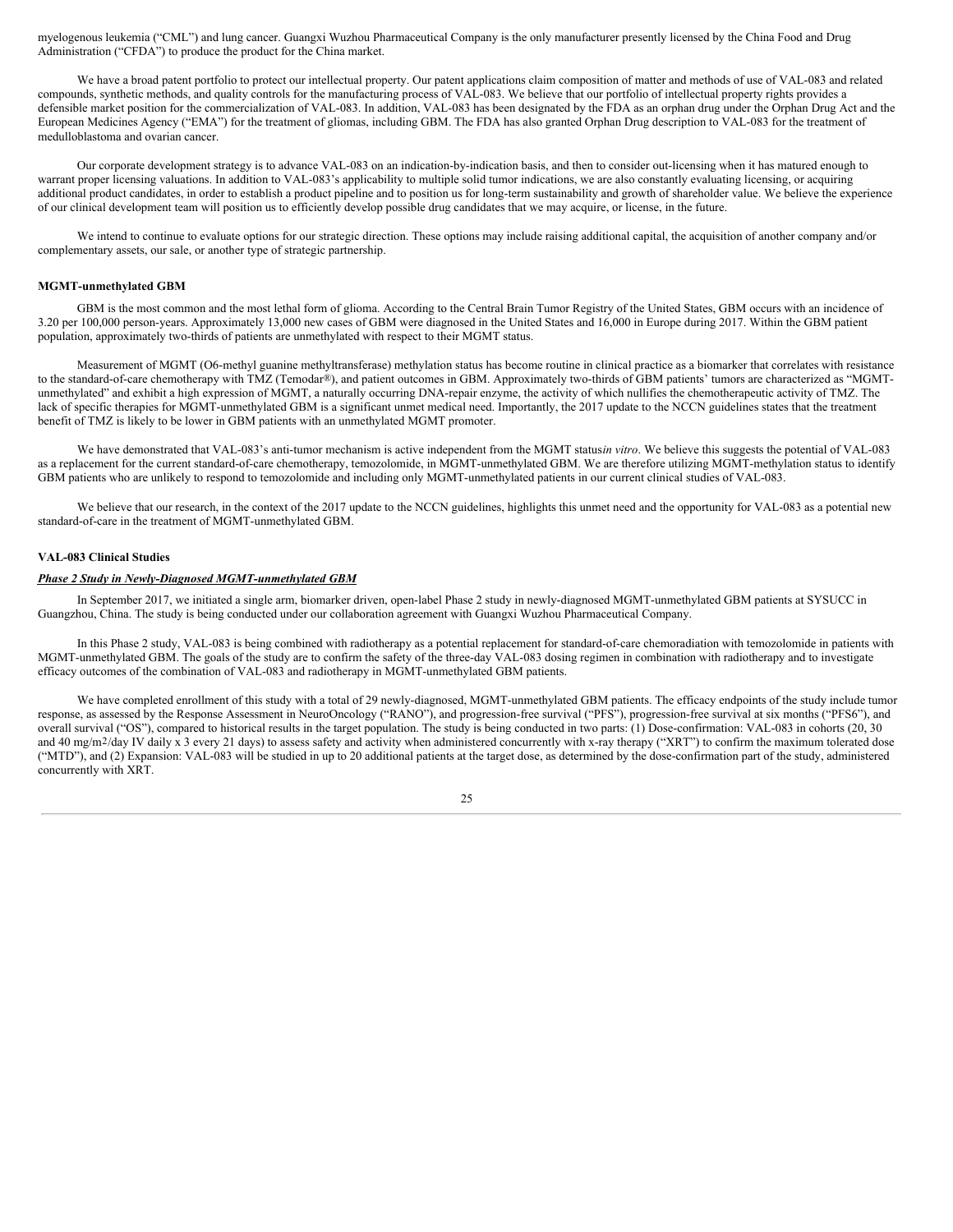myelogenous leukemia ("CML") and lung cancer. Guangxi Wuzhou Pharmaceutical Company is the only manufacturer presently licensed by the China Food and Drug Administration ("CFDA") to produce the product for the China market.

We have a broad patent portfolio to protect our intellectual property. Our patent applications claim composition of matter and methods of use of VAL-083 and related compounds, synthetic methods, and quality controls for the manufacturing process of VAL-083. We believe that our portfolio of intellectual property rights provides a defensible market position for the commercialization of VAL-083. In addition, VAL-083 has been designated by the FDA as an orphan drug under the Orphan Drug Act and the European Medicines Agency ("EMA") for the treatment of gliomas, including GBM. The FDA has also granted Orphan Drug description to VAL-083 for the treatment of medulloblastoma and ovarian cancer.

Our corporate development strategy is to advance VAL-083 on an indication-by-indication basis, and then to consider out-licensing when it has matured enough to warrant proper licensing valuations. In addition to VAL-083's applicability to multiple solid tumor indications, we are also constantly evaluating licensing, or acquiring additional product candidates, in order to establish a product pipeline and to position us for long-term sustainability and growth of shareholder value. We believe the experience of our clinical development team will position us to efficiently develop possible drug candidates that we may acquire, or license, in the future.

We intend to continue to evaluate options for our strategic direction. These options may include raising additional capital, the acquisition of another company and/or complementary assets, our sale, or another type of strategic partnership.

#### **MGMT-unmethylated GBM**

GBM is the most common and the most lethal form of glioma. According to the Central Brain Tumor Registry of the United States, GBM occurs with an incidence of 3.20 per 100,000 person-years. Approximately 13,000 new cases of GBM were diagnosed in the United States and 16,000 in Europe during 2017. Within the GBM patient population, approximately two-thirds of patients are unmethylated with respect to their MGMT status.

Measurement of MGMT (O6-methyl guanine methyltransferase) methylation status has become routine in clinical practice as a biomarker that correlates with resistance to the standard-of-care chemotherapy with TMZ (Temodar®), and patient outcomes in GBM. Approximately two-thirds of GBM patients' tumors are characterized as "MGMTunmethylated" and exhibit a high expression of MGMT, a naturally occurring DNA-repair enzyme, the activity of which nullifies the chemotherapeutic activity of TMZ. The lack of specific therapies for MGMT-unmethylated GBM is a significant unmet medical need. Importantly, the 2017 update to the NCCN guidelines states that the treatment benefit of TMZ is likely to be lower in GBM patients with an unmethylated MGMT promoter.

We have demonstrated that VAL-083's anti-tumor mechanism is active independent from the MGMT status*in vitro*. We believe this suggests the potential of VAL-083 as a replacement for the current standard-of-care chemotherapy, temozolomide, in MGMT-unmethylated GBM. We are therefore utilizing MGMT-methylation status to identify GBM patients who are unlikely to respond to temozolomide and including only MGMT-unmethylated patients in our current clinical studies of VAL-083.

We believe that our research, in the context of the 2017 update to the NCCN guidelines, highlights this unmet need and the opportunity for VAL-083 as a potential new standard-of-care in the treatment of MGMT-unmethylated GBM.

## **VAL-083 Clinical Studies**

## *Phase 2 Study in Newly-Diagnosed MGMT-unmethylated GBM*

In September 2017, we initiated a single arm, biomarker driven, open-label Phase 2 study in newly-diagnosed MGMT-unmethylated GBM patients at SYSUCC in Guangzhou, China. The study is being conducted under our collaboration agreement with Guangxi Wuzhou Pharmaceutical Company.

In this Phase 2 study, VAL-083 is being combined with radiotherapy as a potential replacement for standard-of-care chemoradiation with temozolomide in patients with MGMT-unmethylated GBM. The goals of the study are to confirm the safety of the three-day VAL-083 dosing regimen in combination with radiotherapy and to investigate efficacy outcomes of the combination of VAL-083 and radiotherapy in MGMT-unmethylated GBM patients.

We have completed enrollment of this study with a total of 29 newly-diagnosed, MGMT-unmethylated GBM patients. The efficacy endpoints of the study include tumor response, as assessed by the Response Assessment in NeuroOncology ("RANO"), and progression-free survival ("PFS"), progression-free survival at six months ("PFS6"), and overall survival ("OS"), compared to historical results in the target population. The study is being conducted in two parts: (1) Dose-confirmation: VAL-083 in cohorts (20, 30 and 40 mg/m2/day IV daily x 3 every 21 days) to assess safety and activity when administered concurrently with x-ray therapy ("XRT") to confirm the maximum tolerated dose ("MTD"), and (2) Expansion: VAL-083 will be studied in up to 20 additional patients at the target dose, as determined by the dose-confirmation part of the study, administered concurrently with XRT.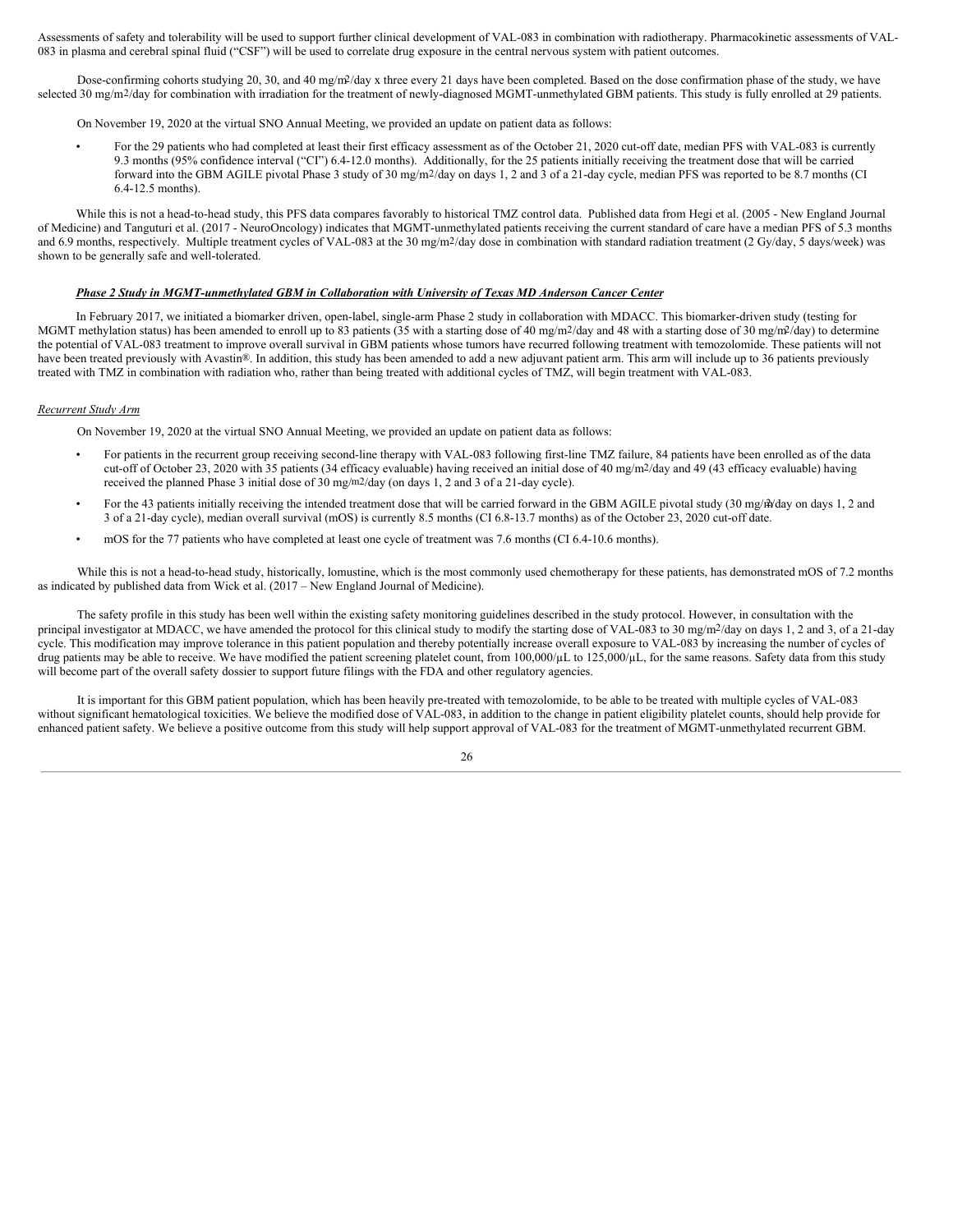Assessments of safety and tolerability will be used to support further clinical development of VAL-083 in combination with radiotherapy. Pharmacokinetic assessments of VAL-083 in plasma and cerebral spinal fluid ("CSF") will be used to correlate drug exposure in the central nervous system with patient outcomes.

Dose-confirming cohorts studying 20, 30, and 40 mg/m2/day x three every 21 days have been completed. Based on the dose confirmation phase of the study, we have selected 30 mg/m<sup>2</sup>/day for combination with irradiation for the treatment of newly-diagnosed MGMT-unmethylated GBM patients. This study is fully enrolled at 29 patients.

On November 19, 2020 at the virtual SNO Annual Meeting, we provided an update on patient data as follows:

• For the 29 patients who had completed at least their first efficacy assessment as of the October 21, 2020 cut-off date, median PFS with VAL-083 is currently 9.3 months (95% confidence interval ("CI") 6.4-12.0 months). Additionally, for the 25 patients initially receiving the treatment dose that will be carried forward into the GBM AGILE pivotal Phase 3 study of 30 mg/m2/day on days 1, 2 and 3 of a 21-day cycle, median PFS was reported to be 8.7 months (CI 6.4-12.5 months).

While this is not a head-to-head study, this PFS data compares favorably to historical TMZ control data. Published data from Hegi et al. (2005 - New England Journal of Medicine) and Tanguturi et al. (2017 - NeuroOncology) indicates that MGMT-unmethylated patients receiving the current standard of care have a median PFS of 5.3 months and 6.9 months, respectively. Multiple treatment cycles of VAL-083 at the 30 mg/m<sup>2</sup>/day dose in combination with standard radiation treatment (2 Gy/day, 5 days/week) was shown to be generally safe and well-tolerated.

### *Phase 2 Study in MGMT-unmethylated GBM in Collaboration with University of Texas MD Anderson Cancer Center*

In February 2017, we initiated a biomarker driven, open-label, single-arm Phase 2 study in collaboration with MDACC. This biomarker-driven study (testing for MGMT methylation status) has been amended to enroll up to 83 patients (35 with a starting dose of 40 mg/m<sup>2</sup>/day and 48 with a starting dose of 30 mg/m<sup>2</sup>/day) to determine the potential of VAL-083 treatment to improve overall survival in GBM patients whose tumors have recurred following treatment with temozolomide. These patients will not have been treated previously with Avastin<sup>®</sup>. In addition, this study has been amended to add a new adjuvant patient arm. This arm will include up to 36 patients previously treated with TMZ in combination with radiation who, rather than being treated with additional cycles of TMZ, will begin treatment with VAL-083.

## *Recurrent Study Arm*

On November 19, 2020 at the virtual SNO Annual Meeting, we provided an update on patient data as follows:

- For patients in the recurrent group receiving second-line therapy with VAL-083 following first-line TMZ failure, 84 patients have been enrolled as of the data cut-off of October 23, 2020 with 35 patients (34 efficacy evaluable) having received an initial dose of 40 mg/m2/day and 49 (43 efficacy evaluable) having received the planned Phase 3 initial dose of 30 mg/m2/day (on days 1, 2 and 3 of a 21-day cycle).
- For the 43 patients initially receiving the intended treatment dose that will be carried forward in the GBM AGILE pivotal study (30 mg/m2/day on days 1, 2 and 3 of a 21-day cycle), median overall survival (mOS) is currently 8.5 months (CI 6.8-13.7 months) as of the October 23, 2020 cut-off date.
- mOS for the 77 patients who have completed at least one cycle of treatment was 7.6 months (CI 6.4-10.6 months).

While this is not a head-to-head study, historically, lomustine, which is the most commonly used chemotherapy for these patients, has demonstrated mOS of 7.2 months as indicated by published data from Wick et al. (2017 – New England Journal of Medicine).

The safety profile in this study has been well within the existing safety monitoring guidelines described in the study protocol. However, in consultation with the principal investigator at MDACC, we have amended the protocol for this clinical study to modify the starting dose of VAL-083 to 30 mg/m<sup>2</sup>/day on days 1, 2 and 3, of a 21-day cycle. This modification may improve tolerance in this patient population and thereby potentially increase overall exposure to VAL-083 by increasing the number of cycles of drug patients may be able to receive. We have modified the patient screening platelet count, from 100,000/µL to 125,000/µL, for the same reasons. Safety data from this study will become part of the overall safety dossier to support future filings with the FDA and other regulatory agencies.

It is important for this GBM patient population, which has been heavily pre-treated with temozolomide, to be able to be treated with multiple cycles of VAL-083 without significant hematological toxicities. We believe the modified dose of VAL-083, in addition to the change in patient eligibility platelet counts, should help provide for enhanced patient safety. We believe a positive outcome from this study will help support approval of VAL-083 for the treatment of MGMT-unmethylated recurrent GBM.

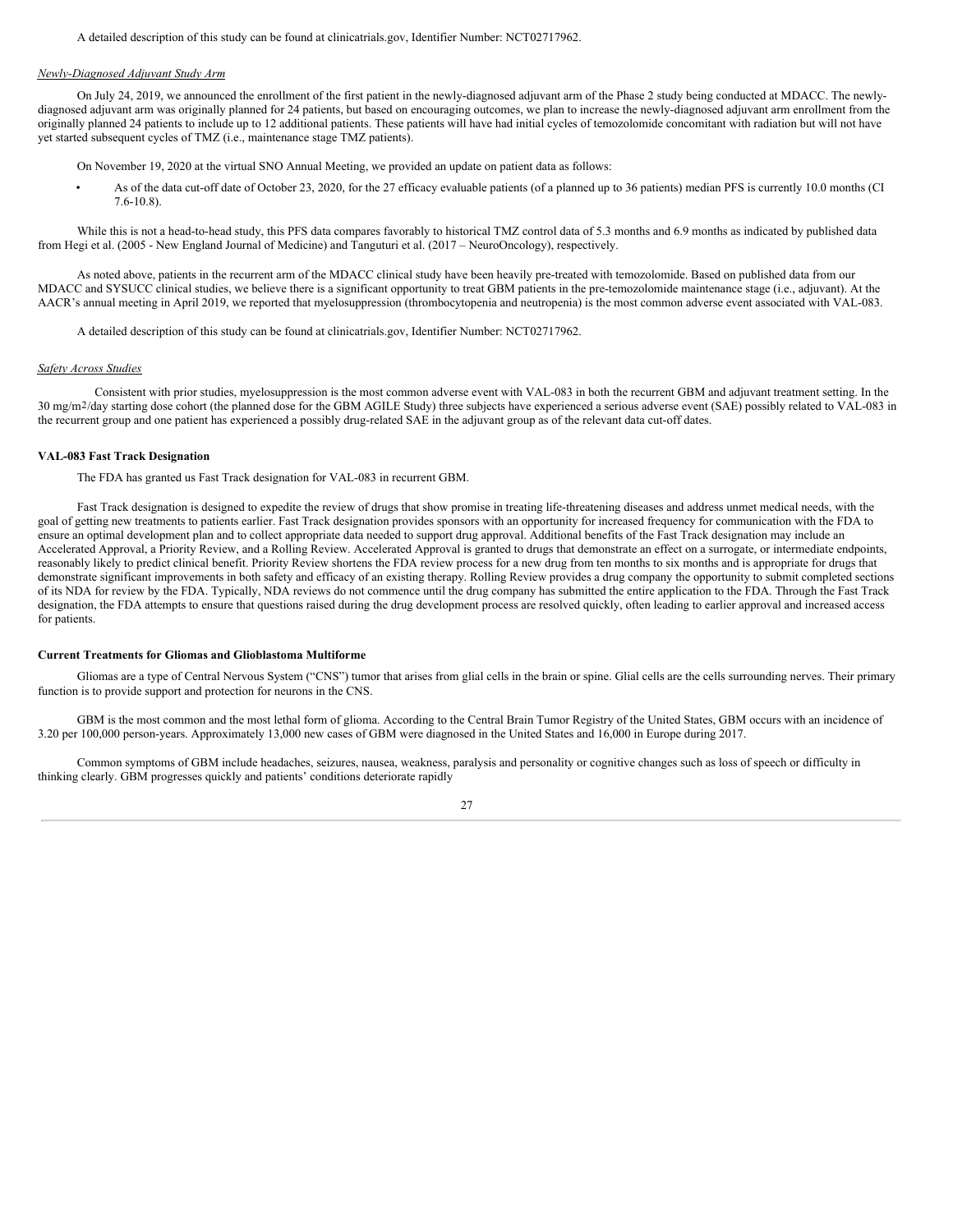A detailed description of this study can be found at clinicatrials.gov, Identifier Number: NCT02717962.

## *Newly-Diagnosed Adjuvant Study Arm*

On July 24, 2019, we announced the enrollment of the first patient in the newly-diagnosed adjuvant arm of the Phase 2 study being conducted at MDACC. The newlydiagnosed adjuvant arm was originally planned for 24 patients, but based on encouraging outcomes, we plan to increase the newly-diagnosed adjuvant arm enrollment from the originally planned 24 patients to include up to 12 additional patients. These patients will have had initial cycles of temozolomide concomitant with radiation but will not have yet started subsequent cycles of TMZ (i.e., maintenance stage TMZ patients).

On November 19, 2020 at the virtual SNO Annual Meeting, we provided an update on patient data as follows:

• As of the data cut-off date of October 23, 2020, for the 27 efficacy evaluable patients (of a planned up to 36 patients) median PFS is currently 10.0 months (CI 7.6-10.8).

While this is not a head-to-head study, this PFS data compares favorably to historical TMZ control data of 5.3 months and 6.9 months as indicated by published data from Hegi et al. (2005 - New England Journal of Medicine) and Tanguturi et al. (2017 – NeuroOncology), respectively.

As noted above, patients in the recurrent arm of the MDACC clinical study have been heavily pre-treated with temozolomide. Based on published data from our MDACC and SYSUCC clinical studies, we believe there is a significant opportunity to treat GBM patients in the pre-temozolomide maintenance stage (i.e., adjuvant). At the AACR's annual meeting in April 2019, we reported that myelosuppression (thrombocytopenia and neutropenia) is the most common adverse event associated with VAL-083.

A detailed description of this study can be found at clinicatrials.gov, Identifier Number: NCT02717962.

### *Safety Across Studies*

Consistent with prior studies, myelosuppression is the most common adverse event with VAL-083 in both the recurrent GBM and adjuvant treatment setting. In the 30 mg/m2/day starting dose cohort (the planned dose for the GBM AGILE Study) three subjects have experienced a serious adverse event (SAE) possibly related to VAL-083 in the recurrent group and one patient has experienced a possibly drug-related SAE in the adjuvant group as of the relevant data cut-off dates.

## **VAL-083 Fast Track Designation**

The FDA has granted us Fast Track designation for VAL-083 in recurrent GBM.

Fast Track designation is designed to expedite the review of drugs that show promise in treating life-threatening diseases and address unmet medical needs, with the goal of getting new treatments to patients earlier. Fast Track designation provides sponsors with an opportunity for increased frequency for communication with the FDA to ensure an optimal development plan and to collect appropriate data needed to support drug approval. Additional benefits of the Fast Track designation may include an Accelerated Approval, a Priority Review, and a Rolling Review. Accelerated Approval is granted to drugs that demonstrate an effect on a surrogate, or intermediate endpoints, reasonably likely to predict clinical benefit. Priority Review shortens the FDA review process for a new drug from ten months to six months and is appropriate for drugs that demonstrate significant improvements in both safety and efficacy of an existing therapy. Rolling Review provides a drug company the opportunity to submit completed sections of its NDA for review by the FDA. Typically, NDA reviews do not commence until the drug company has submitted the entire application to the FDA. Through the Fast Track designation, the FDA attempts to ensure that questions raised during the drug development process are resolved quickly, often leading to earlier approval and increased access for patients.

#### **Current Treatments for Gliomas and Glioblastoma Multiforme**

Gliomas are a type of Central Nervous System ("CNS") tumor that arises from glial cells in the brain or spine. Glial cells are the cells surrounding nerves. Their primary function is to provide support and protection for neurons in the CNS.

GBM is the most common and the most lethal form of glioma. According to the Central Brain Tumor Registry of the United States, GBM occurs with an incidence of 3.20 per 100,000 person-years. Approximately 13,000 new cases of GBM were diagnosed in the United States and 16,000 in Europe during 2017.

Common symptoms of GBM include headaches, seizures, nausea, weakness, paralysis and personality or cognitive changes such as loss of speech or difficulty in thinking clearly. GBM progresses quickly and patients' conditions deteriorate rapidly

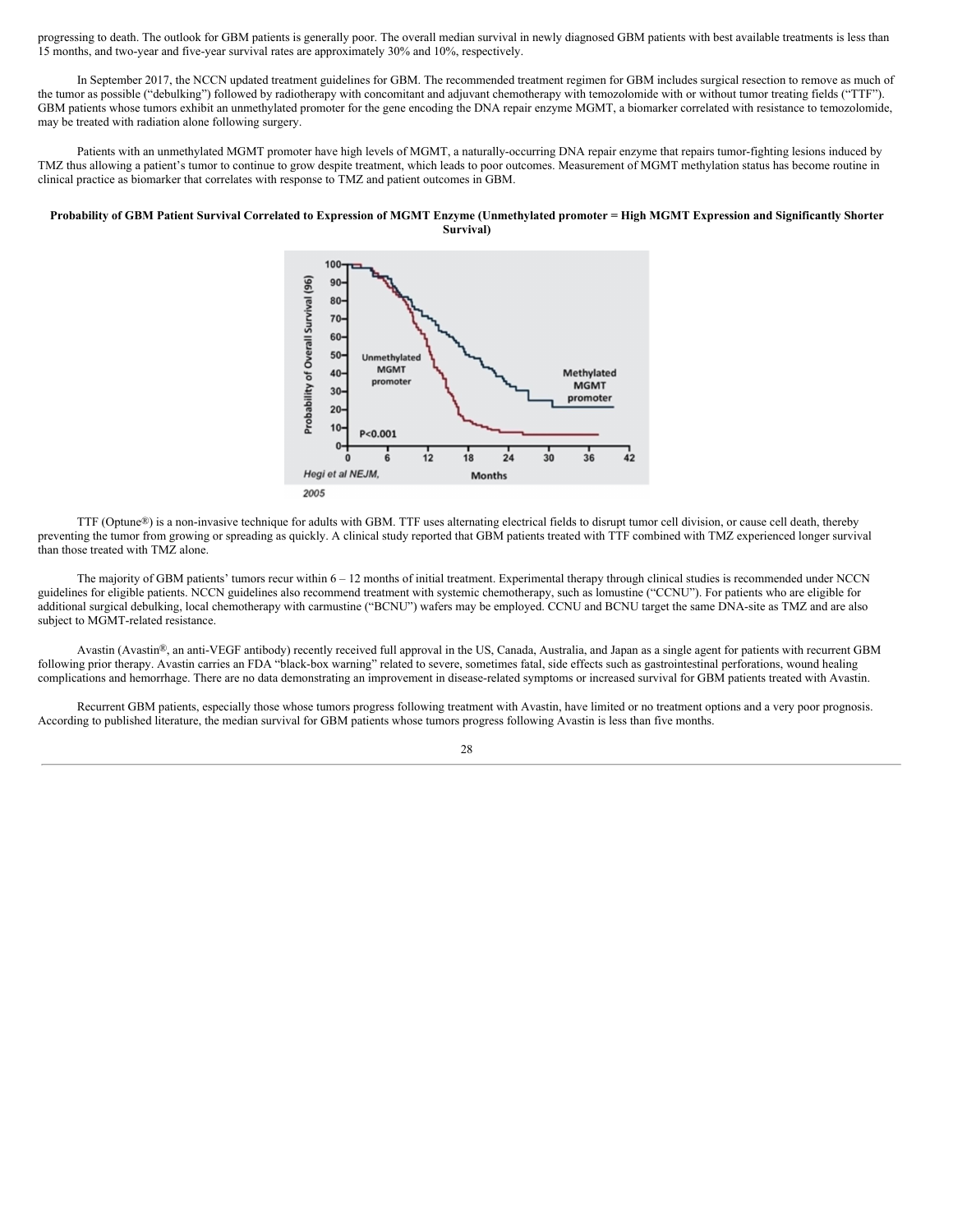progressing to death. The outlook for GBM patients is generally poor. The overall median survival in newly diagnosed GBM patients with best available treatments is less than 15 months, and two-year and five-year survival rates are approximately 30% and 10%, respectively.

In September 2017, the NCCN updated treatment guidelines for GBM. The recommended treatment regimen for GBM includes surgical resection to remove as much of the tumor as possible ("debulking") followed by radiotherapy with concomitant and adjuvant chemotherapy with temozolomide with or without tumor treating fields ("TTF"). GBM patients whose tumors exhibit an unmethylated promoter for the gene encoding the DNA repair enzyme MGMT, a biomarker correlated with resistance to temozolomide, may be treated with radiation alone following surgery.

Patients with an unmethylated MGMT promoter have high levels of MGMT, a naturally-occurring DNA repair enzyme that repairs tumor-fighting lesions induced by TMZ thus allowing a patient's tumor to continue to grow despite treatment, which leads to poor outcomes. Measurement of MGMT methylation status has become routine in clinical practice as biomarker that correlates with response to TMZ and patient outcomes in GBM.

## Probability of GBM Patient Survival Correlated to Expression of MGMT Enzyme (Unmethylated promoter = High MGMT Expression and Significantly Shorter **Survival)**



TTF (Optune®) is a non-invasive technique for adults with GBM. TTF uses alternating electrical fields to disrupt tumor cell division, or cause cell death, thereby preventing the tumor from growing or spreading as quickly. A clinical study reported that GBM patients treated with TTF combined with TMZ experienced longer survival than those treated with TMZ alone.

The majority of GBM patients' tumors recur within 6 – 12 months of initial treatment. Experimental therapy through clinical studies is recommended under NCCN guidelines for eligible patients. NCCN guidelines also recommend treatment with systemic chemotherapy, such as lomustine ("CCNU"). For patients who are eligible for additional surgical debulking, local chemotherapy with carmustine ("BCNU") wafers may be employed. CCNU and BCNU target the same DNA-site as TMZ and are also subject to MGMT-related resistance.

Avastin (Avastin®, an anti-VEGF antibody) recently received full approval in the US, Canada, Australia, and Japan as a single agent for patients with recurrent GBM following prior therapy. Avastin carries an FDA "black-box warning" related to severe, sometimes fatal, side effects such as gastrointestinal perforations, wound healing complications and hemorrhage. There are no data demonstrating an improvement in disease-related symptoms or increased survival for GBM patients treated with Avastin.

Recurrent GBM patients, especially those whose tumors progress following treatment with Avastin, have limited or no treatment options and a very poor prognosis. According to published literature, the median survival for GBM patients whose tumors progress following Avastin is less than five months.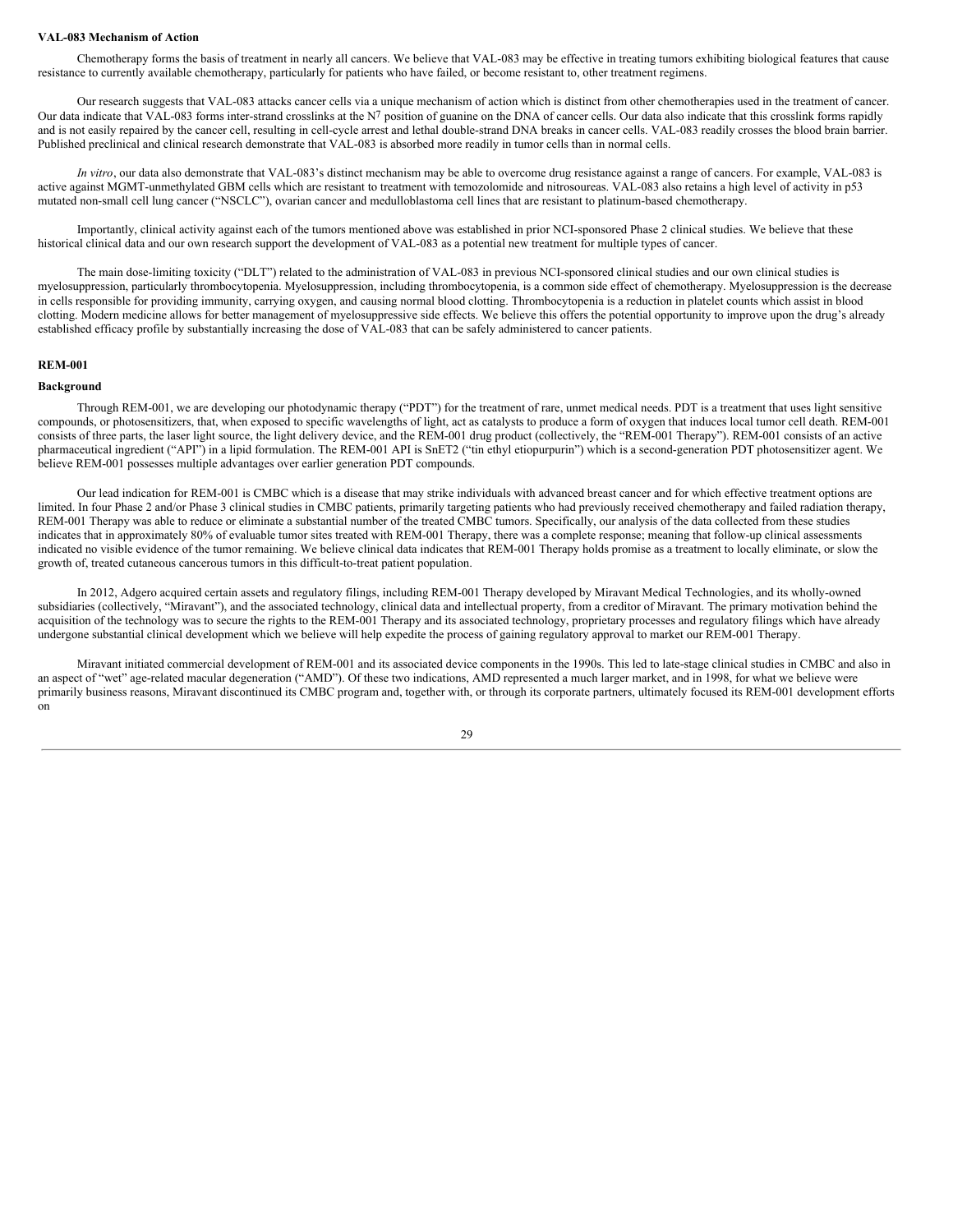#### **VAL-083 Mechanism of Action**

Chemotherapy forms the basis of treatment in nearly all cancers. We believe that VAL-083 may be effective in treating tumors exhibiting biological features that cause resistance to currently available chemotherapy, particularly for patients who have failed, or become resistant to, other treatment regimens.

Our research suggests that VAL-083 attacks cancer cells via a unique mechanism of action which is distinct from other chemotherapies used in the treatment of cancer. Our data indicate that VAL-083 forms inter-strand crosslinks at the  $N<sup>7</sup>$  position of guanine on the DNA of cancer cells. Our data also indicate that this crosslink forms rapidly and is not easily repaired by the cancer cell, resulting in cell-cycle arrest and lethal double-strand DNA breaks in cancer cells. VAL-083 readily crosses the blood brain barrier. Published preclinical and clinical research demonstrate that VAL-083 is absorbed more readily in tumor cells than in normal cells.

*In vitro*, our data also demonstrate that VAL-083's distinct mechanism may be able to overcome drug resistance against a range of cancers. For example, VAL-083 is active against MGMT-unmethylated GBM cells which are resistant to treatment with temozolomide and nitrosoureas. VAL-083 also retains a high level of activity in p53 mutated non-small cell lung cancer ("NSCLC"), ovarian cancer and medulloblastoma cell lines that are resistant to platinum-based chemotherapy.

Importantly, clinical activity against each of the tumors mentioned above was established in prior NCI-sponsored Phase 2 clinical studies. We believe that these historical clinical data and our own research support the development of VAL-083 as a potential new treatment for multiple types of cancer.

The main dose-limiting toxicity ("DLT") related to the administration of VAL-083 in previous NCI-sponsored clinical studies and our own clinical studies is myelosuppression, particularly thrombocytopenia. Myelosuppression, including thrombocytopenia, is a common side effect of chemotherapy. Myelosuppression is the decrease in cells responsible for providing immunity, carrying oxygen, and causing normal blood clotting. Thrombocytopenia is a reduction in platelet counts which assist in blood clotting. Modern medicine allows for better management of myelosuppressive side effects. We believe this offers the potential opportunity to improve upon the drug's already established efficacy profile by substantially increasing the dose of VAL-083 that can be safely administered to cancer patients.

#### **REM-001**

#### **Background**

Through REM-001, we are developing our photodynamic therapy ("PDT") for the treatment of rare, unmet medical needs. PDT is a treatment that uses light sensitive compounds, or photosensitizers, that, when exposed to specific wavelengths of light, act as catalysts to produce a form of oxygen that induces local tumor cell death. REM-001 consists of three parts, the laser light source, the light delivery device, and the REM-001 drug product (collectively, the "REM-001 Therapy"). REM-001 consists of an active pharmaceutical ingredient ("API") in a lipid formulation. The REM-001 API is SnET2 ("tin ethyl etiopurpurin") which is a second-generation PDT photosensitizer agent. We believe REM-001 possesses multiple advantages over earlier generation PDT compounds.

Our lead indication for REM-001 is CMBC which is a disease that may strike individuals with advanced breast cancer and for which effective treatment options are limited. In four Phase 2 and/or Phase 3 clinical studies in CMBC patients, primarily targeting patients who had previously received chemotherapy and failed radiation therapy, REM-001 Therapy was able to reduce or eliminate a substantial number of the treated CMBC tumors. Specifically, our analysis of the data collected from these studies indicates that in approximately 80% of evaluable tumor sites treated with REM-001 Therapy, there was a complete response; meaning that follow-up clinical assessments indicated no visible evidence of the tumor remaining. We believe clinical data indicates that REM-001 Therapy holds promise as a treatment to locally eliminate, or slow the growth of, treated cutaneous cancerous tumors in this difficult-to-treat patient population.

In 2012, Adgero acquired certain assets and regulatory filings, including REM-001 Therapy developed by Miravant Medical Technologies, and its wholly-owned subsidiaries (collectively, "Miravant"), and the associated technology, clinical data and intellectual property, from a creditor of Miravant. The primary motivation behind the acquisition of the technology was to secure the rights to the REM-001 Therapy and its associated technology, proprietary processes and regulatory filings which have already undergone substantial clinical development which we believe will help expedite the process of gaining regulatory approval to market our REM-001 Therapy.

Miravant initiated commercial development of REM-001 and its associated device components in the 1990s. This led to late-stage clinical studies in CMBC and also in an aspect of "wet" age-related macular degeneration ("AMD"). Of these two indications, AMD represented a much larger market, and in 1998, for what we believe were primarily business reasons, Miravant discontinued its CMBC program and, together with, or through its corporate partners, ultimately focused its REM-001 development efforts on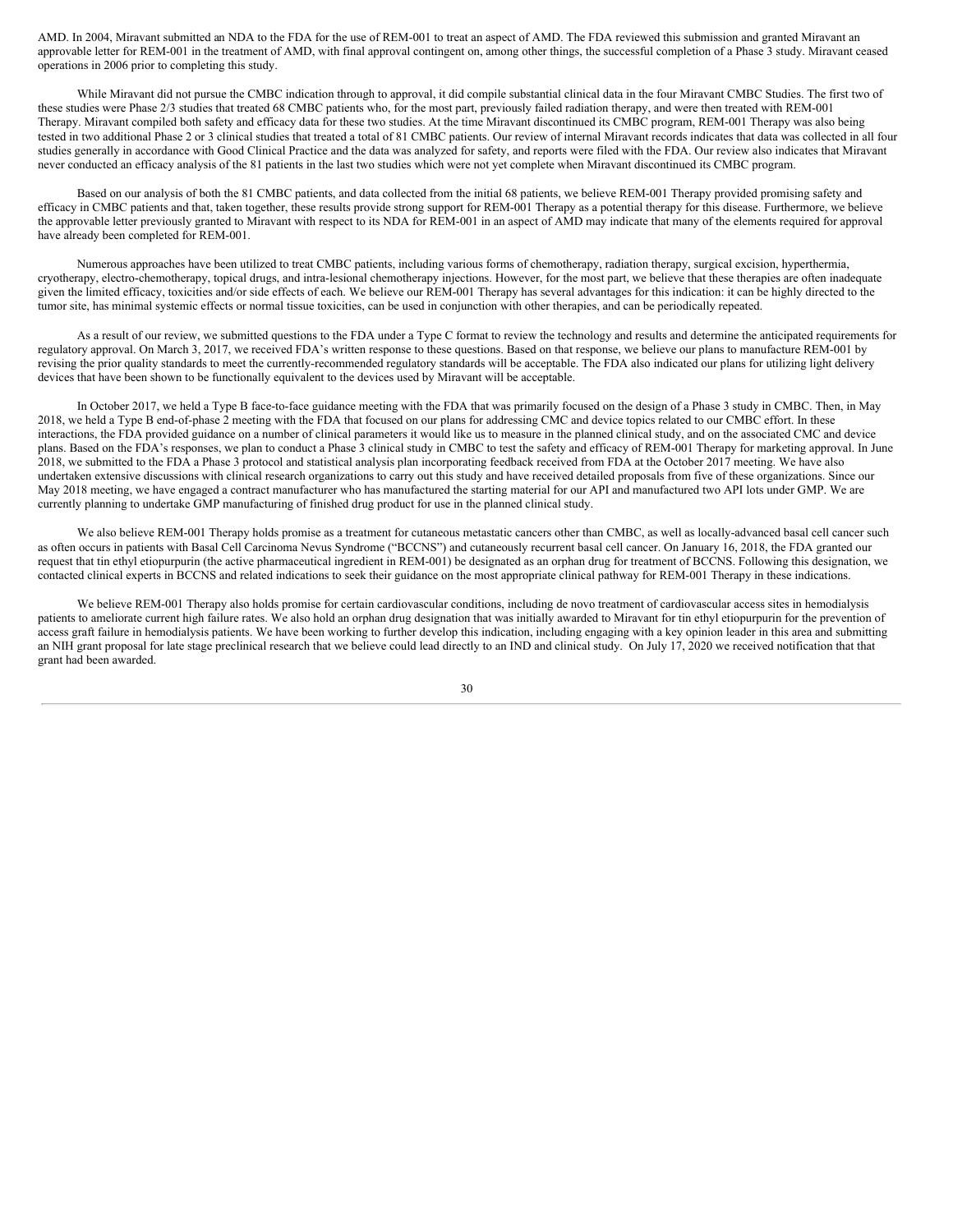AMD. In 2004, Miravant submitted an NDA to the FDA for the use of REM-001 to treat an aspect of AMD. The FDA reviewed this submission and granted Miravant an approvable letter for REM-001 in the treatment of AMD, with final approval contingent on, among other things, the successful completion of a Phase 3 study. Miravant ceased operations in 2006 prior to completing this study.

While Miravant did not pursue the CMBC indication through to approval, it did compile substantial clinical data in the four Miravant CMBC Studies. The first two of these studies were Phase 2/3 studies that treated 68 CMBC patients who, for the most part, previously failed radiation therapy, and were then treated with REM-001 Therapy. Miravant compiled both safety and efficacy data for these two studies. At the time Miravant discontinued its CMBC program, REM-001 Therapy was also being tested in two additional Phase 2 or 3 clinical studies that treated a total of 81 CMBC patients. Our review of internal Miravant records indicates that data was collected in all four studies generally in accordance with Good Clinical Practice and the data was analyzed for safety, and reports were filed with the FDA. Our review also indicates that Miravant never conducted an efficacy analysis of the 81 patients in the last two studies which were not yet complete when Miravant discontinued its CMBC program.

Based on our analysis of both the 81 CMBC patients, and data collected from the initial 68 patients, we believe REM-001 Therapy provided promising safety and efficacy in CMBC patients and that, taken together, these results provide strong support for REM-001 Therapy as a potential therapy for this disease. Furthermore, we believe the approvable letter previously granted to Miravant with respect to its NDA for REM-001 in an aspect of AMD may indicate that many of the elements required for approval have already been completed for REM-001.

Numerous approaches have been utilized to treat CMBC patients, including various forms of chemotherapy, radiation therapy, surgical excision, hyperthermia, cryotherapy, electro-chemotherapy, topical drugs, and intra-lesional chemotherapy injections. However, for the most part, we believe that these therapies are often inadequate given the limited efficacy, toxicities and/or side effects of each. We believe our REM-001 Therapy has several advantages for this indication: it can be highly directed to the tumor site, has minimal systemic effects or normal tissue toxicities, can be used in conjunction with other therapies, and can be periodically repeated.

As a result of our review, we submitted questions to the FDA under a Type C format to review the technology and results and determine the anticipated requirements for regulatory approval. On March 3, 2017, we received FDA's written response to these questions. Based on that response, we believe our plans to manufacture REM-001 by revising the prior quality standards to meet the currently-recommended regulatory standards will be acceptable. The FDA also indicated our plans for utilizing light delivery devices that have been shown to be functionally equivalent to the devices used by Miravant will be acceptable.

In October 2017, we held a Type B face-to-face guidance meeting with the FDA that was primarily focused on the design of a Phase 3 study in CMBC. Then, in May 2018, we held a Type B end-of-phase 2 meeting with the FDA that focused on our plans for addressing CMC and device topics related to our CMBC effort. In these interactions, the FDA provided guidance on a number of clinical parameters it would like us to measure in the planned clinical study, and on the associated CMC and device plans. Based on the FDA's responses, we plan to conduct a Phase 3 clinical study in CMBC to test the safety and efficacy of REM-001 Therapy for marketing approval. In June 2018, we submitted to the FDA a Phase 3 protocol and statistical analysis plan incorporating feedback received from FDA at the October 2017 meeting. We have also undertaken extensive discussions with clinical research organizations to carry out this study and have received detailed proposals from five of these organizations. Since our May 2018 meeting, we have engaged a contract manufacturer who has manufactured the starting material for our API and manufactured two API lots under GMP. We are currently planning to undertake GMP manufacturing of finished drug product for use in the planned clinical study.

We also believe REM-001 Therapy holds promise as a treatment for cutaneous metastatic cancers other than CMBC, as well as locally-advanced basal cell cancer such as often occurs in patients with Basal Cell Carcinoma Nevus Syndrome ("BCCNS") and cutaneously recurrent basal cell cancer. On January 16, 2018, the FDA granted our request that tin ethyl etiopurpurin (the active pharmaceutical ingredient in REM-001) be designated as an orphan drug for treatment of BCCNS. Following this designation, we contacted clinical experts in BCCNS and related indications to seek their guidance on the most appropriate clinical pathway for REM-001 Therapy in these indications.

We believe REM-001 Therapy also holds promise for certain cardiovascular conditions, including de novo treatment of cardiovascular access sites in hemodialysis patients to ameliorate current high failure rates. We also hold an orphan drug designation that was initially awarded to Miravant for tin ethyl etiopurpurin for the prevention of access graft failure in hemodialysis patients. We have been working to further develop this indication, including engaging with a key opinion leader in this area and submitting an NIH grant proposal for late stage preclinical research that we believe could lead directly to an IND and clinical study. On July 17, 2020 we received notification that that grant had been awarded.

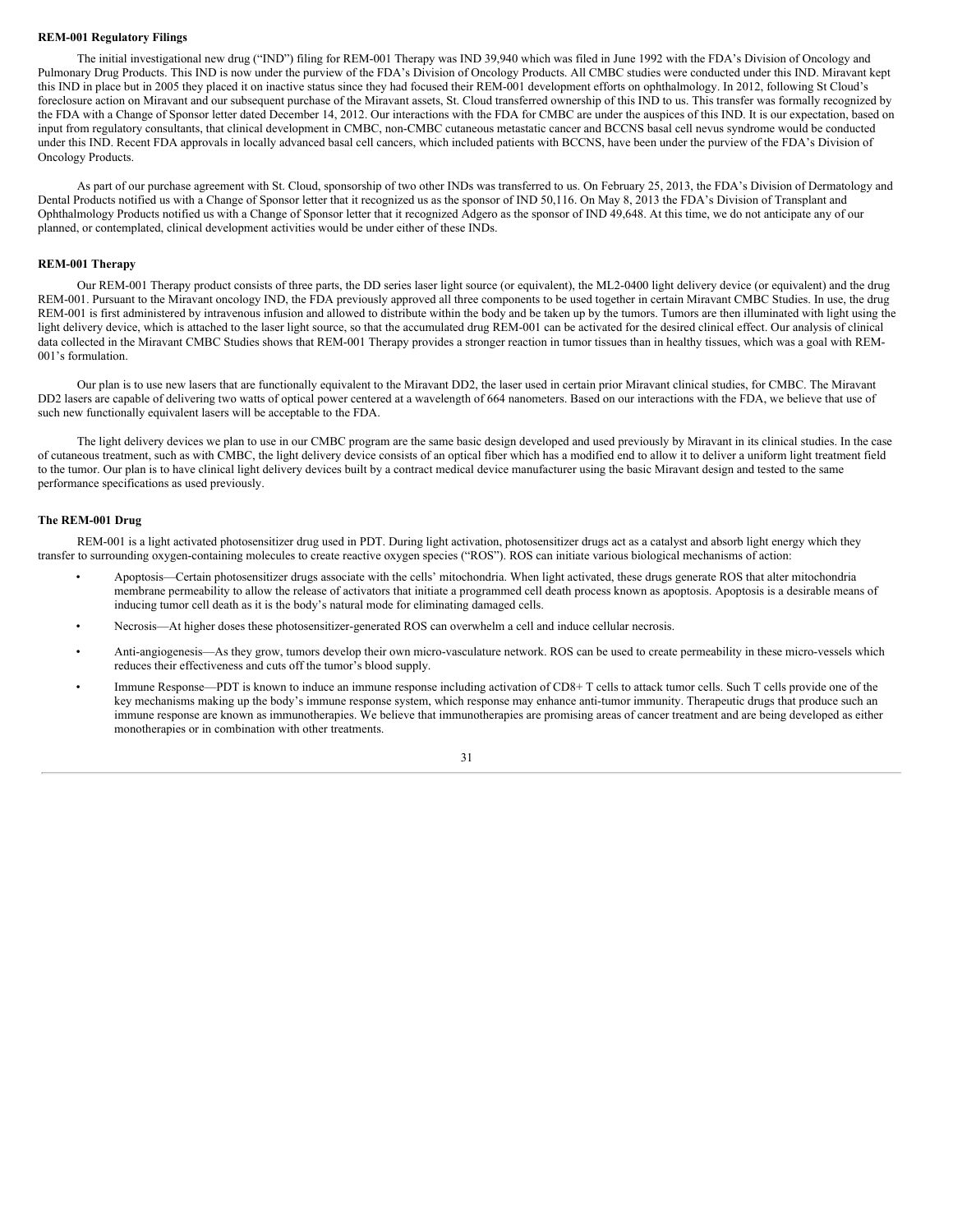## **REM-001 Regulatory Filings**

The initial investigational new drug ("IND") filing for REM-001 Therapy was IND 39,940 which was filed in June 1992 with the FDA's Division of Oncology and Pulmonary Drug Products. This IND is now under the purview of the FDA's Division of Oncology Products. All CMBC studies were conducted under this IND. Miravant kept this IND in place but in 2005 they placed it on inactive status since they had focused their REM-001 development efforts on ophthalmology. In 2012, following St Cloud's foreclosure action on Miravant and our subsequent purchase of the Miravant assets, St. Cloud transferred ownership of this IND to us. This transfer was formally recognized by the FDA with a Change of Sponsor letter dated December 14, 2012. Our interactions with the FDA for CMBC are under the auspices of this IND. It is our expectation, based on input from regulatory consultants, that clinical development in CMBC, non-CMBC cutaneous metastatic cancer and BCCNS basal cell nevus syndrome would be conducted under this IND. Recent FDA approvals in locally advanced basal cell cancers, which included patients with BCCNS, have been under the purview of the FDA's Division of Oncology Products.

As part of our purchase agreement with St. Cloud, sponsorship of two other INDs was transferred to us. On February 25, 2013, the FDA's Division of Dermatology and Dental Products notified us with a Change of Sponsor letter that it recognized us as the sponsor of IND 50,116. On May 8, 2013 the FDA's Division of Transplant and Ophthalmology Products notified us with a Change of Sponsor letter that it recognized Adgero as the sponsor of IND 49,648. At this time, we do not anticipate any of our planned, or contemplated, clinical development activities would be under either of these INDs.

## **REM-001 Therapy**

Our REM-001 Therapy product consists of three parts, the DD series laser light source (or equivalent), the ML2-0400 light delivery device (or equivalent) and the drug REM-001. Pursuant to the Miravant oncology IND, the FDA previously approved all three components to be used together in certain Miravant CMBC Studies. In use, the drug REM-001 is first administered by intravenous infusion and allowed to distribute within the body and be taken up by the tumors. Tumors are then illuminated with light using the light delivery device, which is attached to the laser light source, so that the accumulated drug REM-001 can be activated for the desired clinical effect. Our analysis of clinical data collected in the Miravant CMBC Studies shows that REM-001 Therapy provides a stronger reaction in tumor tissues than in healthy tissues, which was a goal with REM-001's formulation.

Our plan is to use new lasers that are functionally equivalent to the Miravant DD2, the laser used in certain prior Miravant clinical studies, for CMBC. The Miravant DD2 lasers are capable of delivering two watts of optical power centered at a wavelength of 664 nanometers. Based on our interactions with the FDA, we believe that use of such new functionally equivalent lasers will be acceptable to the FDA.

The light delivery devices we plan to use in our CMBC program are the same basic design developed and used previously by Miravant in its clinical studies. In the case of cutaneous treatment, such as with CMBC, the light delivery device consists of an optical fiber which has a modified end to allow it to deliver a uniform light treatment field to the tumor. Our plan is to have clinical light delivery devices built by a contract medical device manufacturer using the basic Miravant design and tested to the same performance specifications as used previously.

## **The REM-001 Drug**

REM-001 is a light activated photosensitizer drug used in PDT. During light activation, photosensitizer drugs act as a catalyst and absorb light energy which they transfer to surrounding oxygen-containing molecules to create reactive oxygen species ("ROS"). ROS can initiate various biological mechanisms of action:

- Apoptosis—Certain photosensitizer drugs associate with the cells' mitochondria. When light activated, these drugs generate ROS that alter mitochondria membrane permeability to allow the release of activators that initiate a programmed cell death process known as apoptosis. Apoptosis is a desirable means of inducing tumor cell death as it is the body's natural mode for eliminating damaged cells.
- Necrosis—At higher doses these photosensitizer-generated ROS can overwhelm a cell and induce cellular necrosis.
- Anti-angiogenesis—As they grow, tumors develop their own micro-vasculature network. ROS can be used to create permeability in these micro-vessels which reduces their effectiveness and cuts off the tumor's blood supply.
- Immune Response—PDT is known to induce an immune response including activation of CD8+T cells to attack tumor cells. Such T cells provide one of the key mechanisms making up the body's immune response system, which response may enhance anti-tumor immunity. Therapeutic drugs that produce such an immune response are known as immunotherapies. We believe that immunotherapies are promising areas of cancer treatment and are being developed as either monotherapies or in combination with other treatments.

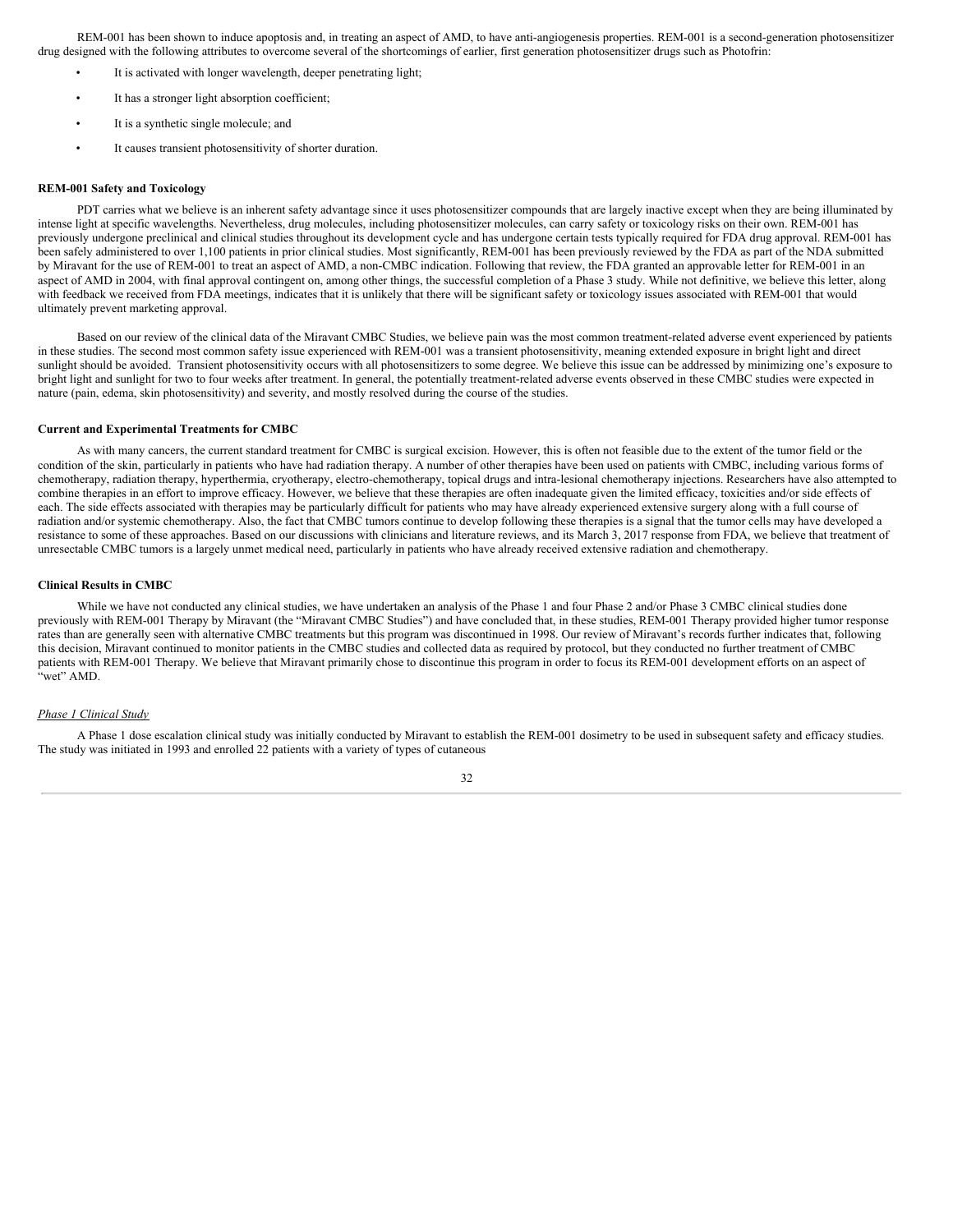REM-001 has been shown to induce apoptosis and, in treating an aspect of AMD, to have anti-angiogenesis properties. REM-001 is a second-generation photosensitizer drug designed with the following attributes to overcome several of the shortcomings of earlier, first generation photosensitizer drugs such as Photofrin:

- It is activated with longer wavelength, deeper penetrating light;
- It has a stronger light absorption coefficient;
- It is a synthetic single molecule; and
- It causes transient photosensitivity of shorter duration.

## **REM-001 Safety and Toxicology**

PDT carries what we believe is an inherent safety advantage since it uses photosensitizer compounds that are largely inactive except when they are being illuminated by intense light at specific wavelengths. Nevertheless, drug molecules, including photosensitizer molecules, can carry safety or toxicology risks on their own. REM-001 has previously undergone preclinical and clinical studies throughout its development cycle and has undergone certain tests typically required for FDA drug approval. REM-001 has been safely administered to over 1,100 patients in prior clinical studies. Most significantly, REM-001 has been previously reviewed by the FDA as part of the NDA submitted by Miravant for the use of REM-001 to treat an aspect of AMD, a non-CMBC indication. Following that review, the FDA granted an approvable letter for REM-001 in an aspect of AMD in 2004, with final approval contingent on, among other things, the successful completion of a Phase 3 study. While not definitive, we believe this letter, along with feedback we received from FDA meetings, indicates that it is unlikely that there will be significant safety or toxicology issues associated with REM-001 that would ultimately prevent marketing approval.

Based on our review of the clinical data of the Miravant CMBC Studies, we believe pain was the most common treatment-related adverse event experienced by patients in these studies. The second most common safety issue experienced with REM-001 was a transient photosensitivity, meaning extended exposure in bright light and direct sunlight should be avoided. Transient photosensitivity occurs with all photosensitizers to some degree. We believe this issue can be addressed by minimizing one's exposure to bright light and sunlight for two to four weeks after treatment. In general, the potentially treatment-related adverse events observed in these CMBC studies were expected in nature (pain, edema, skin photosensitivity) and severity, and mostly resolved during the course of the studies.

#### **Current and Experimental Treatments for CMBC**

As with many cancers, the current standard treatment for CMBC is surgical excision. However, this is often not feasible due to the extent of the tumor field or the condition of the skin, particularly in patients who have had radiation therapy. A number of other therapies have been used on patients with CMBC, including various forms of chemotherapy, radiation therapy, hyperthermia, cryotherapy, electro-chemotherapy, topical drugs and intra-lesional chemotherapy injections. Researchers have also attempted to combine therapies in an effort to improve efficacy. However, we believe that these therapies are often inadequate given the limited efficacy, toxicities and/or side effects of each. The side effects associated with therapies may be particularly difficult for patients who may have already experienced extensive surgery along with a full course of radiation and/or systemic chemotherapy. Also, the fact that CMBC tumors continue to develop following these therapies is a signal that the tumor cells may have developed a resistance to some of these approaches. Based on our discussions with clinicians and literature reviews, and its March 3, 2017 response from FDA, we believe that treatment of unresectable CMBC tumors is a largely unmet medical need, particularly in patients who have already received extensive radiation and chemotherapy.

#### **Clinical Results in CMBC**

While we have not conducted any clinical studies, we have undertaken an analysis of the Phase 1 and four Phase 2 and/or Phase 3 CMBC clinical studies done previously with REM-001 Therapy by Miravant (the "Miravant CMBC Studies") and have concluded that, in these studies, REM-001 Therapy provided higher tumor response rates than are generally seen with alternative CMBC treatments but this program was discontinued in 1998. Our review of Miravant's records further indicates that, following this decision, Miravant continued to monitor patients in the CMBC studies and collected data as required by protocol, but they conducted no further treatment of CMBC patients with REM-001 Therapy. We believe that Miravant primarily chose to discontinue this program in order to focus its REM-001 development efforts on an aspect of "wet" AMD.

### *Phase 1 Clinical Study*

A Phase 1 dose escalation clinical study was initially conducted by Miravant to establish the REM-001 dosimetry to be used in subsequent safety and efficacy studies. The study was initiated in 1993 and enrolled 22 patients with a variety of types of cutaneous

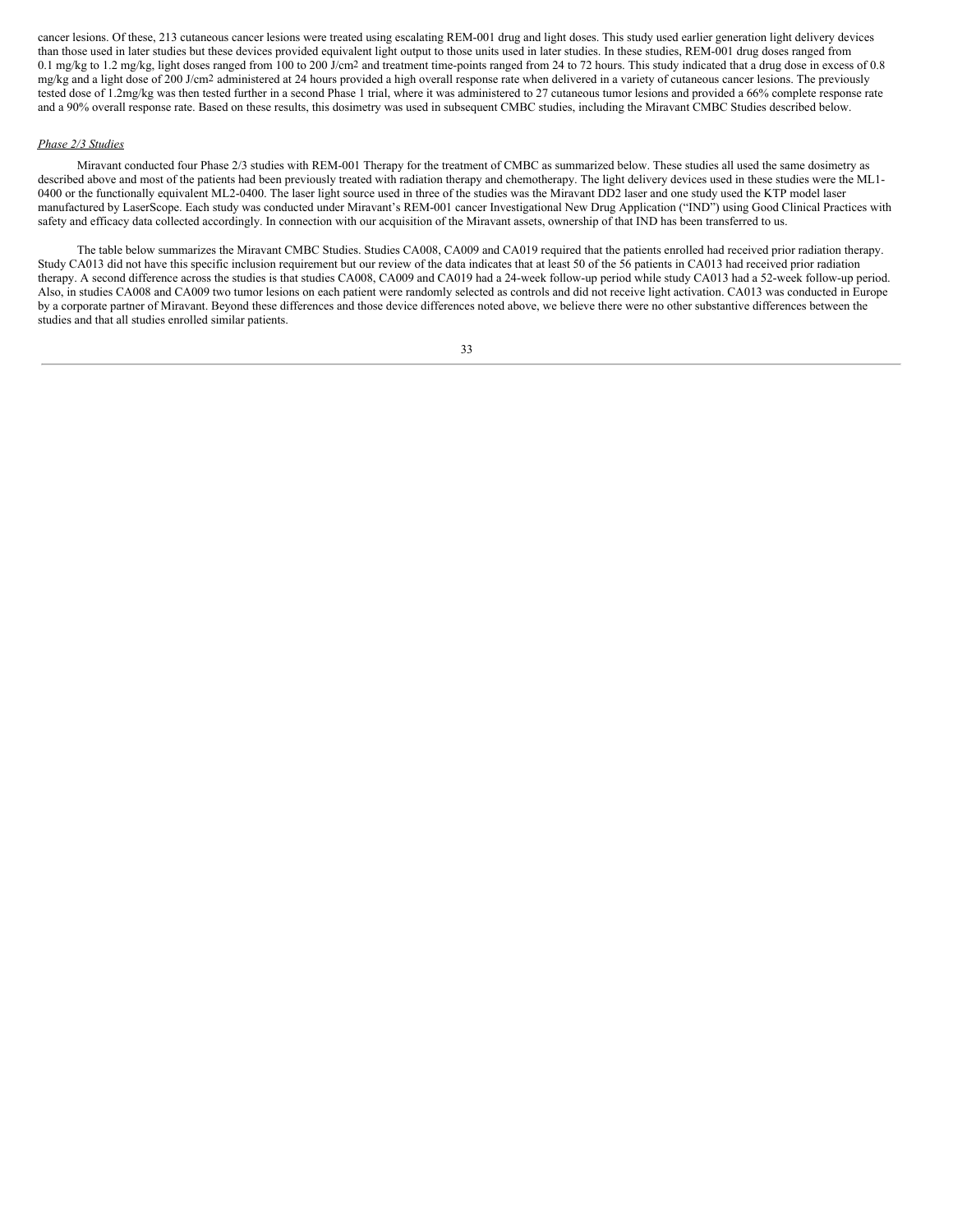cancer lesions. Of these, 213 cutaneous cancer lesions were treated using escalating REM-001 drug and light doses. This study used earlier generation light delivery devices than those used in later studies but these devices provided equivalent light output to those units used in later studies. In these studies, REM-001 drug doses ranged from 0.1 mg/kg to 1.2 mg/kg, light doses ranged from 100 to 200 J/cm<sup>2</sup> and treatment time-points ranged from 24 to 72 hours. This study indicated that a drug dose in excess of 0.8 mg/kg and a light dose of 200 J/cm<sup>2</sup> administered at 24 hours provided a high overall response rate when delivered in a variety of cutaneous cancer lesions. The previously tested dose of 1.2mg/kg was then tested further in a second Phase 1 trial, where it was administered to 27 cutaneous tumor lesions and provided a 66% complete response rate and a 90% overall response rate. Based on these results, this dosimetry was used in subsequent CMBC studies, including the Miravant CMBC Studies described below.

## *Phase 2/3 Studies*

Miravant conducted four Phase 2/3 studies with REM-001 Therapy for the treatment of CMBC as summarized below. These studies all used the same dosimetry as described above and most of the patients had been previously treated with radiation therapy and chemotherapy. The light delivery devices used in these studies were the ML1- 0400 or the functionally equivalent ML2-0400. The laser light source used in three of the studies was the Miravant DD2 laser and one study used the KTP model laser manufactured by LaserScope. Each study was conducted under Miravant's REM-001 cancer Investigational New Drug Application ("IND") using Good Clinical Practices with safety and efficacy data collected accordingly. In connection with our acquisition of the Miravant assets, ownership of that IND has been transferred to us.

The table below summarizes the Miravant CMBC Studies. Studies CA008, CA009 and CA019 required that the patients enrolled had received prior radiation therapy. Study CA013 did not have this specific inclusion requirement but our review of the data indicates that at least 50 of the 56 patients in CA013 had received prior radiation therapy. A second difference across the studies is that studies CA008, CA009 and CA019 had a 24-week follow-up period while study CA013 had a 52-week follow-up period. Also, in studies CA008 and CA009 two tumor lesions on each patient were randomly selected as controls and did not receive light activation. CA013 was conducted in Europe by a corporate partner of Miravant. Beyond these differences and those device differences noted above, we believe there were no other substantive differences between the studies and that all studies enrolled similar patients.

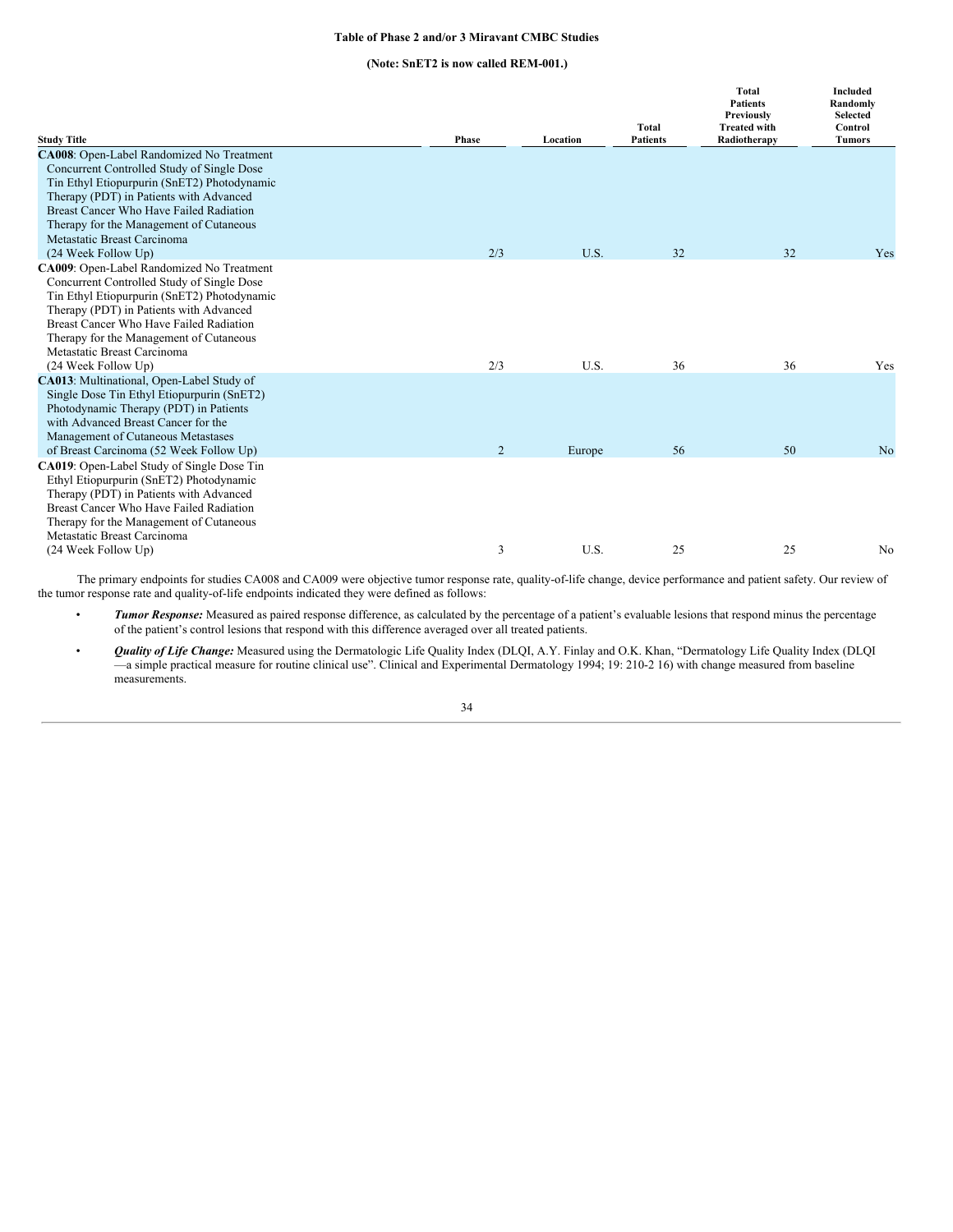## **Table of Phase 2 and/or 3 Miravant CMBC Studies**

## **(Note: SnET2 is now called REM-001.)**

| <b>Study Title</b>                                                     | Phase | Location | <b>Total</b><br><b>Patients</b> | <b>Total</b><br><b>Patients</b><br>Previously<br><b>Treated with</b><br>Radiotherapy | Included<br>Randomly<br><b>Selected</b><br>Control<br><b>Tumors</b> |
|------------------------------------------------------------------------|-------|----------|---------------------------------|--------------------------------------------------------------------------------------|---------------------------------------------------------------------|
| <b>CA008:</b> Open-Label Randomized No Treatment                       |       |          |                                 |                                                                                      |                                                                     |
| Concurrent Controlled Study of Single Dose                             |       |          |                                 |                                                                                      |                                                                     |
| Tin Ethyl Etiopurpurin (SnET2) Photodynamic                            |       |          |                                 |                                                                                      |                                                                     |
| Therapy (PDT) in Patients with Advanced                                |       |          |                                 |                                                                                      |                                                                     |
| Breast Cancer Who Have Failed Radiation                                |       |          |                                 |                                                                                      |                                                                     |
| Therapy for the Management of Cutaneous                                |       |          |                                 |                                                                                      |                                                                     |
| Metastatic Breast Carcinoma                                            |       |          |                                 |                                                                                      |                                                                     |
| (24 Week Follow Up)                                                    | 2/3   | U.S.     | 32                              | 32                                                                                   | Yes                                                                 |
| CA009: Open-Label Randomized No Treatment                              |       |          |                                 |                                                                                      |                                                                     |
| Concurrent Controlled Study of Single Dose                             |       |          |                                 |                                                                                      |                                                                     |
| Tin Ethyl Etiopurpurin (SnET2) Photodynamic                            |       |          |                                 |                                                                                      |                                                                     |
| Therapy (PDT) in Patients with Advanced                                |       |          |                                 |                                                                                      |                                                                     |
| Breast Cancer Who Have Failed Radiation                                |       |          |                                 |                                                                                      |                                                                     |
| Therapy for the Management of Cutaneous<br>Metastatic Breast Carcinoma |       |          |                                 |                                                                                      |                                                                     |
| (24 Week Follow Up)                                                    | 2/3   | U.S.     | 36                              | 36                                                                                   | Yes                                                                 |
| CA013: Multinational, Open-Label Study of                              |       |          |                                 |                                                                                      |                                                                     |
| Single Dose Tin Ethyl Etiopurpurin (SnET2)                             |       |          |                                 |                                                                                      |                                                                     |
| Photodynamic Therapy (PDT) in Patients                                 |       |          |                                 |                                                                                      |                                                                     |
| with Advanced Breast Cancer for the                                    |       |          |                                 |                                                                                      |                                                                     |
| Management of Cutaneous Metastases                                     |       |          |                                 |                                                                                      |                                                                     |
| of Breast Carcinoma (52 Week Follow Up)                                | 2     | Europe   | 56                              | 50                                                                                   | No                                                                  |
| CA019: Open-Label Study of Single Dose Tin                             |       |          |                                 |                                                                                      |                                                                     |
| Ethyl Etiopurpurin (SnET2) Photodynamic                                |       |          |                                 |                                                                                      |                                                                     |
| Therapy (PDT) in Patients with Advanced                                |       |          |                                 |                                                                                      |                                                                     |
| Breast Cancer Who Have Failed Radiation                                |       |          |                                 |                                                                                      |                                                                     |
| Therapy for the Management of Cutaneous                                |       |          |                                 |                                                                                      |                                                                     |
| Metastatic Breast Carcinoma                                            |       |          |                                 |                                                                                      |                                                                     |
| (24 Week Follow Up)                                                    | 3     | U.S.     | 25                              | 25                                                                                   | No                                                                  |
|                                                                        |       |          |                                 |                                                                                      |                                                                     |

The primary endpoints for studies CA008 and CA009 were objective tumor response rate, quality-of-life change, device performance and patient safety. Our review of the tumor response rate and quality-of-life endpoints indicated they were defined as follows:

• *Tumor Response:* Measured as paired response difference, as calculated by the percentage of a patient's evaluable lesions that respond minus the percentage of the patient's control lesions that respond with this difference averaged over all treated patients.

• *Quality of Life Change:* Measured using the Dermatologic Life Quality Index (DLQI, A.Y. Finlay and O.K. Khan, "Dermatology Life Quality Index (DLQI —a simple practical measure for routine clinical use". Clinical and Experimental Dermatology 1994; 19: 210-2 16) with change measured from baseline measurements.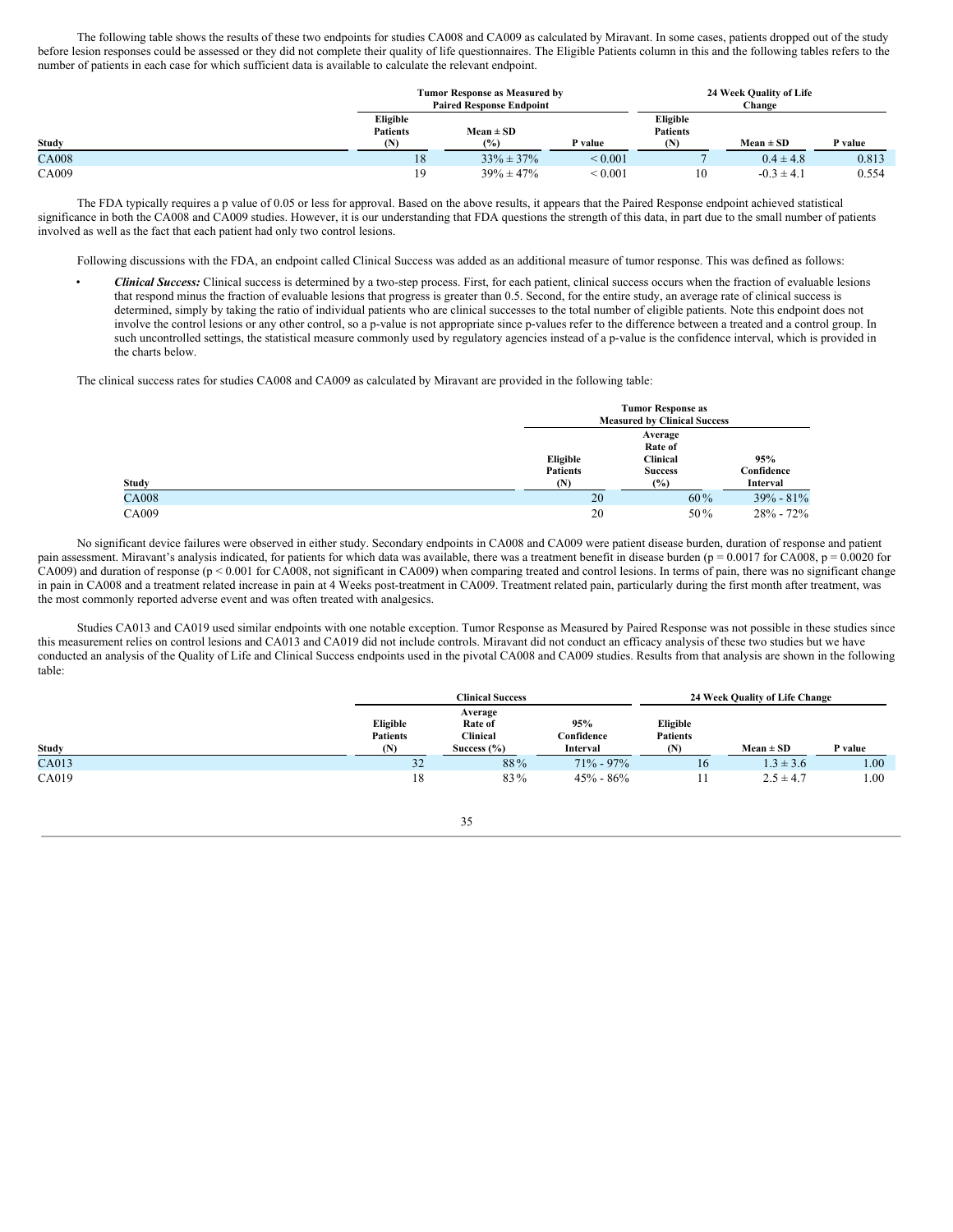The following table shows the results of these two endpoints for studies CA008 and CA009 as calculated by Miravant. In some cases, patients dropped out of the study before lesion responses could be assessed or they did not complete their quality of life questionnaires. The Eligible Patients column in this and the following tables refers to the number of patients in each case for which sufficient data is available to calculate the relevant endpoint.

|              | <b>Tumor Response as Measured by</b><br><b>Paired Response Endpoint</b> |                 | 24 Week Quality of Life<br>Change |                             |                |         |
|--------------|-------------------------------------------------------------------------|-----------------|-----------------------------------|-----------------------------|----------------|---------|
|              | Eligible<br><b>Patients</b>                                             | $Mean \pm SD$   |                                   | Eligible<br><b>Patients</b> |                |         |
| Study        | M                                                                       | (%)             | P value                           | N                           | $Mean \pm SD$  | P value |
| <b>CA008</b> | 18                                                                      | $33\% \pm 37\%$ | ${}_{0.001}$                      |                             | $0.4 \pm 4.8$  | 0.813   |
| CA009        | 19                                                                      | $39\% \pm 47\%$ | ${}_{0.001}$                      |                             | $-0.3 \pm 4.1$ | 0.554   |

The FDA typically requires a p value of 0.05 or less for approval. Based on the above results, it appears that the Paired Response endpoint achieved statistical significance in both the CA008 and CA009 studies. However, it is our understanding that FDA questions the strength of this data, in part due to the small number of patients involved as well as the fact that each patient had only two control lesions.

Following discussions with the FDA, an endpoint called Clinical Success was added as an additional measure of tumor response. This was defined as follows:

• *Clinical Success:* Clinical success is determined by a two-step process. First, for each patient, clinical success occurs when the fraction of evaluable lesions that respond minus the fraction of evaluable lesions that progress is greater than 0.5. Second, for the entire study, an average rate of clinical success is determined, simply by taking the ratio of individual patients who are clinical successes to the total number of eligible patients. Note this endpoint does not involve the control lesions or any other control, so a p-value is not appropriate since p-values refer to the difference between a treated and a control group. In such uncontrolled settings, the statistical measure commonly used by regulatory agencies instead of a p-value is the confidence interval, which is provided in the charts below.

The clinical success rates for studies CA008 and CA009 as calculated by Miravant are provided in the following table:

|              |                             | <b>Tumor Response as</b><br><b>Measured by Clinical Success</b> |                   |  |
|--------------|-----------------------------|-----------------------------------------------------------------|-------------------|--|
|              |                             | Average                                                         |                   |  |
|              | Eligible<br><b>Patients</b> | Rate of<br>Clinical<br><b>Success</b>                           | 95%<br>Confidence |  |
| Study        | (N)                         | $(\%)$                                                          | Interval          |  |
| <b>CA008</b> | 20                          | 60%                                                             | $39\% - 81\%$     |  |
| CA009        | 20                          | 50%                                                             | $28\%$ - $72\%$   |  |

No significant device failures were observed in either study. Secondary endpoints in CA008 and CA009 were patient disease burden, duration of response and patient pain assessment. Miravant's analysis indicated, for patients for which data was available, there was a treatment benefit in disease burden ( $p = 0.0017$  for CA008,  $p = 0.0020$  for  $C_A(009)$  and duration of response ( $p < 0.001$  for  $C_A(008)$ , not significant in  $C_A(009)$ ) when comparing treated and control lesions. In terms of pain, there was no significant change in pain in CA008 and a treatment related increase in pain at 4 Weeks post-treatment in CA009. Treatment related pain, particularly during the first month after treatment, was the most commonly reported adverse event and was often treated with analgesics.

Studies CA013 and CA019 used similar endpoints with one notable exception. Tumor Response as Measured by Paired Response was not possible in these studies since this measurement relies on control lesions and CA013 and CA019 did not include controls. Miravant did not conduct an efficacy analysis of these two studies but we have conducted an analysis of the Quality of Life and Clinical Success endpoints used in the pivotal CA008 and CA009 studies. Results from that analysis are shown in the following table:

|       | <b>Clinical Success</b>                 |                                                          | 24 Week Quality of Life Change |                             |               |         |
|-------|-----------------------------------------|----------------------------------------------------------|--------------------------------|-----------------------------|---------------|---------|
| Study | Eligible<br><b>Patients</b><br><b>N</b> | Average<br>Rate of<br><b>Clinical</b><br>Success $(\% )$ | 95%<br>Confidence<br>Interval  | Eligible<br><b>Patients</b> | $Mean \pm SD$ | P value |
| CA013 | 32                                      | 88%                                                      | $71\% - 97\%$                  | 16                          | $1.3 \pm 3.6$ | 1.00    |
| CA019 | 18                                      | 83%                                                      | $45\% - 86\%$                  |                             | $2.5 \pm 4.7$ | 1.00    |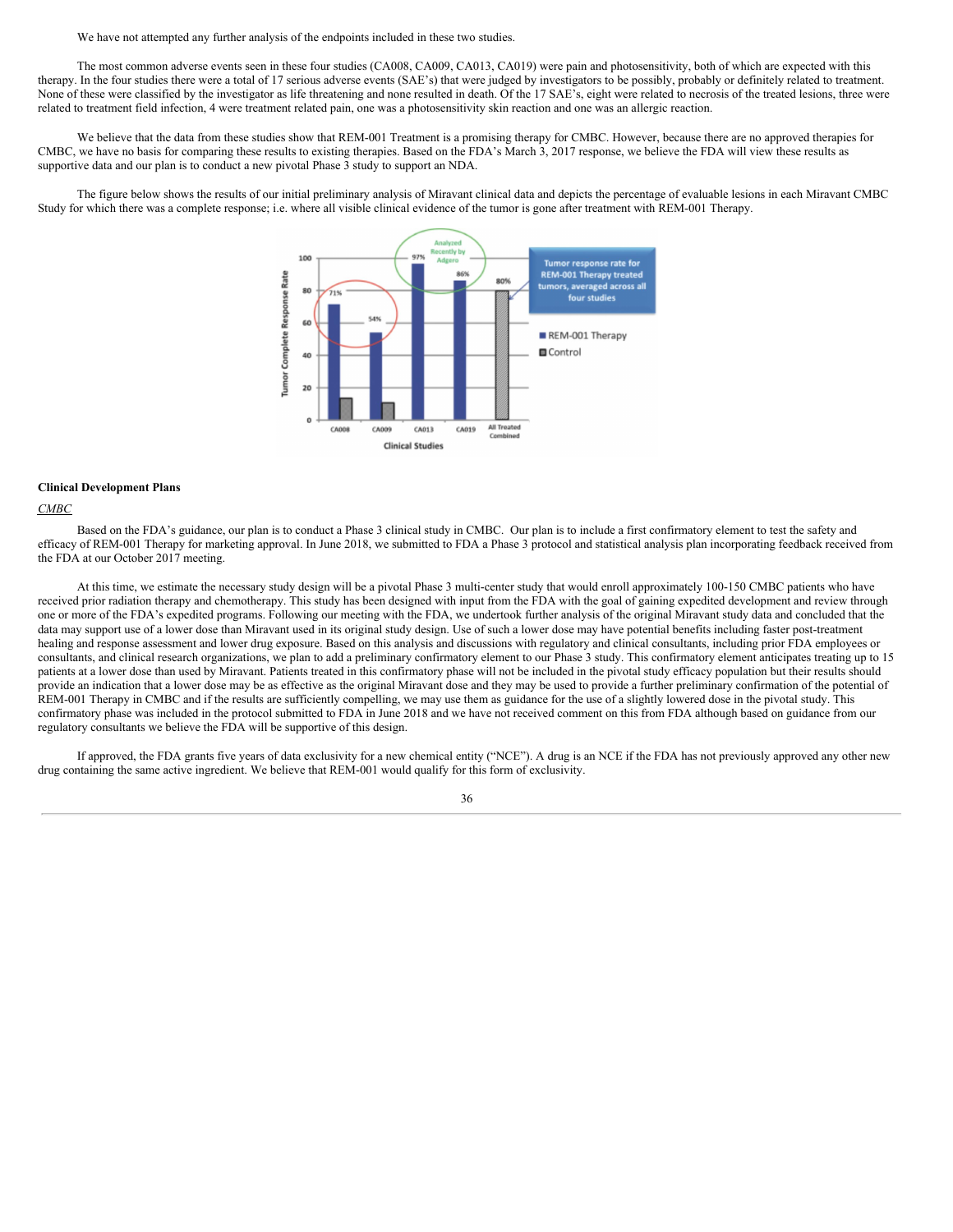We have not attempted any further analysis of the endpoints included in these two studies.

The most common adverse events seen in these four studies (CA008, CA009, CA013, CA019) were pain and photosensitivity, both of which are expected with this therapy. In the four studies there were a total of 17 serious adverse events (SAE's) that were judged by investigators to be possibly, probably or definitely related to treatment. None of these were classified by the investigator as life threatening and none resulted in death. Of the 17 SAE's, eight were related to necrosis of the treated lesions, three were related to treatment field infection, 4 were treatment related pain, one was a photosensitivity skin reaction and one was an allergic reaction.

We believe that the data from these studies show that REM-001 Treatment is a promising therapy for CMBC. However, because there are no approved therapies for CMBC, we have no basis for comparing these results to existing therapies. Based on the FDA's March 3, 2017 response, we believe the FDA will view these results as supportive data and our plan is to conduct a new pivotal Phase 3 study to support an NDA.

The figure below shows the results of our initial preliminary analysis of Miravant clinical data and depicts the percentage of evaluable lesions in each Miravant CMBC Study for which there was a complete response; i.e. where all visible clinical evidence of the tumor is gone after treatment with REM-001 Therapy.



## **Clinical Development Plans**

#### *CMBC*

Based on the FDA's guidance, our plan is to conduct a Phase 3 clinical study in CMBC. Our plan is to include a first confirmatory element to test the safety and efficacy of REM-001 Therapy for marketing approval. In June 2018, we submitted to FDA a Phase 3 protocol and statistical analysis plan incorporating feedback received from the FDA at our October 2017 meeting.

At this time, we estimate the necessary study design will be a pivotal Phase 3 multi-center study that would enroll approximately 100-150 CMBC patients who have received prior radiation therapy and chemotherapy. This study has been designed with input from the FDA with the goal of gaining expedited development and review through one or more of the FDA's expedited programs. Following our meeting with the FDA, we undertook further analysis of the original Miravant study data and concluded that the data may support use of a lower dose than Miravant used in its original study design. Use of such a lower dose may have potential benefits including faster post-treatment healing and response assessment and lower drug exposure. Based on this analysis and discussions with regulatory and clinical consultants, including prior FDA employees or consultants, and clinical research organizations, we plan to add a preliminary confirmatory element to our Phase 3 study. This confirmatory element anticipates treating up to 15 patients at a lower dose than used by Miravant. Patients treated in this confirmatory phase will not be included in the pivotal study efficacy population but their results should provide an indication that a lower dose may be as effective as the original Miravant dose and they may be used to provide a further preliminary confirmation of the potential of REM-001 Therapy in CMBC and if the results are sufficiently compelling, we may use them as guidance for the use of a slightly lowered dose in the pivotal study. This confirmatory phase was included in the protocol submitted to FDA in June 2018 and we have not received comment on this from FDA although based on guidance from our regulatory consultants we believe the FDA will be supportive of this design.

If approved, the FDA grants five years of data exclusivity for a new chemical entity ("NCE"). A drug is an NCE if the FDA has not previously approved any other new drug containing the same active ingredient. We believe that REM-001 would qualify for this form of exclusivity.

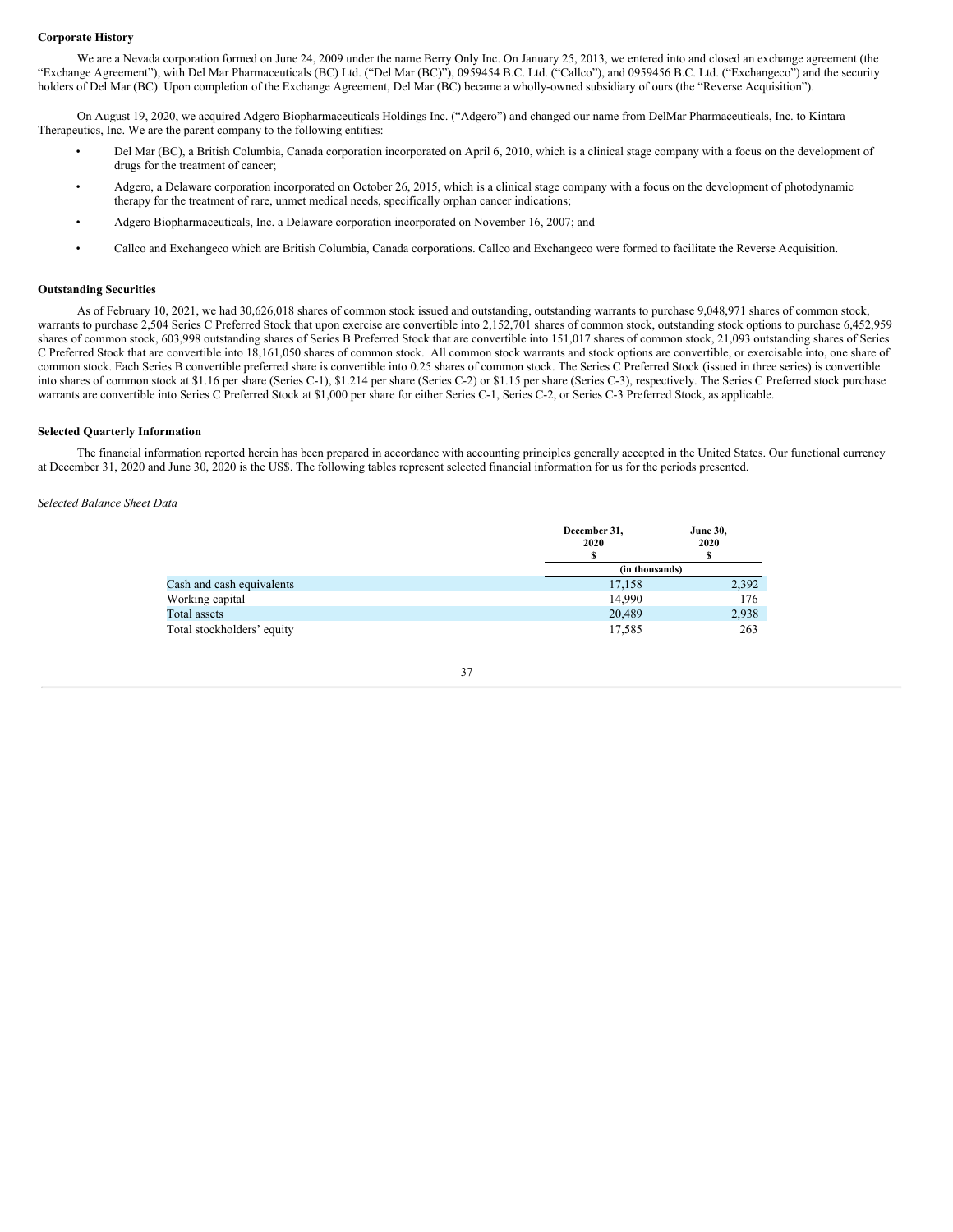#### **Corporate History**

We are a Nevada corporation formed on June 24, 2009 under the name Berry Only Inc. On January 25, 2013, we entered into and closed an exchange agreement (the "Exchange Agreement"), with Del Mar Pharmaceuticals (BC) Ltd. ("Del Mar (BC)"), 0959454 B.C. Ltd. ("Callco"), and 0959456 B.C. Ltd. ("Exchangeco") and the security holders of Del Mar (BC). Upon completion of the Exchange Agreement, Del Mar (BC) became a wholly-owned subsidiary of ours (the "Reverse Acquisition").

On August 19, 2020, we acquired Adgero Biopharmaceuticals Holdings Inc. ("Adgero") and changed our name from DelMar Pharmaceuticals, Inc. to Kintara Therapeutics, Inc. We are the parent company to the following entities:

- Del Mar (BC), a British Columbia, Canada corporation incorporated on April 6, 2010, which is a clinical stage company with a focus on the development of drugs for the treatment of cancer;
- Adgero, a Delaware corporation incorporated on October 26, 2015, which is a clinical stage company with a focus on the development of photodynamic therapy for the treatment of rare, unmet medical needs, specifically orphan cancer indications;
- Adgero Biopharmaceuticals, Inc. a Delaware corporation incorporated on November 16, 2007; and
- Callco and Exchangeco which are British Columbia, Canada corporations. Callco and Exchangeco were formed to facilitate the Reverse Acquisition.

#### **Outstanding Securities**

As of February 10, 2021, we had 30,626,018 shares of common stock issued and outstanding, outstanding warrants to purchase 9,048,971 shares of common stock, warrants to purchase 2,504 Series C Preferred Stock that upon exercise are convertible into 2,152,701 shares of common stock, outstanding stock options to purchase 6,452,959 shares of common stock, 603,998 outstanding shares of Series B Preferred Stock that are convertible into 151,017 shares of common stock, 21,093 outstanding shares of Series C Preferred Stock that are convertible into 18,161,050 shares of common stock. All common stock warrants and stock options are convertible, or exercisable into, one share of common stock. Each Series B convertible preferred share is convertible into 0.25 shares of common stock. The Series C Preferred Stock (issued in three series) is convertible into shares of common stock at \$1.16 per share (Series C-1), \$1.214 per share (Series C-2) or \$1.15 per share (Series C-3), respectively. The Series C Preferred stock purchase warrants are convertible into Series C Preferred Stock at \$1,000 per share for either Series C-1, Series C-2, or Series C-3 Preferred Stock, as applicable.

#### **Selected Quarterly Information**

The financial information reported herein has been prepared in accordance with accounting principles generally accepted in the United States. Our functional currency at December 31, 2020 and June 30, 2020 is the US\$. The following tables represent selected financial information for us for the periods presented.

#### *Selected Balance Sheet Data*

|                            | December 31,<br>2020 | <b>June 30,</b><br>2020 |
|----------------------------|----------------------|-------------------------|
|                            | (in thousands)       |                         |
| Cash and cash equivalents  | 17,158               | 2,392                   |
| Working capital            | 14,990               | 176                     |
| Total assets               | 20,489               | 2,938                   |
| Total stockholders' equity | 17.585               | 263                     |

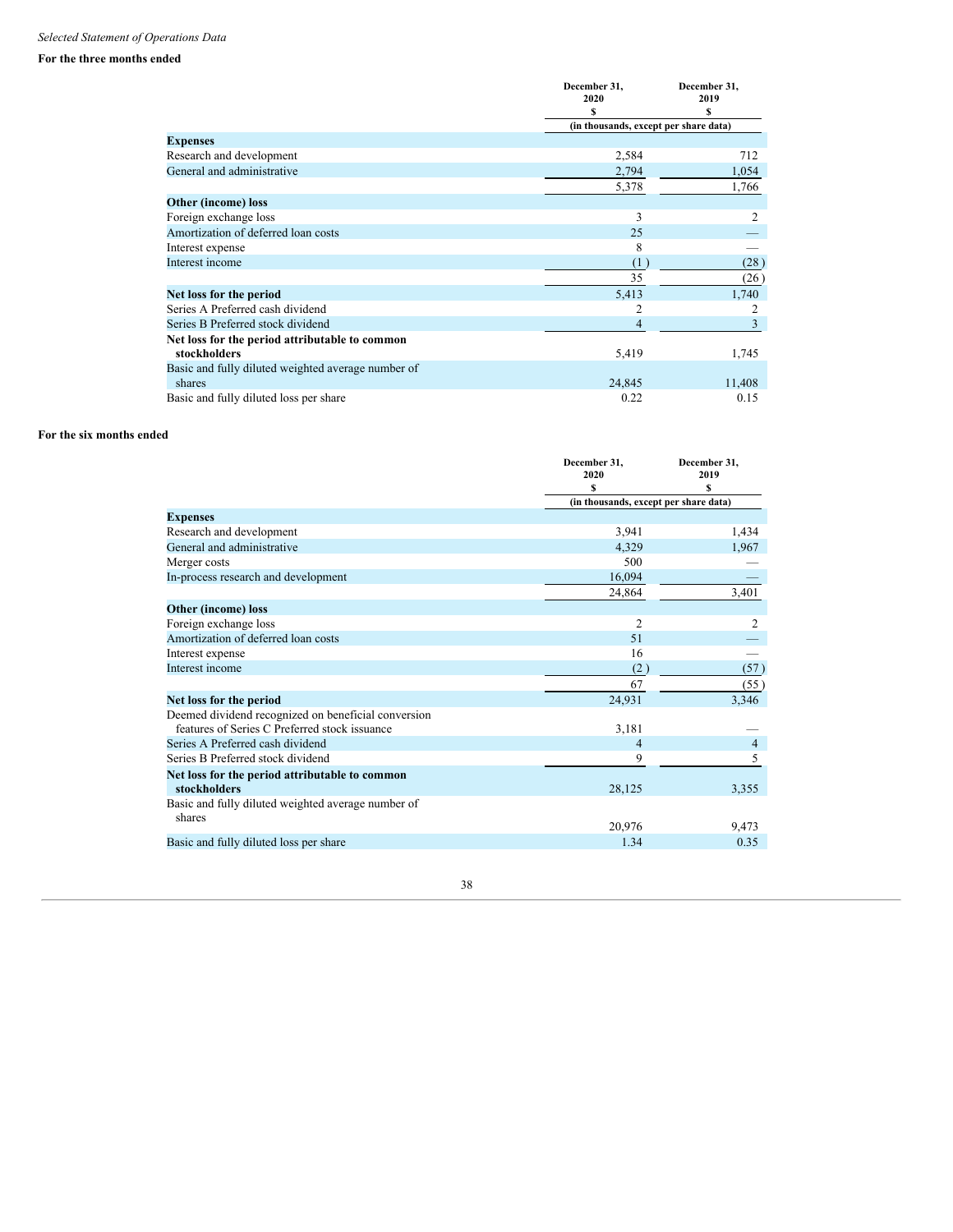# **For the three months ended**

|                                                    | December 31,<br>2020<br>Ś             | December 31,<br>2019<br>S |
|----------------------------------------------------|---------------------------------------|---------------------------|
|                                                    | (in thousands, except per share data) |                           |
| <b>Expenses</b>                                    |                                       |                           |
| Research and development                           | 2,584                                 | 712                       |
| General and administrative                         | 2,794                                 | 1,054                     |
|                                                    | 5,378                                 | 1,766                     |
| Other (income) loss                                |                                       |                           |
| Foreign exchange loss                              | 3                                     | 2                         |
| Amortization of deferred loan costs                | 25                                    |                           |
| Interest expense                                   | 8                                     |                           |
| Interest income                                    | (1)                                   | (28)                      |
|                                                    | 35                                    | (26)                      |
| Net loss for the period                            | 5,413                                 | 1,740                     |
| Series A Preferred cash dividend                   | 2                                     | 2                         |
| Series B Preferred stock dividend                  | 4                                     | 3                         |
| Net loss for the period attributable to common     |                                       |                           |
| stockholders                                       | 5,419                                 | 1,745                     |
| Basic and fully diluted weighted average number of |                                       |                           |
| shares                                             | 24,845                                | 11,408                    |
| Basic and fully diluted loss per share             | 0.22                                  | 0.15                      |

## **For the six months ended**

|                                                     | December 31.                          | December 31, |
|-----------------------------------------------------|---------------------------------------|--------------|
|                                                     | 2020<br>S                             | 2019<br>S    |
|                                                     | (in thousands, except per share data) |              |
|                                                     |                                       |              |
| <b>Expenses</b>                                     |                                       |              |
| Research and development                            | 3,941                                 | 1,434        |
| General and administrative                          | 4,329                                 | 1,967        |
| Merger costs                                        | 500                                   |              |
| In-process research and development                 | 16,094                                |              |
|                                                     | 24,864                                | 3,401        |
| Other (income) loss                                 |                                       |              |
| Foreign exchange loss                               | 2                                     | 2            |
| Amortization of deferred loan costs                 | 51                                    |              |
| Interest expense                                    | 16                                    |              |
| Interest income                                     | (2)                                   | (57)         |
|                                                     | 67                                    | (55)         |
| Net loss for the period                             | 24,931                                | 3,346        |
| Deemed dividend recognized on beneficial conversion |                                       |              |
| features of Series C Preferred stock issuance       | 3,181                                 |              |
| Series A Preferred cash dividend                    | 4                                     | 4            |
| Series B Preferred stock dividend                   | 9                                     | 5            |
| Net loss for the period attributable to common      |                                       |              |
| stockholders                                        | 28,125                                | 3,355        |
| Basic and fully diluted weighted average number of  |                                       |              |
| shares                                              | 20,976                                | 9,473        |
| Basic and fully diluted loss per share              | 1.34                                  | 0.35         |
|                                                     |                                       |              |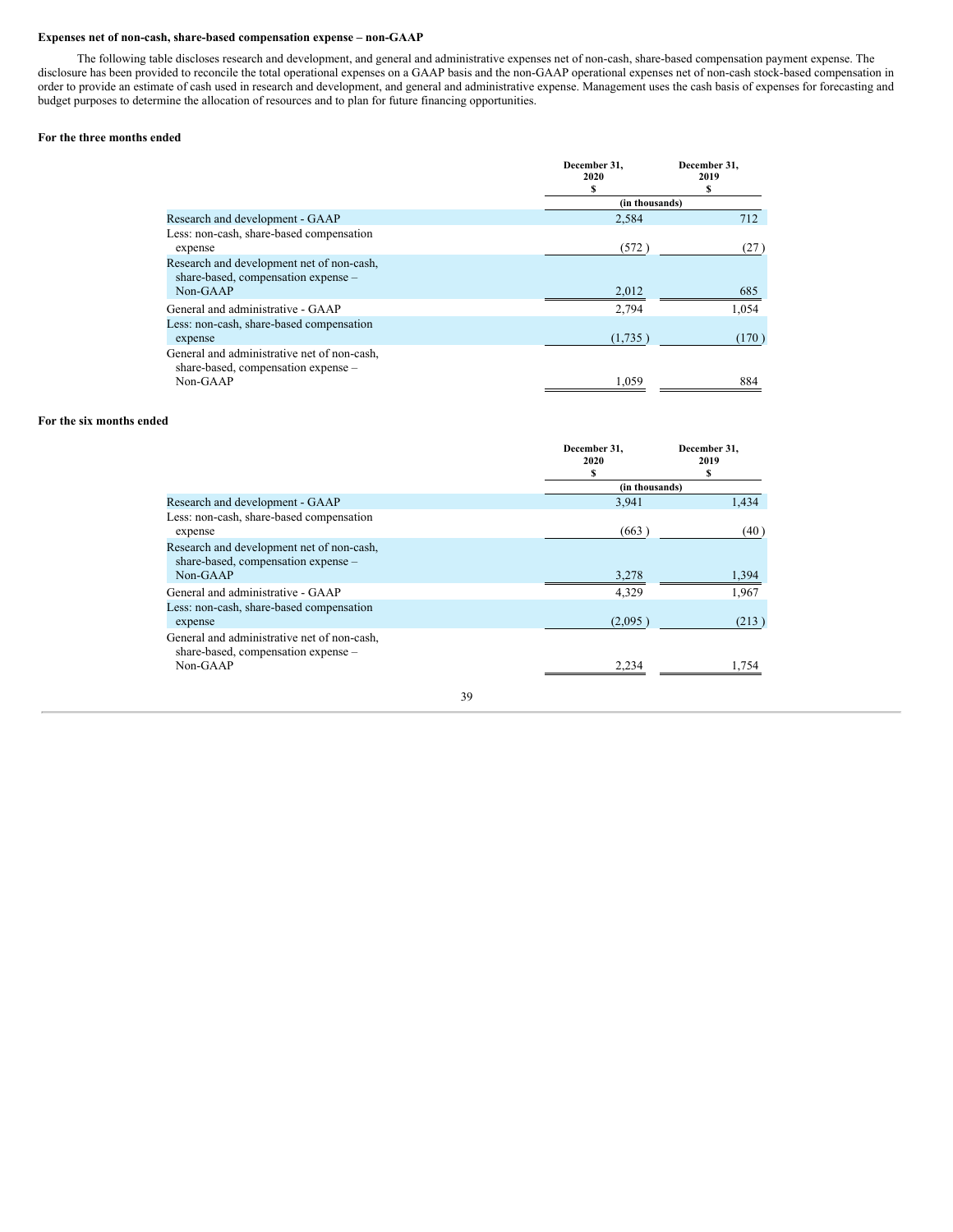## **Expenses net of non-cash, share-based compensation expense – non-GAAP**

The following table discloses research and development, and general and administrative expenses net of non-cash, share-based compensation payment expense. The disclosure has been provided to reconcile the total operational expenses on a GAAP basis and the non-GAAP operational expenses net of non-cash stock-based compensation in order to provide an estimate of cash used in research and development, and general and administrative expense. Management uses the cash basis of expenses for forecasting and budget purposes to determine the allocation of resources and to plan for future financing opportunities.

## **For the three months ended**

|                                                                                                | December 31,<br>2020 | December 31,<br>2019<br>S |
|------------------------------------------------------------------------------------------------|----------------------|---------------------------|
|                                                                                                | (in thousands)       |                           |
| Research and development - GAAP                                                                | 2,584                | 712                       |
| Less: non-cash, share-based compensation<br>expense                                            | (572)                | (27)                      |
| Research and development net of non-cash,<br>share-based, compensation expense -<br>Non-GAAP   | 2,012                | 685                       |
| General and administrative - GAAP                                                              | 2,794                | 1,054                     |
| Less: non-cash, share-based compensation<br>expense                                            | (1,735)              | (170)                     |
| General and administrative net of non-cash,<br>share-based, compensation expense –<br>Non-GAAP | 1.059                | 884                       |

# **For the six months ended**

| (in thousands) |       |
|----------------|-------|
|                |       |
| 3,941          | 1,434 |
|                |       |
| (663)          | (40)  |
|                |       |
| 3,278          | 1,394 |
| 4,329          | 1,967 |
|                |       |
| (2,095)        | (213) |
|                |       |
|                | 1,754 |
|                | 2.234 |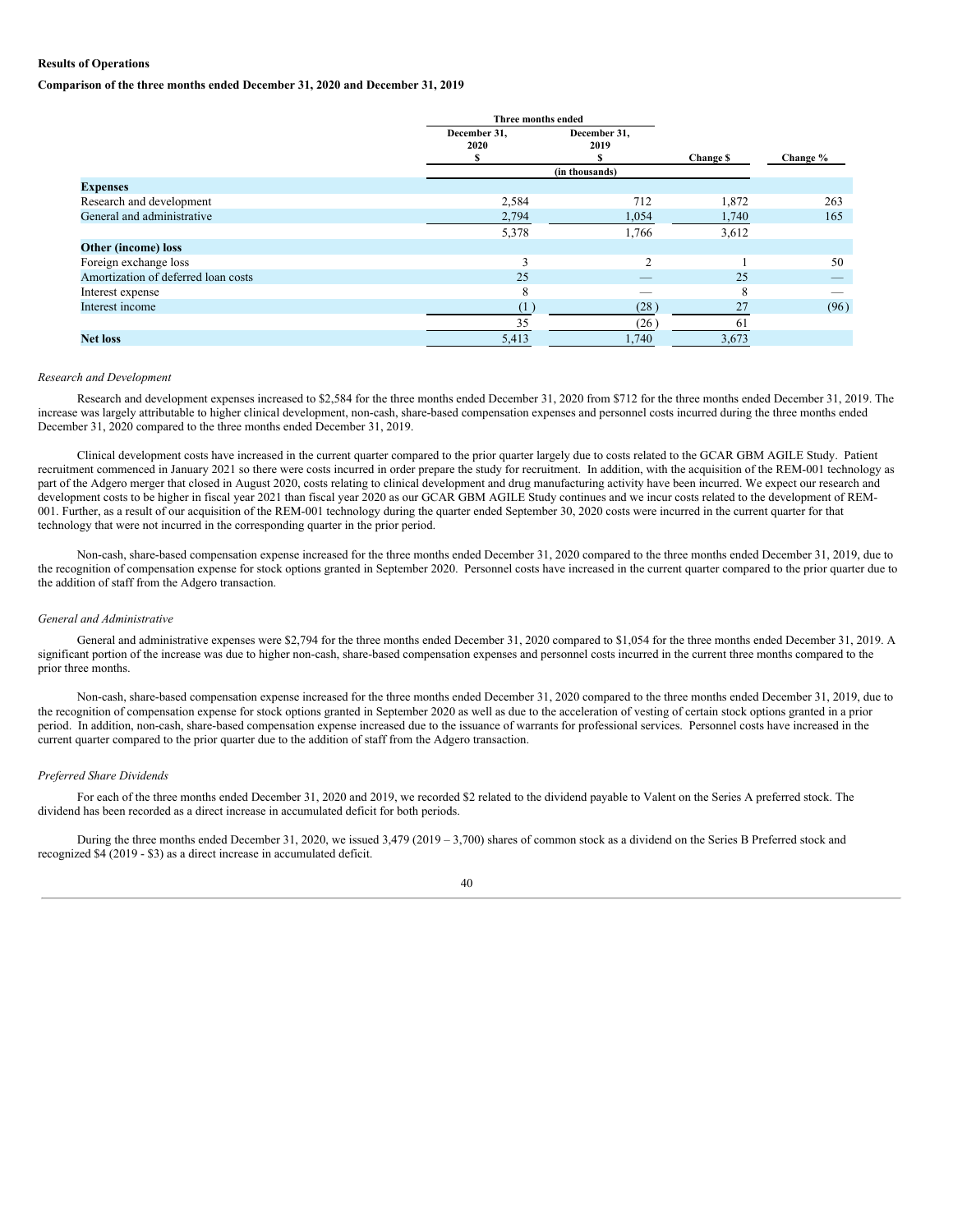#### **Results of Operations**

## **Comparison of the three months ended December 31, 2020 and December 31, 2019**

|                                     |                      | Three months ended   |           |          |
|-------------------------------------|----------------------|----------------------|-----------|----------|
|                                     | December 31,<br>2020 | December 31,<br>2019 |           |          |
|                                     | S                    | s                    | Change \$ | Change % |
|                                     |                      | (in thousands)       |           |          |
| <b>Expenses</b>                     |                      |                      |           |          |
| Research and development            | 2,584                | 712                  | 1,872     | 263      |
| General and administrative          | 2,794                | 1,054                | 1,740     | 165      |
|                                     | 5,378                | 1,766                | 3,612     |          |
| Other (income) loss                 |                      |                      |           |          |
| Foreign exchange loss               |                      | 2                    |           | 50       |
| Amortization of deferred loan costs | 25                   |                      | 25        |          |
| Interest expense                    | 8                    |                      | 8         |          |
| Interest income                     | (1)                  | (28)                 | 27        | (96)     |
|                                     | 35                   | (26)                 | 61        |          |
| <b>Net loss</b>                     | 5,413                | 1,740                | 3,673     |          |

## *Research and Development*

Research and development expenses increased to \$2,584 for the three months ended December 31, 2020 from \$712 for the three months ended December 31, 2019. The increase was largely attributable to higher clinical development, non-cash, share-based compensation expenses and personnel costs incurred during the three months ended December 31, 2020 compared to the three months ended December 31, 2019.

Clinical development costs have increased in the current quarter compared to the prior quarter largely due to costs related to the GCAR GBM AGILE Study. Patient recruitment commenced in January 2021 so there were costs incurred in order prepare the study for recruitment. In addition, with the acquisition of the REM-001 technology as part of the Adgero merger that closed in August 2020, costs relating to clinical development and drug manufacturing activity have been incurred. We expect our research and development costs to be higher in fiscal year 2021 than fiscal year 2020 as our GCAR GBM AGILE Study continues and we incur costs related to the development of REM-001. Further, as a result of our acquisition of the REM-001 technology during the quarter ended September 30, 2020 costs were incurred in the current quarter for that technology that were not incurred in the corresponding quarter in the prior period.

Non-cash, share-based compensation expense increased for the three months ended December 31, 2020 compared to the three months ended December 31, 2019, due to the recognition of compensation expense for stock options granted in September 2020. Personnel costs have increased in the current quarter compared to the prior quarter due to the addition of staff from the Adgero transaction.

#### *General and Administrative*

General and administrative expenses were \$2,794 for the three months ended December 31, 2020 compared to \$1,054 for the three months ended December 31, 2019. A significant portion of the increase was due to higher non-cash, share-based compensation expenses and personnel costs incurred in the current three months compared to the prior three months.

Non-cash, share-based compensation expense increased for the three months ended December 31, 2020 compared to the three months ended December 31, 2019, due to the recognition of compensation expense for stock options granted in September 2020 as well as due to the acceleration of vesting of certain stock options granted in a prior period. In addition, non-cash, share-based compensation expense increased due to the issuance of warrants for professional services. Personnel costs have increased in the current quarter compared to the prior quarter due to the addition of staff from the Adgero transaction.

## *Preferred Share Dividends*

For each of the three months ended December 31, 2020 and 2019, we recorded \$2 related to the dividend payable to Valent on the Series A preferred stock. The dividend has been recorded as a direct increase in accumulated deficit for both periods.

During the three months ended December 31, 2020, we issued 3,479 (2019 – 3,700) shares of common stock as a dividend on the Series B Preferred stock and recognized \$4 (2019 - \$3) as a direct increase in accumulated deficit.

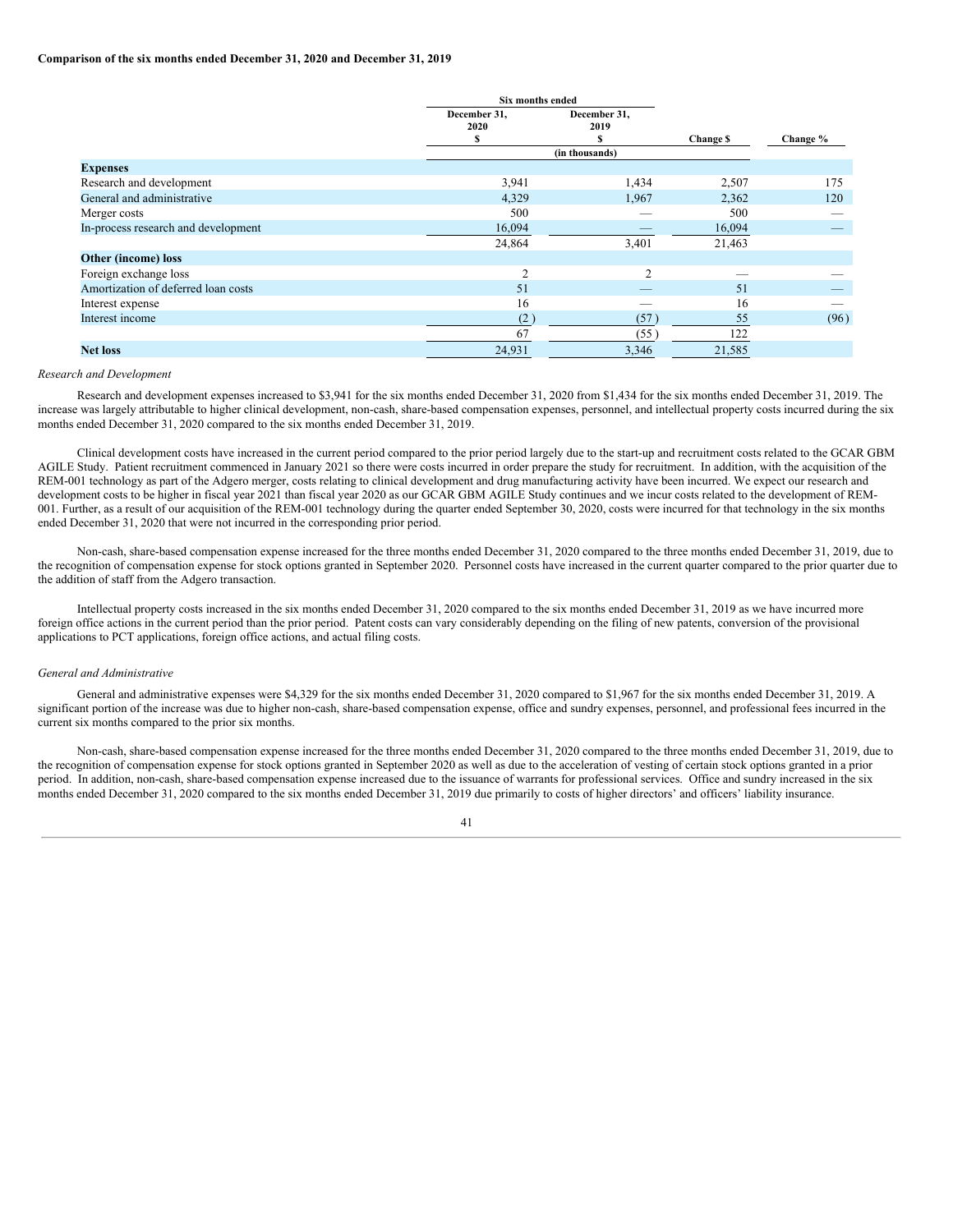|                                     |                      | Six months ended     |           |          |
|-------------------------------------|----------------------|----------------------|-----------|----------|
|                                     | December 31,<br>2020 | December 31,<br>2019 |           |          |
|                                     | э                    | S                    | Change \$ | Change % |
|                                     |                      | (in thousands)       |           |          |
| <b>Expenses</b>                     |                      |                      |           |          |
| Research and development            | 3,941                | 1,434                | 2,507     | 175      |
| General and administrative          | 4,329                | 1,967                | 2,362     | 120      |
| Merger costs                        | 500                  |                      | 500       |          |
| In-process research and development | 16,094               |                      | 16,094    |          |
|                                     | 24,864               | 3,401                | 21,463    |          |
| Other (income) loss                 |                      |                      |           |          |
| Foreign exchange loss               | $\mathcal{D}$        | $\overline{2}$       |           |          |
| Amortization of deferred loan costs | 51                   |                      | 51        |          |
| Interest expense                    | 16                   |                      | 16        |          |
| Interest income                     | (2)                  | (57)                 | 55        | (96)     |
|                                     | 67                   | (55)                 | 122       |          |
| <b>Net loss</b>                     | 24,931               | 3,346                | 21,585    |          |

### *Research and Development*

Research and development expenses increased to \$3,941 for the six months ended December 31, 2020 from \$1,434 for the six months ended December 31, 2019. The increase was largely attributable to higher clinical development, non-cash, share-based compensation expenses, personnel, and intellectual property costs incurred during the six months ended December 31, 2020 compared to the six months ended December 31, 2019.

Clinical development costs have increased in the current period compared to the prior period largely due to the start-up and recruitment costs related to the GCAR GBM AGILE Study. Patient recruitment commenced in January 2021 so there were costs incurred in order prepare the study for recruitment. In addition, with the acquisition of the REM-001 technology as part of the Adgero merger, costs relating to clinical development and drug manufacturing activity have been incurred. We expect our research and development costs to be higher in fiscal year 2021 than fiscal year 2020 as our GCAR GBM AGILE Study continues and we incur costs related to the development of REM-001. Further, as a result of our acquisition of the REM-001 technology during the quarter ended September 30, 2020, costs were incurred for that technology in the six months ended December 31, 2020 that were not incurred in the corresponding prior period.

Non-cash, share-based compensation expense increased for the three months ended December 31, 2020 compared to the three months ended December 31, 2019, due to the recognition of compensation expense for stock options granted in September 2020. Personnel costs have increased in the current quarter compared to the prior quarter due to the addition of staff from the Adgero transaction.

Intellectual property costs increased in the six months ended December 31, 2020 compared to the six months ended December 31, 2019 as we have incurred more foreign office actions in the current period than the prior period. Patent costs can vary considerably depending on the filing of new patents, conversion of the provisional applications to PCT applications, foreign office actions, and actual filing costs.

## *General and Administrative*

General and administrative expenses were \$4,329 for the six months ended December 31, 2020 compared to \$1,967 for the six months ended December 31, 2019. A significant portion of the increase was due to higher non-cash, share-based compensation expense, office and sundry expenses, personnel, and professional fees incurred in the current six months compared to the prior six months.

Non-cash, share-based compensation expense increased for the three months ended December 31, 2020 compared to the three months ended December 31, 2019, due to the recognition of compensation expense for stock options granted in September 2020 as well as due to the acceleration of vesting of certain stock options granted in a prior period. In addition, non-cash, share-based compensation expense increased due to the issuance of warrants for professional services. Office and sundry increased in the six months ended December 31, 2020 compared to the six months ended December 31, 2019 due primarily to costs of higher directors' and officers' liability insurance.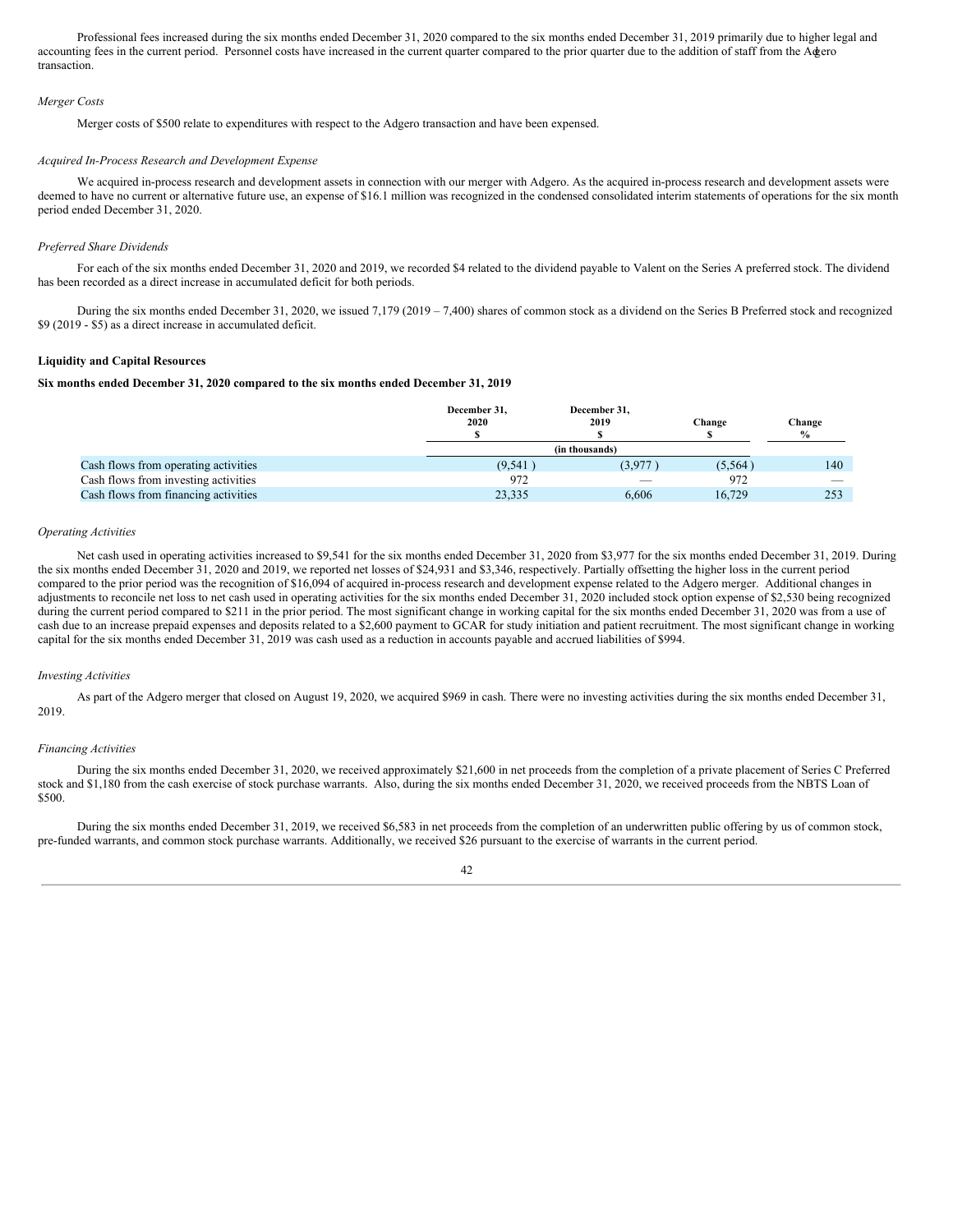Professional fees increased during the six months ended December 31, 2020 compared to the six months ended December 31, 2019 primarily due to higher legal and accounting fees in the current period. Personnel costs have increased in the current quarter compared to the prior quarter due to the addition of staff from the Adgero transaction.

## *Merger Costs*

Merger costs of \$500 relate to expenditures with respect to the Adgero transaction and have been expensed.

## *Acquired In-Process Research and Development Expense*

We acquired in-process research and development assets in connection with our merger with Adgero. As the acquired in-process research and development assets were deemed to have no current or alternative future use, an expense of \$16.1 million was recognized in the condensed consolidated interim statements of operations for the six month period ended December 31, 2020.

## *Preferred Share Dividends*

For each of the six months ended December 31, 2020 and 2019, we recorded \$4 related to the dividend payable to Valent on the Series A preferred stock. The dividend has been recorded as a direct increase in accumulated deficit for both periods.

During the six months ended December 31, 2020, we issued 7,179 (2019 – 7,400) shares of common stock as a dividend on the Series B Preferred stock and recognized \$9 (2019 - \$5) as a direct increase in accumulated deficit.

## **Liquidity and Capital Resources**

## **Six months ended December 31, 2020 compared to the six months ended December 31, 2019**

|                                      | December 31,<br>2020 | December 31,<br>2019 | Change   | Change<br>$\frac{6}{9}$ |
|--------------------------------------|----------------------|----------------------|----------|-------------------------|
|                                      | (in thousands)       |                      |          |                         |
| Cash flows from operating activities | (9, 541)             | (3.977)              | (5, 564) | 140                     |
| Cash flows from investing activities | 972                  |                      | 972      |                         |
| Cash flows from financing activities | 23,335               | 6,606                | 16.729   | 253                     |

#### *Operating Activities*

Net cash used in operating activities increased to \$9,541 for the six months ended December 31, 2020 from \$3,977 for the six months ended December 31, 2019. During the six months ended December 31, 2020 and 2019, we reported net losses of \$24,931 and \$3,346, respectively. Partially offsetting the higher loss in the current period compared to the prior period was the recognition of \$16,094 of acquired in-process research and development expense related to the Adgero merger. Additional changes in adjustments to reconcile net loss to net cash used in operating activities for the six months ended December 31, 2020 included stock option expense of \$2,530 being recognized during the current period compared to \$211 in the prior period. The most significant change in working capital for the six months ended December 31, 2020 was from a use of cash due to an increase prepaid expenses and deposits related to a \$2,600 payment to GCAR for study initiation and patient recruitment. The most significant change in working capital for the six months ended December 31, 2019 was cash used as a reduction in accounts payable and accrued liabilities of \$994.

#### *Investing Activities*

As part of the Adgero merger that closed on August 19, 2020, we acquired \$969 in cash. There were no investing activities during the six months ended December 31, 2019.

#### *Financing Activities*

During the six months ended December 31, 2020, we received approximately \$21,600 in net proceeds from the completion of a private placement of Series C Preferred stock and \$1,180 from the cash exercise of stock purchase warrants. Also, during the six months ended December 31, 2020, we received proceeds from the NBTS Loan of \$500.

During the six months ended December 31, 2019, we received \$6,583 in net proceeds from the completion of an underwritten public offering by us of common stock, pre-funded warrants, and common stock purchase warrants. Additionally, we received \$26 pursuant to the exercise of warrants in the current period.

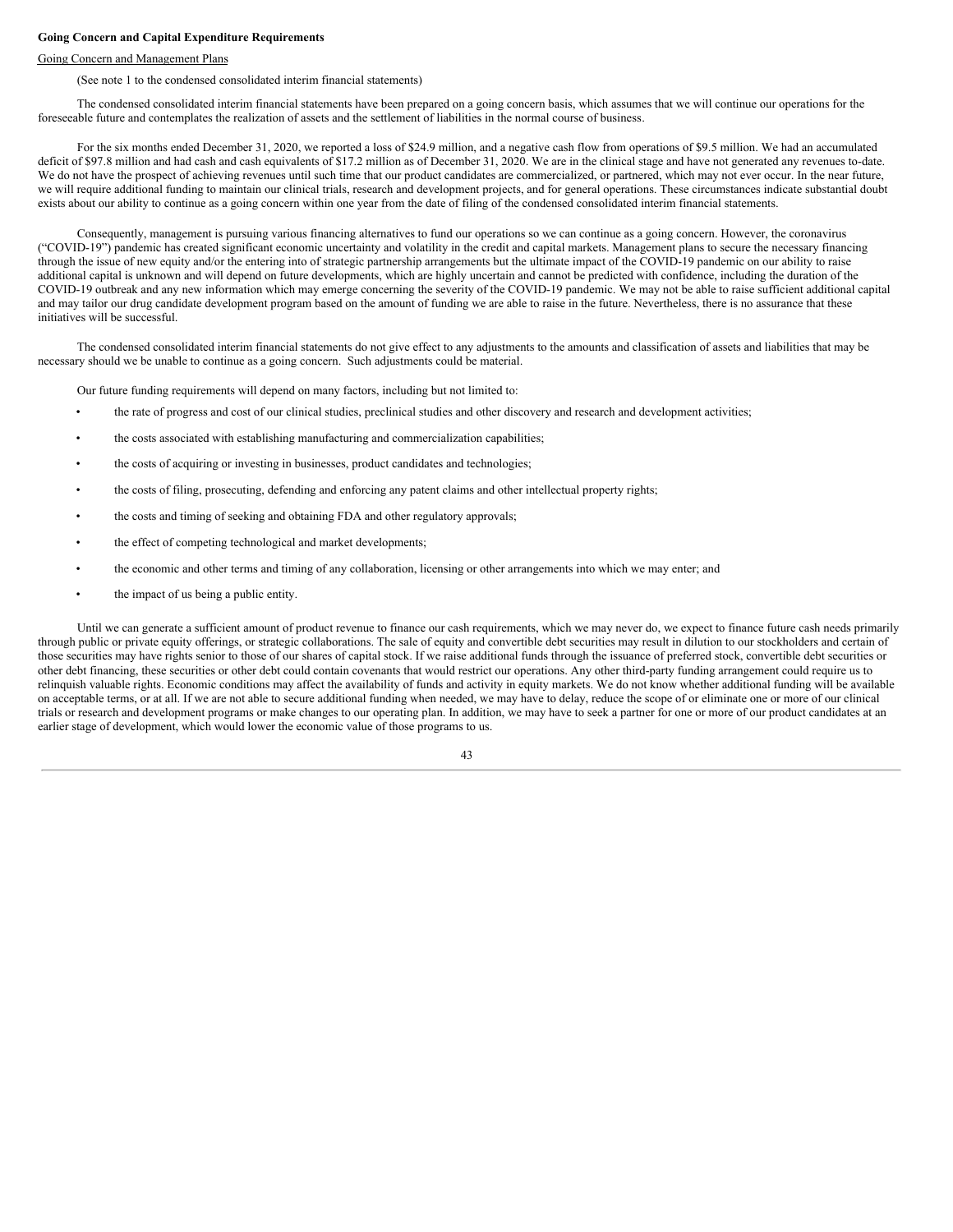## **Going Concern and Capital Expenditure Requirements**

### Going Concern and Management Plans

(See note 1 to the condensed consolidated interim financial statements)

The condensed consolidated interim financial statements have been prepared on a going concern basis, which assumes that we will continue our operations for the foreseeable future and contemplates the realization of assets and the settlement of liabilities in the normal course of business.

For the six months ended December 31, 2020, we reported a loss of \$24.9 million, and a negative cash flow from operations of \$9.5 million. We had an accumulated deficit of \$97.8 million and had cash and cash equivalents of \$17.2 million as of December 31, 2020. We are in the clinical stage and have not generated any revenues to-date. We do not have the prospect of achieving revenues until such time that our product candidates are commercialized, or partnered, which may not ever occur. In the near future, we will require additional funding to maintain our clinical trials, research and development projects, and for general operations. These circumstances indicate substantial doubt exists about our ability to continue as a going concern within one year from the date of filing of the condensed consolidated interim financial statements.

Consequently, management is pursuing various financing alternatives to fund our operations so we can continue as a going concern. However, the coronavirus ("COVID-19") pandemic has created significant economic uncertainty and volatility in the credit and capital markets. Management plans to secure the necessary financing through the issue of new equity and/or the entering into of strategic partnership arrangements but the ultimate impact of the COVID-19 pandemic on our ability to raise additional capital is unknown and will depend on future developments, which are highly uncertain and cannot be predicted with confidence, including the duration of the COVID-19 outbreak and any new information which may emerge concerning the severity of the COVID-19 pandemic. We may not be able to raise sufficient additional capital and may tailor our drug candidate development program based on the amount of funding we are able to raise in the future. Nevertheless, there is no assurance that these initiatives will be successful.

The condensed consolidated interim financial statements do not give effect to any adjustments to the amounts and classification of assets and liabilities that may be necessary should we be unable to continue as a going concern. Such adjustments could be material.

Our future funding requirements will depend on many factors, including but not limited to:

- the rate of progress and cost of our clinical studies, preclinical studies and other discovery and research and development activities;
- the costs associated with establishing manufacturing and commercialization capabilities;
- the costs of acquiring or investing in businesses, product candidates and technologies;
- the costs of filing, prosecuting, defending and enforcing any patent claims and other intellectual property rights;
- the costs and timing of seeking and obtaining FDA and other regulatory approvals;
- the effect of competing technological and market developments;
- the economic and other terms and timing of any collaboration, licensing or other arrangements into which we may enter; and
- the impact of us being a public entity.

Until we can generate a sufficient amount of product revenue to finance our cash requirements, which we may never do, we expect to finance future cash needs primarily through public or private equity offerings, or strategic collaborations. The sale of equity and convertible debt securities may result in dilution to our stockholders and certain of those securities may have rights senior to those of our shares of capital stock. If we raise additional funds through the issuance of preferred stock, convertible debt securities or other debt financing, these securities or other debt could contain covenants that would restrict our operations. Any other third-party funding arrangement could require us to relinquish valuable rights. Economic conditions may affect the availability of funds and activity in equity markets. We do not know whether additional funding will be available on acceptable terms, or at all. If we are not able to secure additional funding when needed, we may have to delay, reduce the scope of or eliminate one or more of our clinical trials or research and development programs or make changes to our operating plan. In addition, we may have to seek a partner for one or more of our product candidates at an earlier stage of development, which would lower the economic value of those programs to us.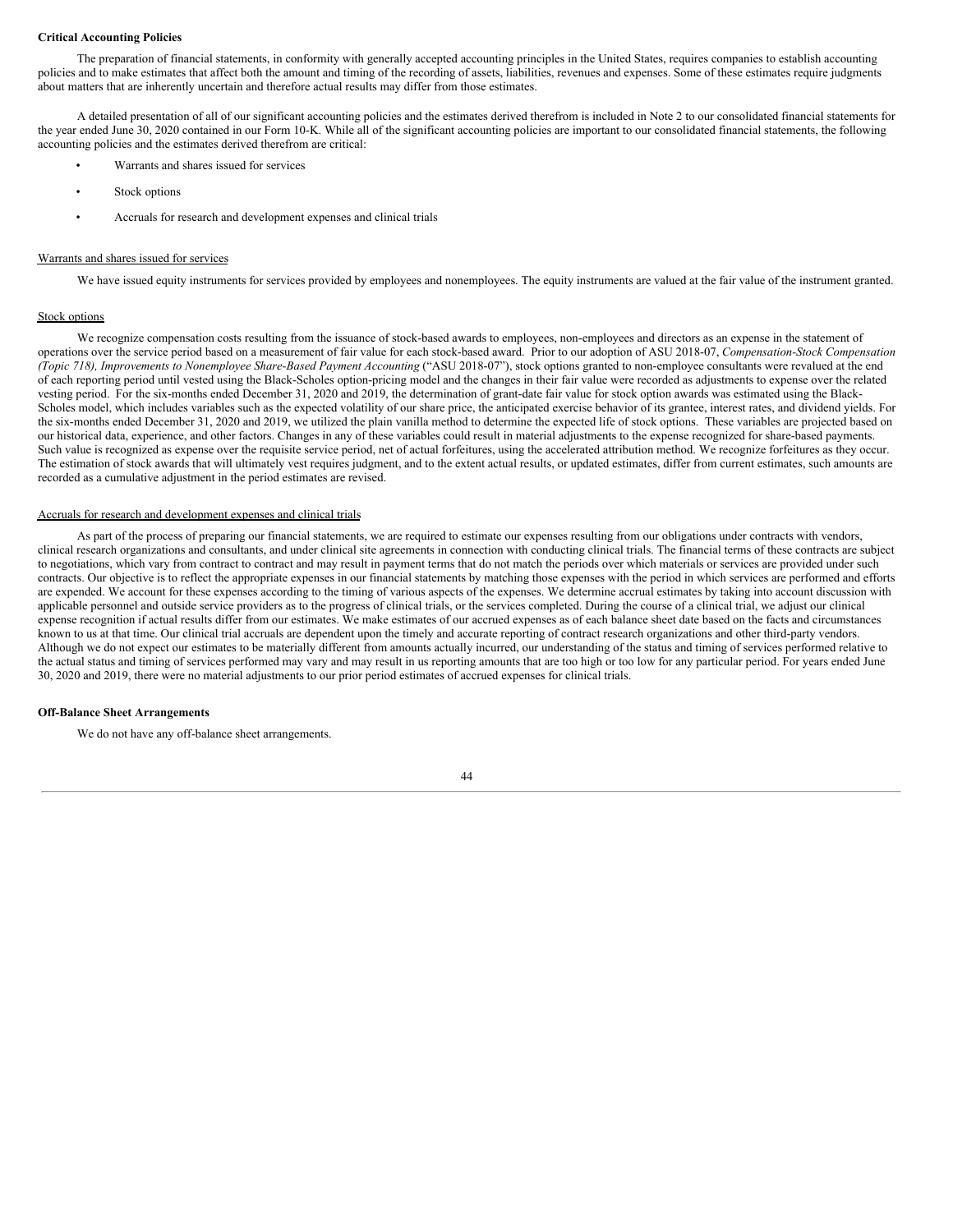#### **Critical Accounting Policies**

The preparation of financial statements, in conformity with generally accepted accounting principles in the United States, requires companies to establish accounting policies and to make estimates that affect both the amount and timing of the recording of assets, liabilities, revenues and expenses. Some of these estimates require judgments about matters that are inherently uncertain and therefore actual results may differ from those estimates.

A detailed presentation of all of our significant accounting policies and the estimates derived therefrom is included in Note 2 to our consolidated financial statements for the year ended June 30, 2020 contained in our Form 10-K. While all of the significant accounting policies are important to our consolidated financial statements, the following accounting policies and the estimates derived therefrom are critical:

- Warrants and shares issued for services
- Stock options
- Accruals for research and development expenses and clinical trials

#### Warrants and shares issued for services

We have issued equity instruments for services provided by employees and nonemployees. The equity instruments are valued at the fair value of the instrument granted.

## Stock options

We recognize compensation costs resulting from the issuance of stock-based awards to employees, non-employees and directors as an expense in the statement of operations over the service period based on a measurement of fair value for each stock-based award. Prior to our adoption of ASU 2018-07, *Compensation-Stock Compensation (Topic 718), Improvements to Nonemployee Share-Based Payment Accounting* ("ASU 2018-07"), stock options granted to non-employee consultants were revalued at the end of each reporting period until vested using the Black-Scholes option-pricing model and the changes in their fair value were recorded as adjustments to expense over the related vesting period. For the six-months ended December 31, 2020 and 2019, the determination of grant-date fair value for stock option awards was estimated using the Black-Scholes model, which includes variables such as the expected volatility of our share price, the anticipated exercise behavior of its grantee, interest rates, and dividend yields. For the six-months ended December 31, 2020 and 2019, we utilized the plain vanilla method to determine the expected life of stock options. These variables are projected based on our historical data, experience, and other factors. Changes in any of these variables could result in material adjustments to the expense recognized for share-based payments. Such value is recognized as expense over the requisite service period, net of actual forfeitures, using the accelerated attribution method. We recognize forfeitures as they occur. The estimation of stock awards that will ultimately vest requires judgment, and to the extent actual results, or updated estimates, differ from current estimates, such amounts are recorded as a cumulative adjustment in the period estimates are revised.

## Accruals for research and development expenses and clinical trials

As part of the process of preparing our financial statements, we are required to estimate our expenses resulting from our obligations under contracts with vendors, clinical research organizations and consultants, and under clinical site agreements in connection with conducting clinical trials. The financial terms of these contracts are subject to negotiations, which vary from contract to contract and may result in payment terms that do not match the periods over which materials or services are provided under such contracts. Our objective is to reflect the appropriate expenses in our financial statements by matching those expenses with the period in which services are performed and efforts are expended. We account for these expenses according to the timing of various aspects of the expenses. We determine accrual estimates by taking into account discussion with applicable personnel and outside service providers as to the progress of clinical trials, or the services completed. During the course of a clinical trial, we adjust our clinical expense recognition if actual results differ from our estimates. We make estimates of our accrued expenses as of each balance sheet date based on the facts and circumstances known to us at that time. Our clinical trial accruals are dependent upon the timely and accurate reporting of contract research organizations and other third-party vendors. Although we do not expect our estimates to be materially different from amounts actually incurred, our understanding of the status and timing of services performed relative to the actual status and timing of services performed may vary and may result in us reporting amounts that are too high or too low for any particular period. For years ended June 30, 2020 and 2019, there were no material adjustments to our prior period estimates of accrued expenses for clinical trials.

### **Off-Balance Sheet Arrangements**

We do not have any off-balance sheet arrangements.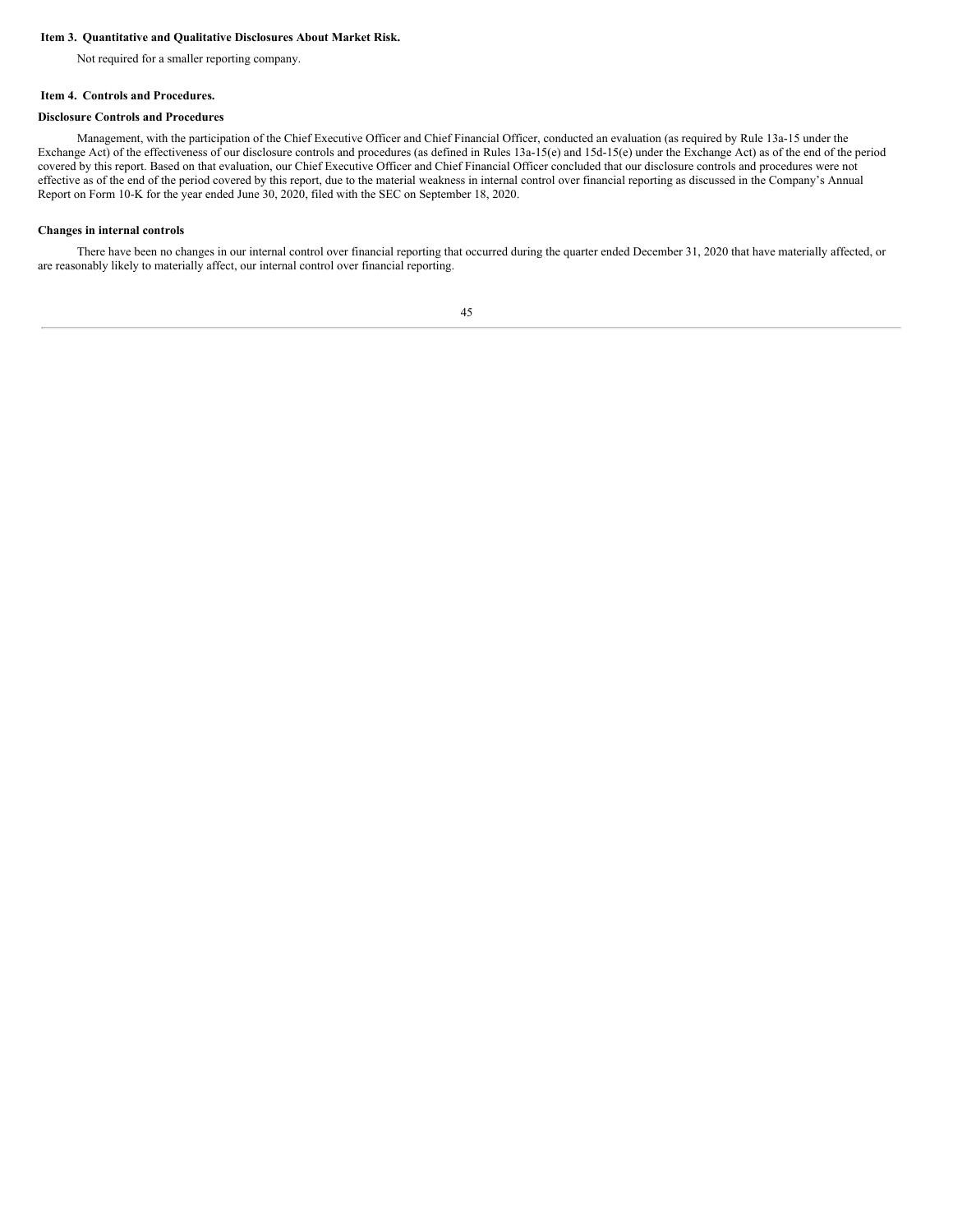### <span id="page-46-0"></span>**Item 3. Quantitative and Qualitative Disclosures About Market Risk.**

Not required for a smaller reporting company.

## <span id="page-46-1"></span>**Item 4. Controls and Procedures.**

## **Disclosure Controls and Procedures**

Management, with the participation of the Chief Executive Officer and Chief Financial Officer, conducted an evaluation (as required by Rule 13a-15 under the Exchange Act) of the effectiveness of our disclosure controls and procedures (as defined in Rules 13a-15(e) and 15d-15(e) under the Exchange Act) as of the end of the period covered by this report. Based on that evaluation, our Chief Executive Officer and Chief Financial Officer concluded that our disclosure controls and procedures were not effective as of the end of the period covered by this report, due to the material weakness in internal control over financial reporting as discussed in the Company's Annual Report on Form 10-K for the year ended June 30, 2020, filed with the SEC on September 18, 2020.

## **Changes in internal controls**

There have been no changes in our internal control over financial reporting that occurred during the quarter ended December 31, 2020 that have materially affected, or are reasonably likely to materially affect, our internal control over financial reporting.

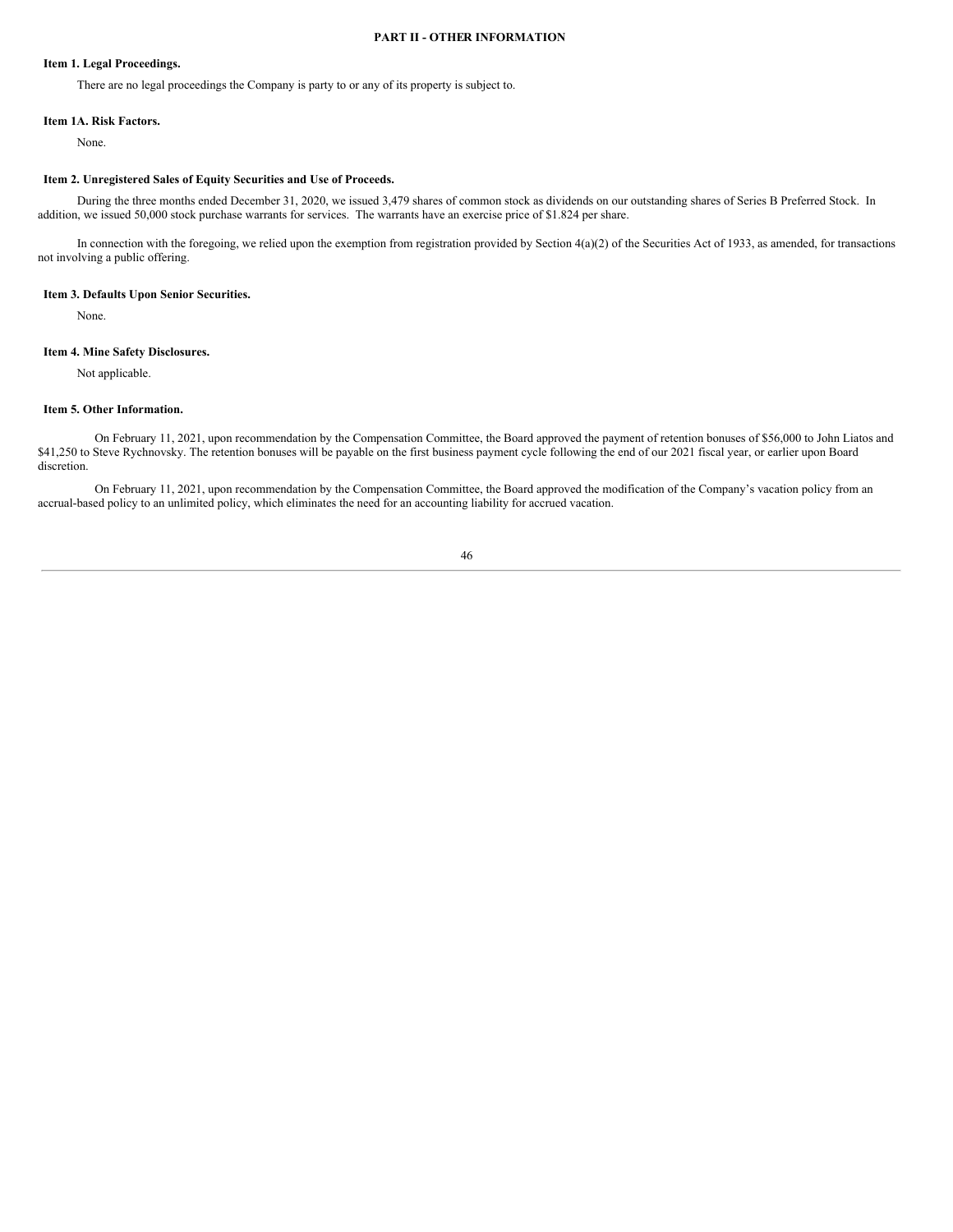## <span id="page-47-0"></span>**PART II - OTHER INFORMATION**

## <span id="page-47-1"></span>**Item 1. Legal Proceedings.**

There are no legal proceedings the Company is party to or any of its property is subject to.

## <span id="page-47-2"></span>**Item 1A. Risk Factors.**

None.

## <span id="page-47-3"></span>**Item 2. Unregistered Sales of Equity Securities and Use of Proceeds.**

During the three months ended December 31, 2020, we issued 3,479 shares of common stock as dividends on our outstanding shares of Series B Preferred Stock. In addition, we issued 50,000 stock purchase warrants for services. The warrants have an exercise price of \$1.824 per share.

In connection with the foregoing, we relied upon the exemption from registration provided by Section  $4(a)(2)$  of the Securities Act of 1933, as amended, for transactions not involving a public offering.

## <span id="page-47-4"></span>**Item 3. Defaults Upon Senior Securities.**

None.

## <span id="page-47-5"></span>**Item 4. Mine Safety Disclosures.**

Not applicable.

## <span id="page-47-6"></span>**Item 5. Other Information.**

On February 11, 2021, upon recommendation by the Compensation Committee, the Board approved the payment of retention bonuses of \$56,000 to John Liatos and \$41,250 to Steve Rychnovsky. The retention bonuses will be payable on the first business payment cycle following the end of our 2021 fiscal year, or earlier upon Board discretion.

On February 11, 2021, upon recommendation by the Compensation Committee, the Board approved the modification of the Company's vacation policy from an accrual-based policy to an unlimited policy, which eliminates the need for an accounting liability for accrued vacation.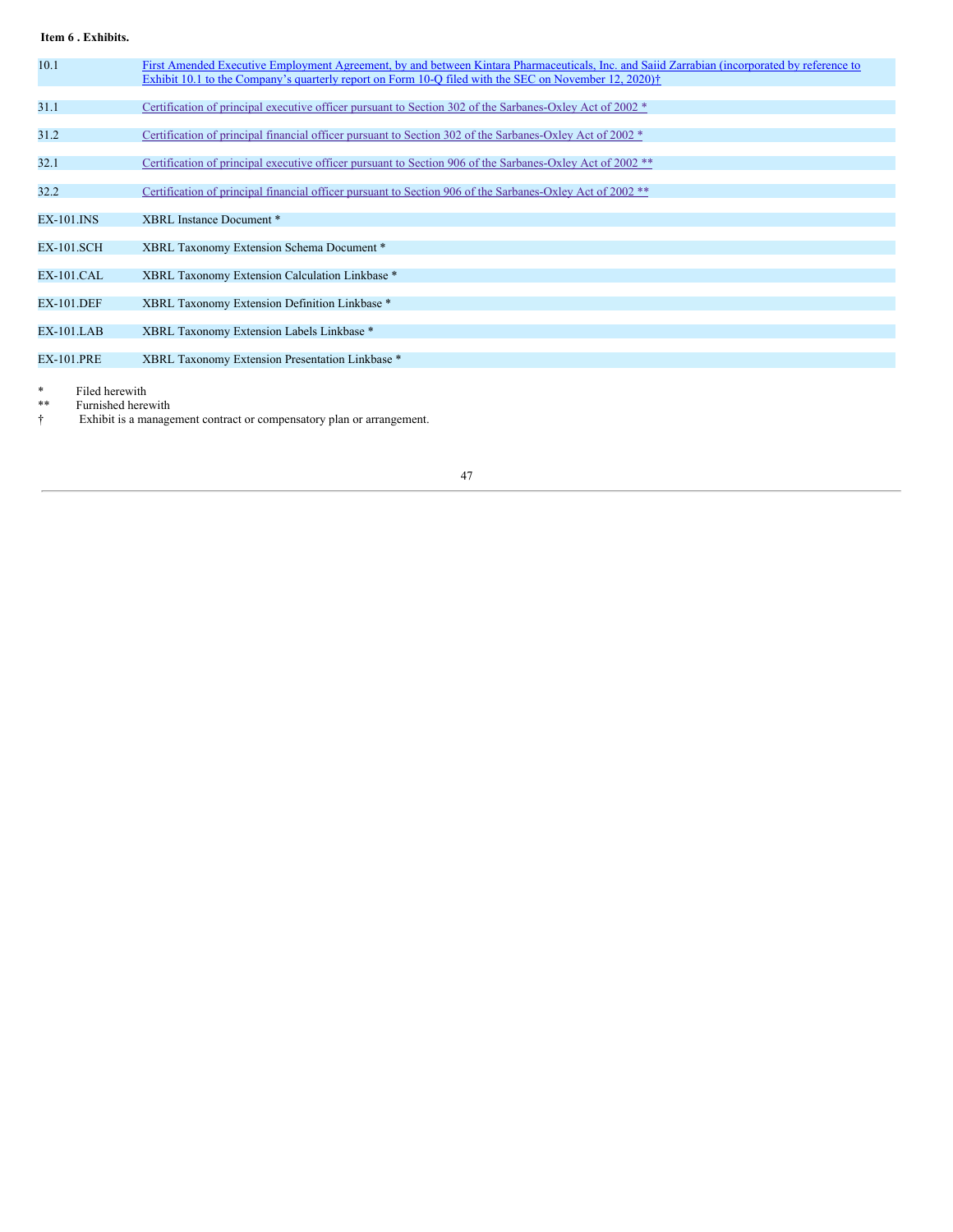## <span id="page-48-0"></span>**Item 6 . Exhibits.**

| 10.1              | First Amended Executive Employment Agreement, by and between Kintara Pharmaceuticals, Inc. and Saiid Zarrabian (incorporated by reference to<br>Exhibit 10.1 to the Company's quarterly report on Form 10-Q filed with the SEC on November 12, 2020) <sup>†</sup> |
|-------------------|-------------------------------------------------------------------------------------------------------------------------------------------------------------------------------------------------------------------------------------------------------------------|
| 31.1              | Certification of principal executive officer pursuant to Section 302 of the Sarbanes-Oxley Act of 2002 *                                                                                                                                                          |
| 31.2              | Certification of principal financial officer pursuant to Section 302 of the Sarbanes-Oxley Act of 2002 *                                                                                                                                                          |
| 32.1              | Certification of principal executive officer pursuant to Section 906 of the Sarbanes-Oxley Act of 2002 <sup>**</sup>                                                                                                                                              |
| 32.2              | Certification of principal financial officer pursuant to Section 906 of the Sarbanes-Oxley Act of 2002 <sup>**</sup>                                                                                                                                              |
| <b>EX-101.INS</b> | XBRL Instance Document *                                                                                                                                                                                                                                          |
| <b>EX-101.SCH</b> | XBRL Taxonomy Extension Schema Document*                                                                                                                                                                                                                          |
| $EX-101.CAL$      | XBRL Taxonomy Extension Calculation Linkbase *                                                                                                                                                                                                                    |
| <b>EX-101.DEF</b> | XBRL Taxonomy Extension Definition Linkbase *                                                                                                                                                                                                                     |
| $EX-101.LAB$      | XBRL Taxonomy Extension Labels Linkbase *                                                                                                                                                                                                                         |
| EX-101.PRE        | XBRL Taxonomy Extension Presentation Linkbase *                                                                                                                                                                                                                   |
|                   |                                                                                                                                                                                                                                                                   |

\* Filed herewith

\*\* Furnished herewith

† Exhibit is a management contract or compensatory plan or arrangement.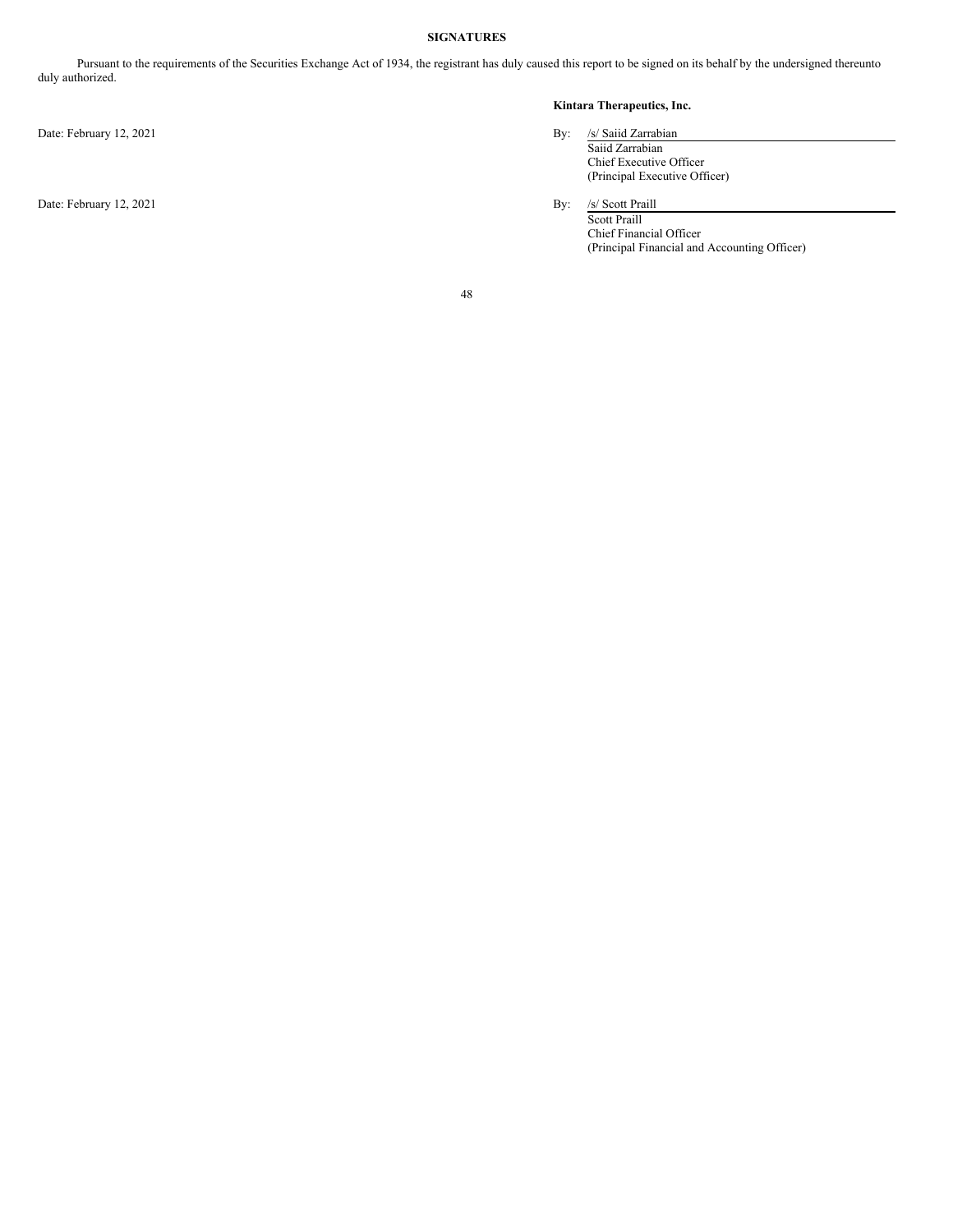## **SIGNATURES**

Pursuant to the requirements of the Securities Exchange Act of 1934, the registrant has duly caused this report to be signed on its behalf by the undersigned thereunto duly authorized.

Date: February 12, 2021 By: *B* 

Date: February 12, 2021 By: /s/ Scott Praill

# **Kintara Therapeutics, Inc.**

| 3v: | /s/ Saiid Zarrabian           |
|-----|-------------------------------|
|     | Saiid Zarrabian               |
|     | Chief Executive Officer       |
|     | (Principal Executive Officer) |

Scott Praill Chief Financial Officer (Principal Financial and Accounting Officer)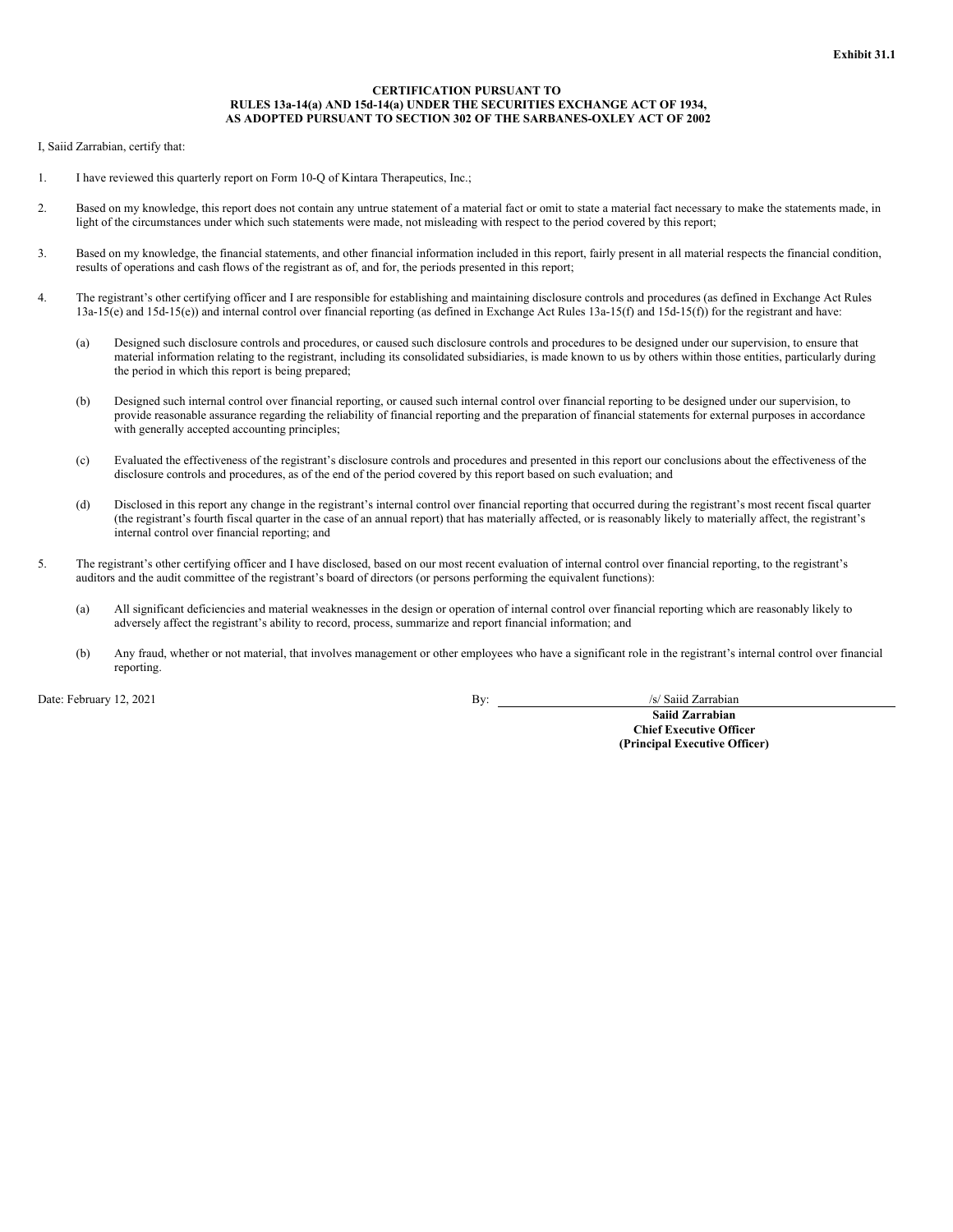## **CERTIFICATION PURSUANT TO RULES 13a-14(a) AND 15d-14(a) UNDER THE SECURITIES EXCHANGE ACT OF 1934, AS ADOPTED PURSUANT TO SECTION 302 OF THE SARBANES-OXLEY ACT OF 2002**

<span id="page-50-0"></span>I, Saiid Zarrabian, certify that:

- 1. I have reviewed this quarterly report on Form 10-Q of Kintara Therapeutics, Inc.;
- 2. Based on my knowledge, this report does not contain any untrue statement of a material fact or omit to state a material fact necessary to make the statements made, in light of the circumstances under which such statements were made, not misleading with respect to the period covered by this report;
- 3. Based on my knowledge, the financial statements, and other financial information included in this report, fairly present in all material respects the financial condition, results of operations and cash flows of the registrant as of, and for, the periods presented in this report;
- 4. The registrant's other certifying officer and I are responsible for establishing and maintaining disclosure controls and procedures (as defined in Exchange Act Rules  $13a-15(e)$  and  $15d-15(e)$ ) and internal control over financial reporting (as defined in Exchange Act Rules  $13a-15(f)$  and  $15d-15(f)$ ) for the registrant and have:
	- (a) Designed such disclosure controls and procedures, or caused such disclosure controls and procedures to be designed under our supervision, to ensure that material information relating to the registrant, including its consolidated subsidiaries, is made known to us by others within those entities, particularly during the period in which this report is being prepared;
	- (b) Designed such internal control over financial reporting, or caused such internal control over financial reporting to be designed under our supervision, to provide reasonable assurance regarding the reliability of financial reporting and the preparation of financial statements for external purposes in accordance with generally accepted accounting principles;
	- (c) Evaluated the effectiveness of the registrant's disclosure controls and procedures and presented in this report our conclusions about the effectiveness of the disclosure controls and procedures, as of the end of the period covered by this report based on such evaluation; and
	- (d) Disclosed in this report any change in the registrant's internal control over financial reporting that occurred during the registrant's most recent fiscal quarter (the registrant's fourth fiscal quarter in the case of an annual report) that has materially affected, or is reasonably likely to materially affect, the registrant's internal control over financial reporting; and
- 5. The registrant's other certifying officer and I have disclosed, based on our most recent evaluation of internal control over financial reporting, to the registrant's auditors and the audit committee of the registrant's board of directors (or persons performing the equivalent functions):
	- (a) All significant deficiencies and material weaknesses in the design or operation of internal control over financial reporting which are reasonably likely to adversely affect the registrant's ability to record, process, summarize and report financial information; and
	- (b) Any fraud, whether or not material, that involves management or other employees who have a significant role in the registrant's internal control over financial reporting.

Date: February 12, 2021 <br>
By: /s/ Saiid Zarrabian

**Saiid Zarrabian Chief Executive Officer (Principal Executive Officer)**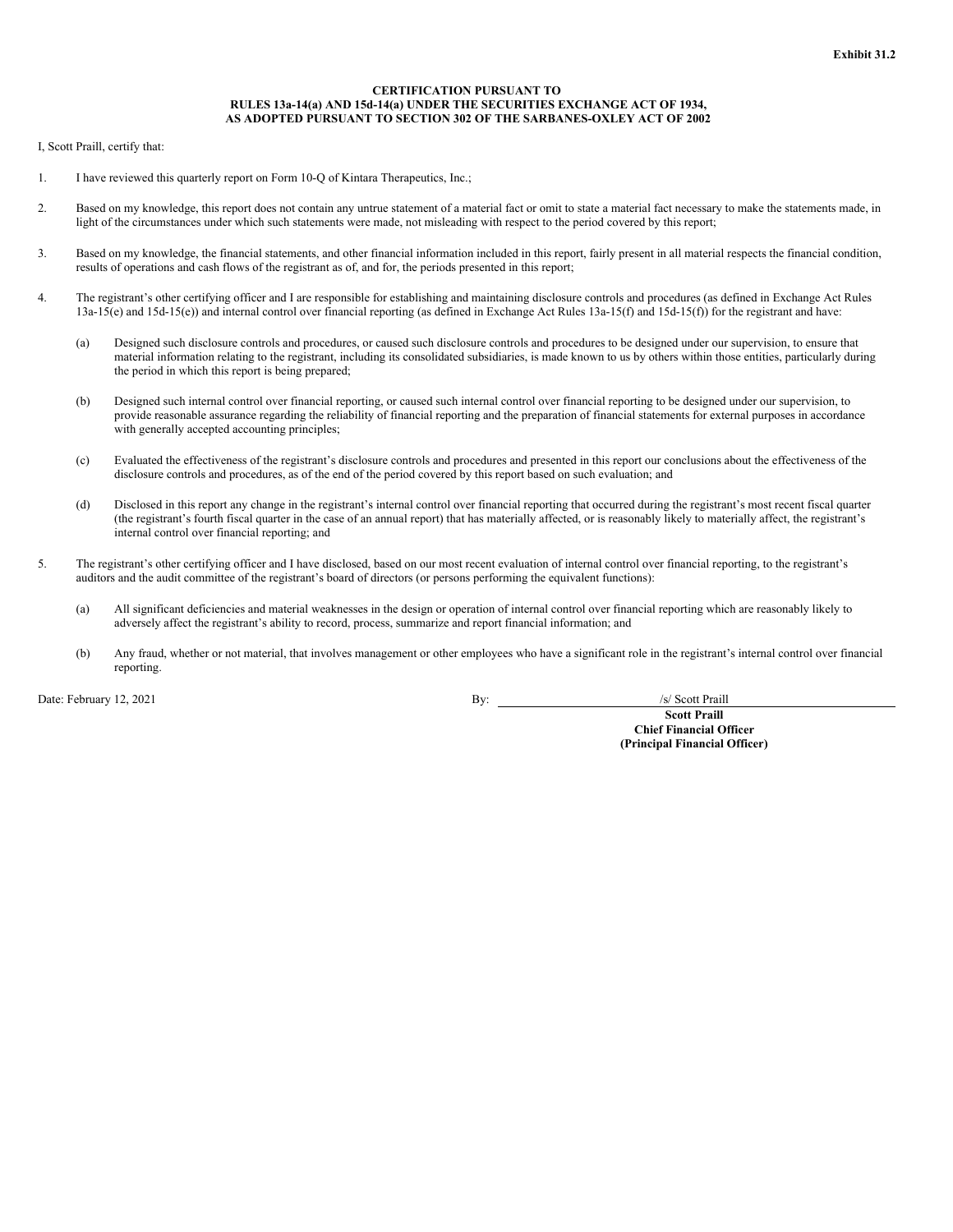## **CERTIFICATION PURSUANT TO RULES 13a-14(a) AND 15d-14(a) UNDER THE SECURITIES EXCHANGE ACT OF 1934, AS ADOPTED PURSUANT TO SECTION 302 OF THE SARBANES-OXLEY ACT OF 2002**

<span id="page-51-0"></span>I, Scott Praill, certify that:

- 1. I have reviewed this quarterly report on Form 10-Q of Kintara Therapeutics, Inc.;
- 2. Based on my knowledge, this report does not contain any untrue statement of a material fact or omit to state a material fact necessary to make the statements made, in light of the circumstances under which such statements were made, not misleading with respect to the period covered by this report;
- 3. Based on my knowledge, the financial statements, and other financial information included in this report, fairly present in all material respects the financial condition, results of operations and cash flows of the registrant as of, and for, the periods presented in this report;
- 4. The registrant's other certifying officer and I are responsible for establishing and maintaining disclosure controls and procedures (as defined in Exchange Act Rules  $13a-15(e)$  and  $15d-15(e)$ ) and internal control over financial reporting (as defined in Exchange Act Rules  $13a-15(f)$  and  $15d-15(f)$ ) for the registrant and have:
	- (a) Designed such disclosure controls and procedures, or caused such disclosure controls and procedures to be designed under our supervision, to ensure that material information relating to the registrant, including its consolidated subsidiaries, is made known to us by others within those entities, particularly during the period in which this report is being prepared;
	- (b) Designed such internal control over financial reporting, or caused such internal control over financial reporting to be designed under our supervision, to provide reasonable assurance regarding the reliability of financial reporting and the preparation of financial statements for external purposes in accordance with generally accepted accounting principles;
	- (c) Evaluated the effectiveness of the registrant's disclosure controls and procedures and presented in this report our conclusions about the effectiveness of the disclosure controls and procedures, as of the end of the period covered by this report based on such evaluation; and
	- (d) Disclosed in this report any change in the registrant's internal control over financial reporting that occurred during the registrant's most recent fiscal quarter (the registrant's fourth fiscal quarter in the case of an annual report) that has materially affected, or is reasonably likely to materially affect, the registrant's internal control over financial reporting; and
- 5. The registrant's other certifying officer and I have disclosed, based on our most recent evaluation of internal control over financial reporting, to the registrant's auditors and the audit committee of the registrant's board of directors (or persons performing the equivalent functions):
	- (a) All significant deficiencies and material weaknesses in the design or operation of internal control over financial reporting which are reasonably likely to adversely affect the registrant's ability to record, process, summarize and report financial information; and
	- (b) Any fraud, whether or not material, that involves management or other employees who have a significant role in the registrant's internal control over financial reporting.

Date: February 12, 2021 By: /s/ Scott Praill

**Scott Praill Chief Financial Officer (Principal Financial Officer)**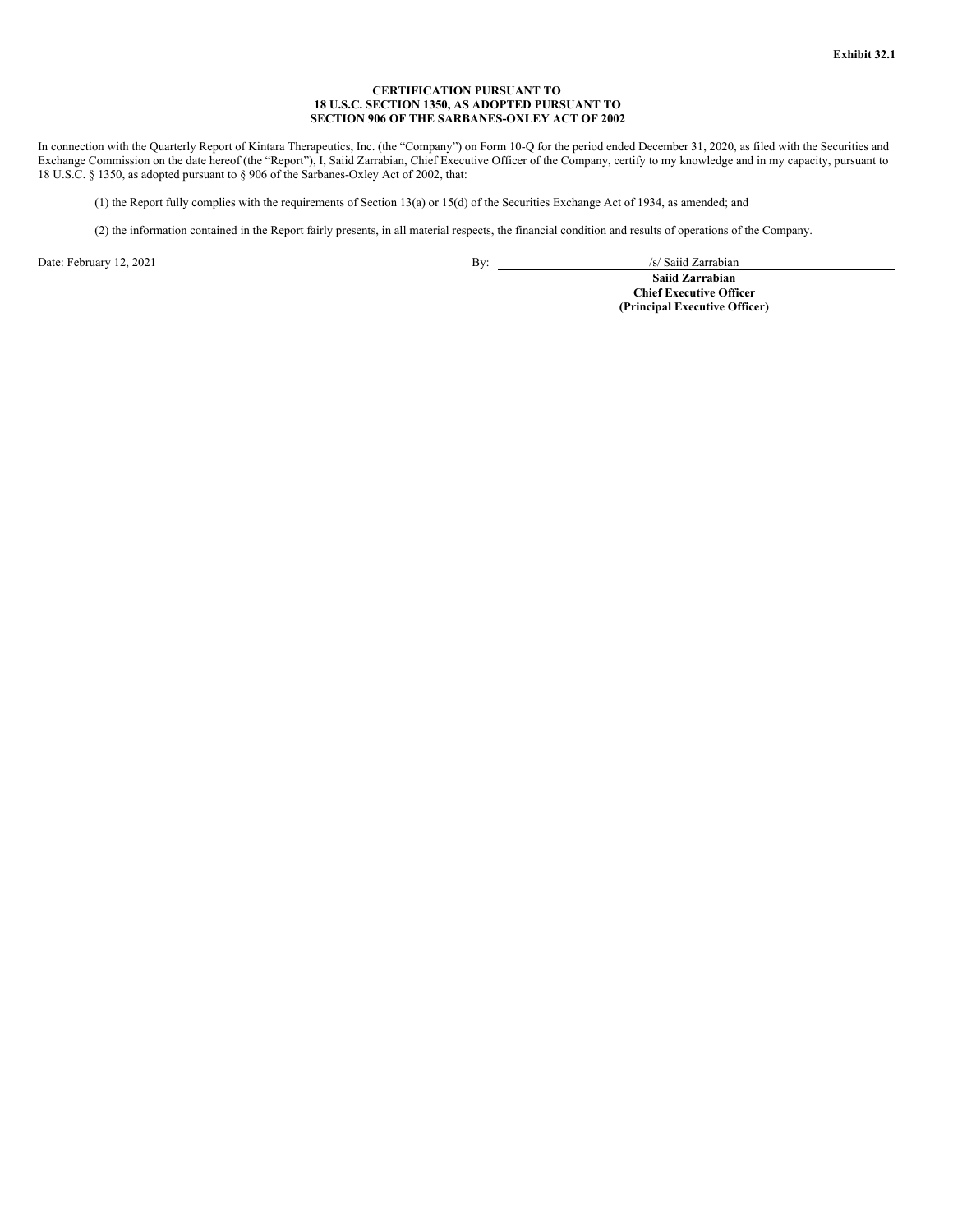## **CERTIFICATION PURSUANT TO 18 U.S.C. SECTION 1350, AS ADOPTED PURSUANT TO SECTION 906 OF THE SARBANES-OXLEY ACT OF 2002**

<span id="page-52-0"></span>In connection with the Quarterly Report of Kintara Therapeutics, Inc. (the "Company") on Form 10-Q for the period ended December 31, 2020, as filed with the Securities and Exchange Commission on the date hereof (the "Report"), I, Saiid Zarrabian, Chief Executive Officer of the Company, certify to my knowledge and in my capacity, pursuant to 18 U.S.C. § 1350, as adopted pursuant to § 906 of the Sarbanes-Oxley Act of 2002, that:

(1) the Report fully complies with the requirements of Section 13(a) or 15(d) of the Securities Exchange Act of 1934, as amended; and

(2) the information contained in the Report fairly presents, in all material respects, the financial condition and results of operations of the Company.

Date: February 12, 2021 By: /s/ Saiid Zarrabian

**Saiid Zarrabian Chief Executive Officer (Principal Executive Officer)**